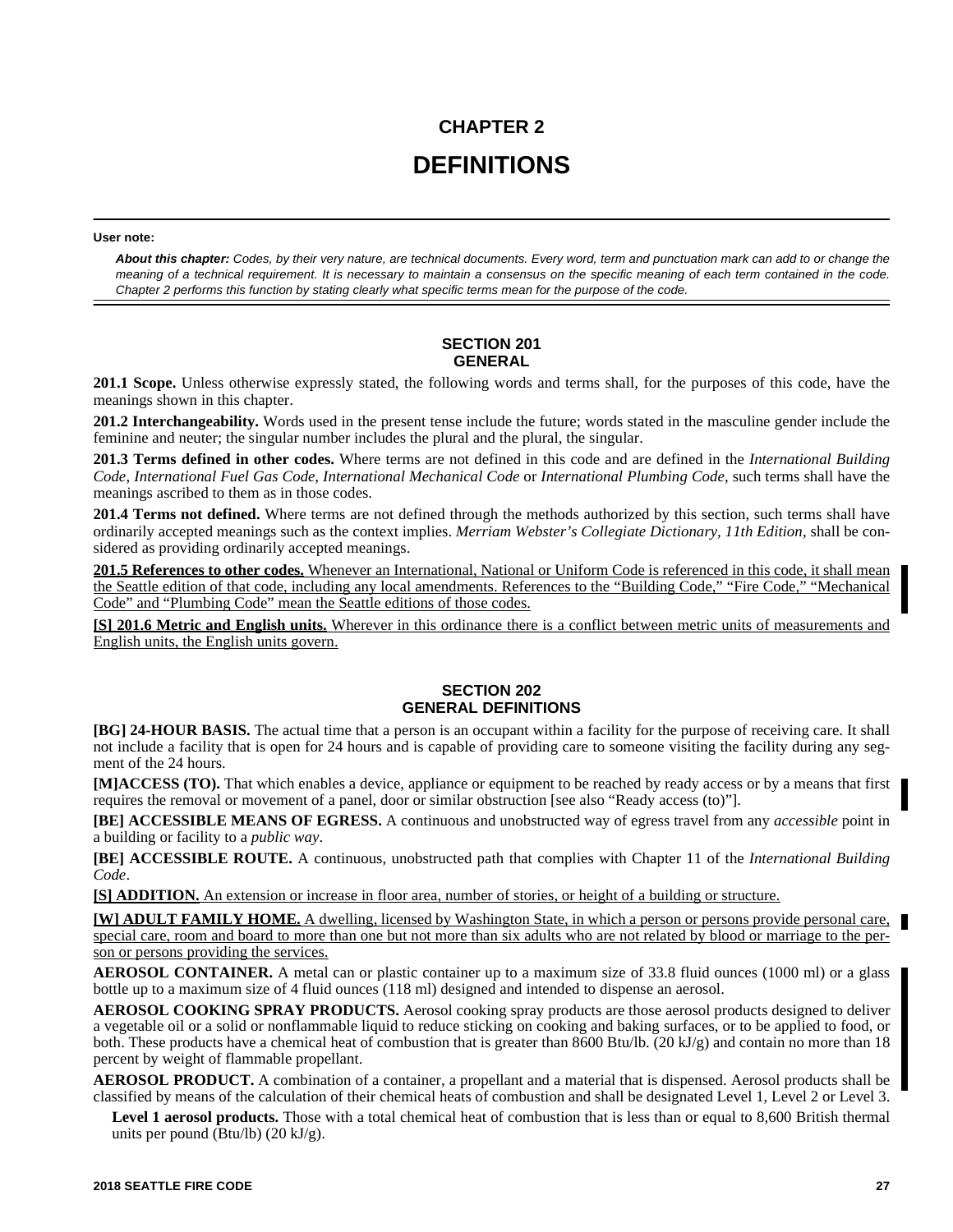# **CHAPTER 2 DEFINITIONS**

**User note:**

*About this chapter: Codes, by their very nature, are technical documents. Every word, term and punctuation mark can add to or change the meaning of a technical requirement. It is necessary to maintain a consensus on the specific meaning of each term contained in the code. Chapter 2 performs this function by stating clearly what specific terms mean for the purpose of the code.*

#### **SECTION 201 GENERAL**

**201.1 Scope.** Unless otherwise expressly stated, the following words and terms shall, for the purposes of this code, have the meanings shown in this chapter.

**201.2 Interchangeability.** Words used in the present tense include the future; words stated in the masculine gender include the feminine and neuter; the singular number includes the plural and the plural, the singular.

**201.3 Terms defined in other codes.** Where terms are not defined in this code and are defined in the *International Building Code*, *International Fuel Gas Code*, *International Mechanical Code* or *International Plumbing Code*, such terms shall have the meanings ascribed to them as in those codes.

**201.4 Terms not defined.** Where terms are not defined through the methods authorized by this section, such terms shall have ordinarily accepted meanings such as the context implies. *Merriam Webster's Collegiate Dictionary, 11th Edition*, shall be considered as providing ordinarily accepted meanings.

**201.5 References to other codes.** Whenever an International, National or Uniform Code is referenced in this code, it shall mean the Seattle edition of that code, including any local amendments. References to the "Building Code," "Fire Code," "Mechanical Code" and "Plumbing Code" mean the Seattle editions of those codes.

**[S] 201.6 Metric and English units.** Wherever in this ordinance there is a conflict between metric units of measurements and English units, the English units govern.

# **SECTION 202 GENERAL DEFINITIONS**

**[BG] 24-HOUR BASIS.** The actual time that a person is an occupant within a facility for the purpose of receiving care. It shall not include a facility that is open for 24 hours and is capable of providing care to someone visiting the facility during any segment of the 24 hours.

**[M]ACCESS (TO).** That which enables a device, appliance or equipment to be reached by ready access or by a means that first requires the removal or movement of a panel, door or similar obstruction [see also "Ready access (to)"].

**[BE] ACCESSIBLE MEANS OF EGRESS.** A continuous and unobstructed way of egress travel from any *accessible* point in a building or facility to a *public way*.

**[BE] ACCESSIBLE ROUTE.** A continuous, unobstructed path that complies with Chapter 11 of the *International Building Code*.

**[S] ADDITION.** An extension or increase in floor area, number of stories, or height of a building or structure.

**[W] ADULT FAMILY HOME.** A dwelling, licensed by Washington State, in which a person or persons provide personal care, special care, room and board to more than one but not more than six adults who are not related by blood or marriage to the person or persons providing the services.

**AEROSOL CONTAINER.** A metal can or plastic container up to a maximum size of 33.8 fluid ounces (1000 ml) or a glass bottle up to a maximum size of 4 fluid ounces (118 ml) designed and intended to dispense an aerosol.

**AEROSOL COOKING SPRAY PRODUCTS.** Aerosol cooking spray products are those aerosol products designed to deliver a vegetable oil or a solid or nonflammable liquid to reduce sticking on cooking and baking surfaces, or to be applied to food, or both. These products have a chemical heat of combustion that is greater than 8600 Btu/lb. (20 kJ/g) and contain no more than 18 percent by weight of flammable propellant.

**AEROSOL PRODUCT.** A combination of a container, a propellant and a material that is dispensed. Aerosol products shall be classified by means of the calculation of their chemical heats of combustion and shall be designated Level 1, Level 2 or Level 3.

Level 1 aerosol products. Those with a total chemical heat of combustion that is less than or equal to 8,600 British thermal units per pound (Btu/lb)  $(20 \text{ kJ/g})$ .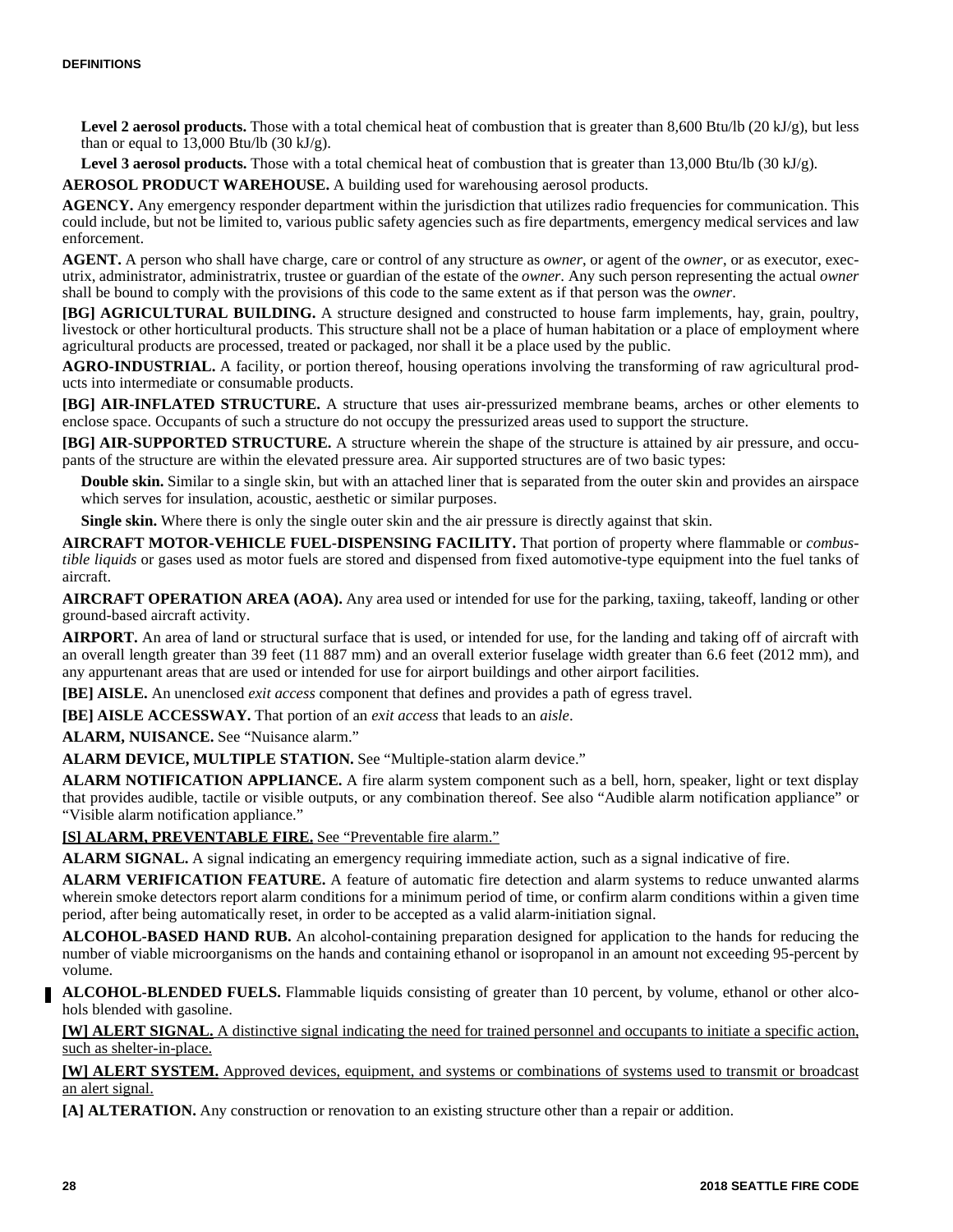Level 2 aerosol products. Those with a total chemical heat of combustion that is greater than 8,600 Btu/lb (20 kJ/g), but less than or equal to  $13,000$  Btu/lb  $(30 \text{ kJ/g})$ .

Level 3 aerosol products. Those with a total chemical heat of combustion that is greater than 13,000 Btu/lb (30 kJ/g).

**AEROSOL PRODUCT WAREHOUSE.** A building used for warehousing aerosol products.

**AGENCY.** Any emergency responder department within the jurisdiction that utilizes radio frequencies for communication. This could include, but not be limited to, various public safety agencies such as fire departments, emergency medical services and law enforcement.

**AGENT.** A person who shall have charge, care or control of any structure as *owner*, or agent of the *owner*, or as executor, executrix, administrator, administratrix, trustee or guardian of the estate of the *owner*. Any such person representing the actual *owner* shall be bound to comply with the provisions of this code to the same extent as if that person was the *owner*.

**[BG] AGRICULTURAL BUILDING.** A structure designed and constructed to house farm implements, hay, grain, poultry, livestock or other horticultural products. This structure shall not be a place of human habitation or a place of employment where agricultural products are processed, treated or packaged, nor shall it be a place used by the public.

**AGRO-INDUSTRIAL.** A facility, or portion thereof, housing operations involving the transforming of raw agricultural products into intermediate or consumable products.

**[BG] AIR-INFLATED STRUCTURE.** A structure that uses air-pressurized membrane beams, arches or other elements to enclose space. Occupants of such a structure do not occupy the pressurized areas used to support the structure.

**[BG] AIR-SUPPORTED STRUCTURE.** A structure wherein the shape of the structure is attained by air pressure, and occupants of the structure are within the elevated pressure area. Air supported structures are of two basic types:

**Double skin.** Similar to a single skin, but with an attached liner that is separated from the outer skin and provides an airspace which serves for insulation, acoustic, aesthetic or similar purposes.

**Single skin.** Where there is only the single outer skin and the air pressure is directly against that skin.

**AIRCRAFT MOTOR-VEHICLE FUEL-DISPENSING FACILITY.** That portion of property where flammable or *combustible liquids* or gases used as motor fuels are stored and dispensed from fixed automotive-type equipment into the fuel tanks of aircraft.

**AIRCRAFT OPERATION AREA (AOA).** Any area used or intended for use for the parking, taxiing, takeoff, landing or other ground-based aircraft activity.

**AIRPORT.** An area of land or structural surface that is used, or intended for use, for the landing and taking off of aircraft with an overall length greater than 39 feet (11 887 mm) and an overall exterior fuselage width greater than 6.6 feet (2012 mm), and any appurtenant areas that are used or intended for use for airport buildings and other airport facilities.

**[BE] AISLE.** An unenclosed *exit access* component that defines and provides a path of egress travel.

**[BE] AISLE ACCESSWAY.** That portion of an *exit access* that leads to an *aisle*.

**ALARM, NUISANCE.** See "Nuisance alarm."

**ALARM DEVICE, MULTIPLE STATION.** See "Multiple-station alarm device."

**ALARM NOTIFICATION APPLIANCE.** A fire alarm system component such as a bell, horn, speaker, light or text display that provides audible, tactile or visible outputs, or any combination thereof. See also "Audible alarm notification appliance" or "Visible alarm notification appliance."

**[S] ALARM, PREVENTABLE FIRE.** See "Preventable fire alarm."

**ALARM SIGNAL.** A signal indicating an emergency requiring immediate action, such as a signal indicative of fire.

**ALARM VERIFICATION FEATURE.** A feature of automatic fire detection and alarm systems to reduce unwanted alarms wherein smoke detectors report alarm conditions for a minimum period of time, or confirm alarm conditions within a given time period, after being automatically reset, in order to be accepted as a valid alarm-initiation signal.

**ALCOHOL-BASED HAND RUB.** An alcohol-containing preparation designed for application to the hands for reducing the number of viable microorganisms on the hands and containing ethanol or isopropanol in an amount not exceeding 95-percent by volume.

**ALCOHOL-BLENDED FUELS.** Flammable liquids consisting of greater than 10 percent, by volume, ethanol or other alcohols blended with gasoline.

**[W] ALERT SIGNAL.** A distinctive signal indicating the need for trained personnel and occupants to initiate a specific action, such as shelter-in-place.

**[W] ALERT SYSTEM.** Approved devices, equipment, and systems or combinations of systems used to transmit or broadcast an alert signal.

**[A] ALTERATION.** Any construction or renovation to an existing structure other than a repair or addition.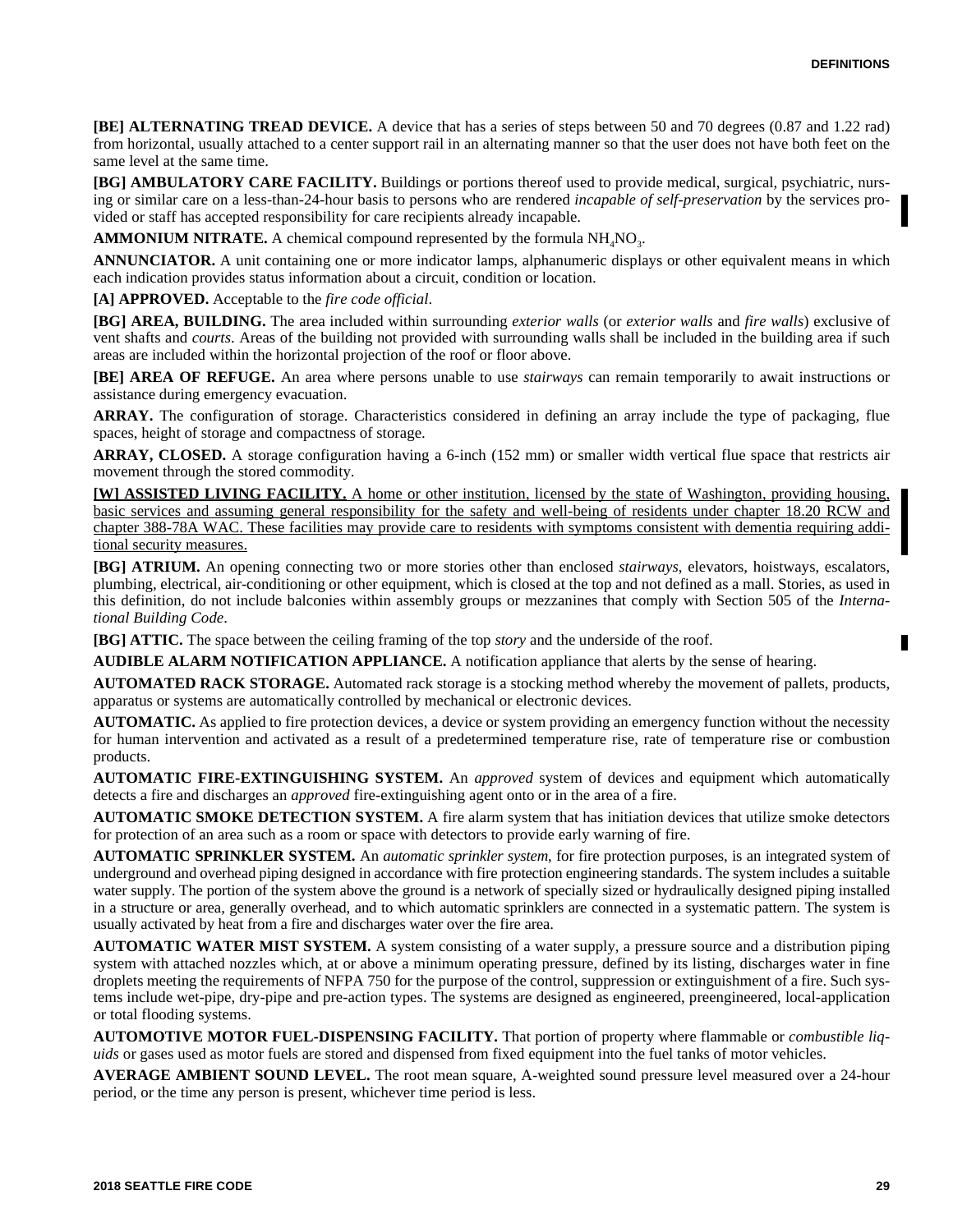**[BE] ALTERNATING TREAD DEVICE.** A device that has a series of steps between 50 and 70 degrees (0.87 and 1.22 rad) from horizontal, usually attached to a center support rail in an alternating manner so that the user does not have both feet on the same level at the same time.

**[BG] AMBULATORY CARE FACILITY.** Buildings or portions thereof used to provide medical, surgical, psychiatric, nursing or similar care on a less-than-24-hour basis to persons who are rendered *incapable of self-preservation* by the services provided or staff has accepted responsibility for care recipients already incapable.

**AMMONIUM NITRATE.** A chemical compound represented by the formula  $NH<sub>4</sub>NO<sub>3</sub>$ .

**ANNUNCIATOR.** A unit containing one or more indicator lamps, alphanumeric displays or other equivalent means in which each indication provides status information about a circuit, condition or location.

**[A] APPROVED.** Acceptable to the *fire code official*.

**[BG] AREA, BUILDING.** The area included within surrounding *exterior walls* (or *exterior walls* and *fire walls*) exclusive of vent shafts and *courts*. Areas of the building not provided with surrounding walls shall be included in the building area if such areas are included within the horizontal projection of the roof or floor above.

**[BE] AREA OF REFUGE.** An area where persons unable to use *stairways* can remain temporarily to await instructions or assistance during emergency evacuation.

**ARRAY.** The configuration of storage. Characteristics considered in defining an array include the type of packaging, flue spaces, height of storage and compactness of storage.

**ARRAY, CLOSED.** A storage configuration having a 6-inch (152 mm) or smaller width vertical flue space that restricts air movement through the stored commodity.

**[W] ASSISTED LIVING FACILITY.** A home or other institution, licensed by the state of Washington, providing housing, basic services and assuming general responsibility for the safety and well-being of residents under chapter 18.20 RCW and chapter 388-78A WAC. These facilities may provide care to residents with symptoms consistent with dementia requiring additional security measures.

**[BG] ATRIUM.** An opening connecting two or more stories other than enclosed *stairways*, elevators, hoistways, escalators, plumbing, electrical, air-conditioning or other equipment, which is closed at the top and not defined as a mall. Stories, as used in this definition, do not include balconies within assembly groups or mezzanines that comply with Section 505 of the *International Building Code*.

**[BG] ATTIC.** The space between the ceiling framing of the top *story* and the underside of the roof.

**AUDIBLE ALARM NOTIFICATION APPLIANCE.** A notification appliance that alerts by the sense of hearing.

**AUTOMATED RACK STORAGE.** Automated rack storage is a stocking method whereby the movement of pallets, products, apparatus or systems are automatically controlled by mechanical or electronic devices.

**AUTOMATIC.** As applied to fire protection devices, a device or system providing an emergency function without the necessity for human intervention and activated as a result of a predetermined temperature rise, rate of temperature rise or combustion products.

**AUTOMATIC FIRE-EXTINGUISHING SYSTEM.** An *approved* system of devices and equipment which automatically detects a fire and discharges an *approved* fire-extinguishing agent onto or in the area of a fire.

**AUTOMATIC SMOKE DETECTION SYSTEM.** A fire alarm system that has initiation devices that utilize smoke detectors for protection of an area such as a room or space with detectors to provide early warning of fire.

**AUTOMATIC SPRINKLER SYSTEM.** An *automatic sprinkler system*, for fire protection purposes, is an integrated system of underground and overhead piping designed in accordance with fire protection engineering standards. The system includes a suitable water supply. The portion of the system above the ground is a network of specially sized or hydraulically designed piping installed in a structure or area, generally overhead, and to which automatic sprinklers are connected in a systematic pattern. The system is usually activated by heat from a fire and discharges water over the fire area.

**AUTOMATIC WATER MIST SYSTEM.** A system consisting of a water supply, a pressure source and a distribution piping system with attached nozzles which, at or above a minimum operating pressure, defined by its listing, discharges water in fine droplets meeting the requirements of NFPA 750 for the purpose of the control, suppression or extinguishment of a fire. Such systems include wet-pipe, dry-pipe and pre-action types. The systems are designed as engineered, preengineered, local-application or total flooding systems.

**AUTOMOTIVE MOTOR FUEL-DISPENSING FACILITY.** That portion of property where flammable or *combustible liquids* or gases used as motor fuels are stored and dispensed from fixed equipment into the fuel tanks of motor vehicles.

**AVERAGE AMBIENT SOUND LEVEL.** The root mean square, A-weighted sound pressure level measured over a 24-hour period, or the time any person is present, whichever time period is less.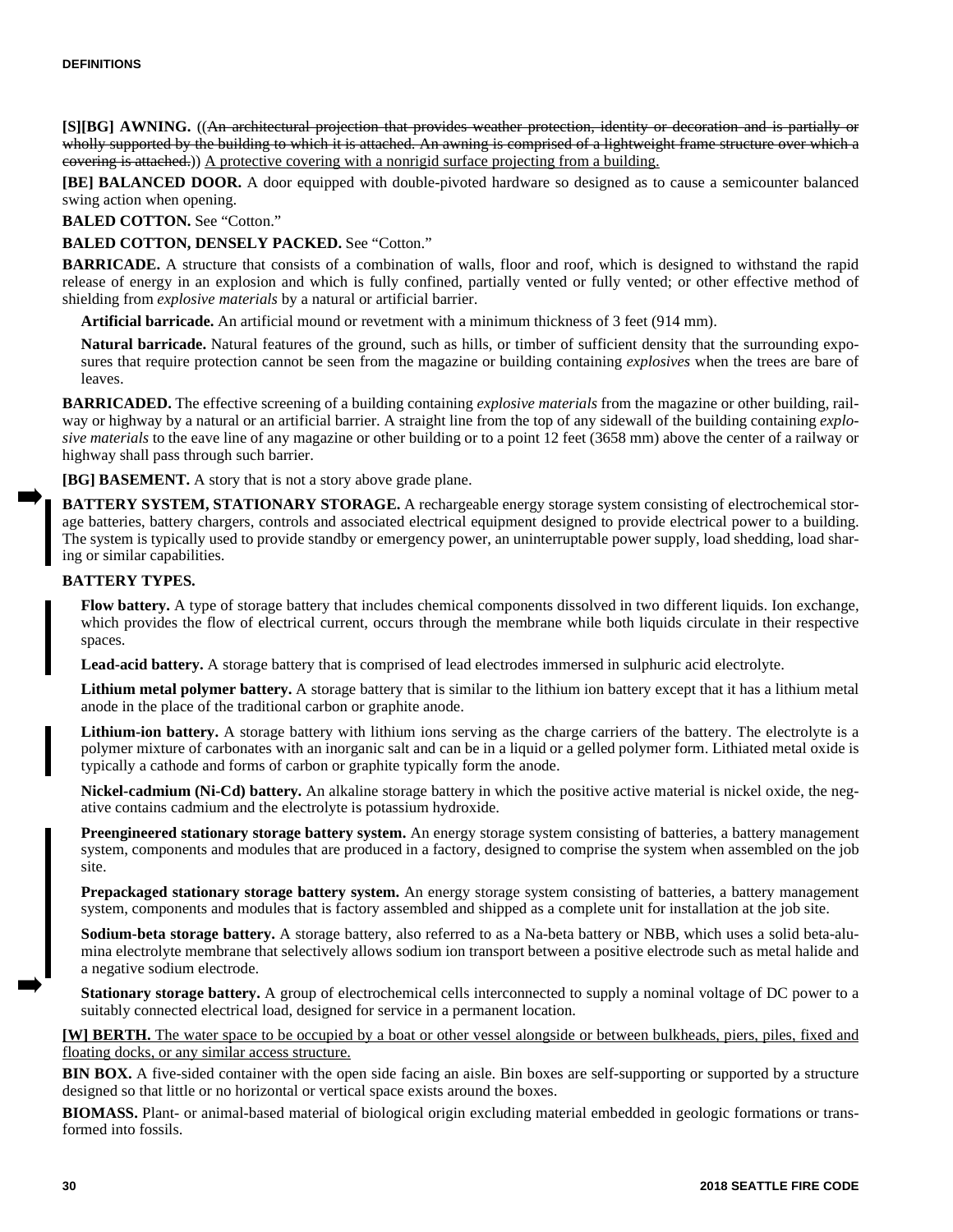**[S][BG] AWNING.** ((An architectural projection that provides weather protection, identity or decoration and is partially or wholly supported by the building to which it is attached. An awning is comprised of a lightweight frame structure over which a covering is attached.)) A protective covering with a nonrigid surface projecting from a building.

**[BE] BALANCED DOOR.** A door equipped with double-pivoted hardware so designed as to cause a semicounter balanced swing action when opening.

**BALED COTTON.** See "Cotton."

**BALED COTTON, DENSELY PACKED.** See "Cotton."

**BARRICADE.** A structure that consists of a combination of walls, floor and roof, which is designed to withstand the rapid release of energy in an explosion and which is fully confined, partially vented or fully vented; or other effective method of shielding from *explosive materials* by a natural or artificial barrier.

**Artificial barricade.** An artificial mound or revetment with a minimum thickness of 3 feet (914 mm).

**Natural barricade.** Natural features of the ground, such as hills, or timber of sufficient density that the surrounding exposures that require protection cannot be seen from the magazine or building containing *explosives* when the trees are bare of leaves.

**BARRICADED.** The effective screening of a building containing *explosive materials* from the magazine or other building, railway or highway by a natural or an artificial barrier. A straight line from the top of any sidewall of the building containing *explosive materials* to the eave line of any magazine or other building or to a point 12 feet (3658 mm) above the center of a railway or highway shall pass through such barrier.

**[BG] BASEMENT.** A story that is not a story above grade plane.

**BATTERY SYSTEM, STATIONARY STORAGE.** A rechargeable energy storage system consisting of electrochemical storage batteries, battery chargers, controls and associated electrical equipment designed to provide electrical power to a building. The system is typically used to provide standby or emergency power, an uninterruptable power supply, load shedding, load sharing or similar capabilities.

### **BATTERY TYPES.**

**Flow battery.** A type of storage battery that includes chemical components dissolved in two different liquids. Ion exchange, which provides the flow of electrical current, occurs through the membrane while both liquids circulate in their respective spaces.

**Lead-acid battery.** A storage battery that is comprised of lead electrodes immersed in sulphuric acid electrolyte.

**Lithium metal polymer battery.** A storage battery that is similar to the lithium ion battery except that it has a lithium metal anode in the place of the traditional carbon or graphite anode.

**Lithium-ion battery.** A storage battery with lithium ions serving as the charge carriers of the battery. The electrolyte is a polymer mixture of carbonates with an inorganic salt and can be in a liquid or a gelled polymer form. Lithiated metal oxide is typically a cathode and forms of carbon or graphite typically form the anode.

**Nickel-cadmium (Ni-Cd) battery.** An alkaline storage battery in which the positive active material is nickel oxide, the negative contains cadmium and the electrolyte is potassium hydroxide.

**Preengineered stationary storage battery system.** An energy storage system consisting of batteries, a battery management system, components and modules that are produced in a factory, designed to comprise the system when assembled on the job site.

**Prepackaged stationary storage battery system.** An energy storage system consisting of batteries, a battery management system, components and modules that is factory assembled and shipped as a complete unit for installation at the job site.

**Sodium-beta storage battery.** A storage battery, also referred to as a Na-beta battery or NBB, which uses a solid beta-alumina electrolyte membrane that selectively allows sodium ion transport between a positive electrode such as metal halide and a negative sodium electrode.

**Stationary storage battery.** A group of electrochemical cells interconnected to supply a nominal voltage of DC power to a suitably connected electrical load, designed for service in a permanent location.

**[W] BERTH.** The water space to be occupied by a boat or other vessel alongside or between bulkheads, piers, piles, fixed and floating docks, or any similar access structure.

**BIN BOX.** A five-sided container with the open side facing an aisle. Bin boxes are self-supporting or supported by a structure designed so that little or no horizontal or vertical space exists around the boxes.

**BIOMASS.** Plant- or animal-based material of biological origin excluding material embedded in geologic formations or transformed into fossils.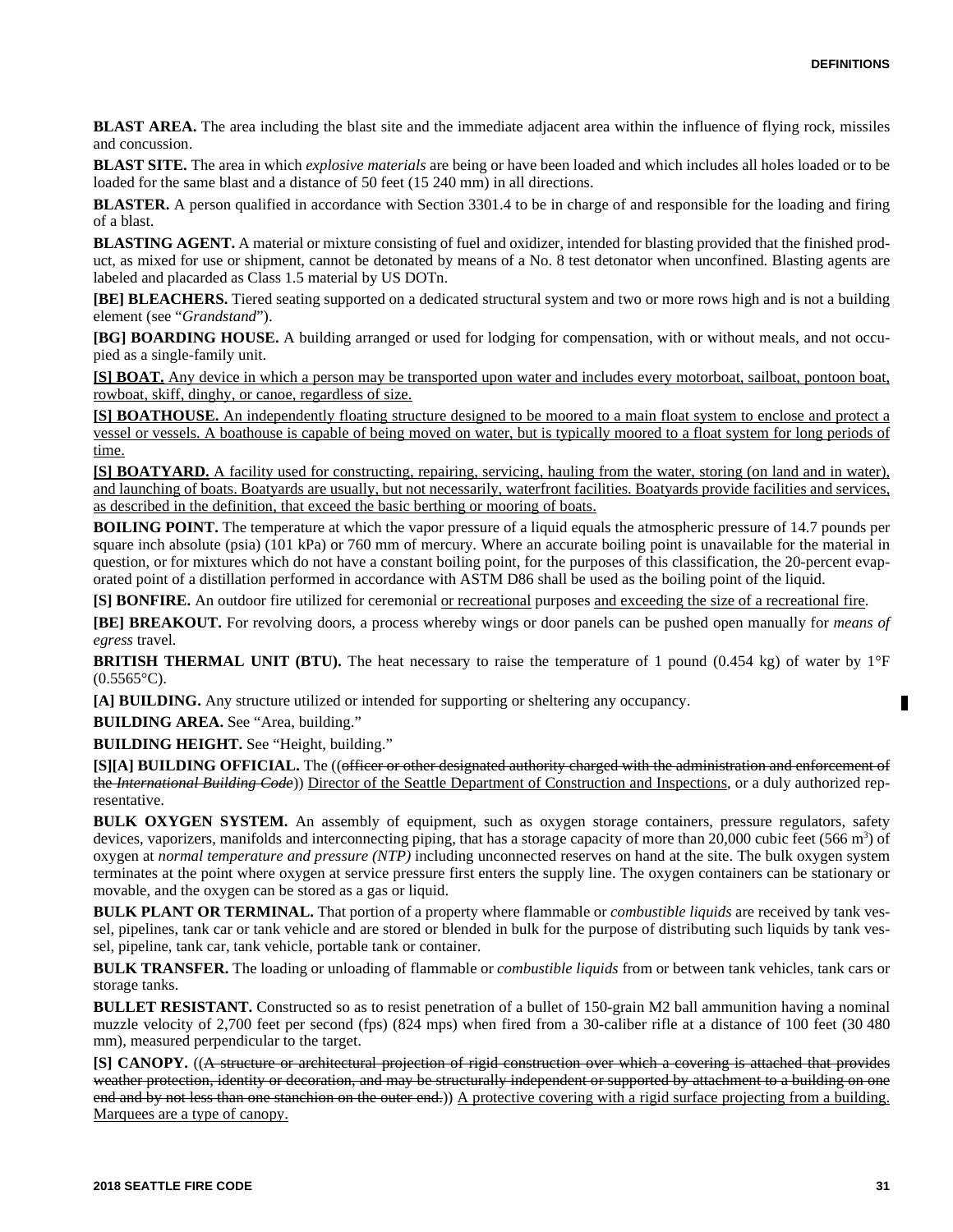**BLAST AREA.** The area including the blast site and the immediate adjacent area within the influence of flying rock, missiles and concussion.

**BLAST SITE.** The area in which *explosive materials* are being or have been loaded and which includes all holes loaded or to be loaded for the same blast and a distance of 50 feet (15 240 mm) in all directions.

**BLASTER.** A person qualified in accordance with Section 3301.4 to be in charge of and responsible for the loading and firing of a blast.

**BLASTING AGENT.** A material or mixture consisting of fuel and oxidizer, intended for blasting provided that the finished product, as mixed for use or shipment, cannot be detonated by means of a No. 8 test detonator when unconfined. Blasting agents are labeled and placarded as Class 1.5 material by US DOTn.

**[BE] BLEACHERS.** Tiered seating supported on a dedicated structural system and two or more rows high and is not a building element (see "*Grandstand*").

**[BG] BOARDING HOUSE.** A building arranged or used for lodging for compensation, with or without meals, and not occupied as a single-family unit.

**[S] BOAT.** Any device in which a person may be transported upon water and includes every motorboat, sailboat, pontoon boat, rowboat, skiff, dinghy, or canoe, regardless of size.

**[S] BOATHOUSE.** An independently floating structure designed to be moored to a main float system to enclose and protect a vessel or vessels. A boathouse is capable of being moved on water, but is typically moored to a float system for long periods of time.

**[S] BOATYARD.** A facility used for constructing, repairing, servicing, hauling from the water, storing (on land and in water), and launching of boats. Boatyards are usually, but not necessarily, waterfront facilities. Boatyards provide facilities and services, as described in the definition, that exceed the basic berthing or mooring of boats.

**BOILING POINT.** The temperature at which the vapor pressure of a liquid equals the atmospheric pressure of 14.7 pounds per square inch absolute (psia) (101 kPa) or 760 mm of mercury. Where an accurate boiling point is unavailable for the material in question, or for mixtures which do not have a constant boiling point, for the purposes of this classification, the 20-percent evaporated point of a distillation performed in accordance with ASTM D86 shall be used as the boiling point of the liquid.

**[S] BONFIRE.** An outdoor fire utilized for ceremonial or recreational purposes and exceeding the size of a recreational fire.

**[BE] BREAKOUT.** For revolving doors, a process whereby wings or door panels can be pushed open manually for *means of egress* travel.

**BRITISH THERMAL UNIT (BTU).** The heat necessary to raise the temperature of 1 pound (0.454 kg) of water by 1°F  $(0.5565^{\circ}C).$ 

**[A] BUILDING.** Any structure utilized or intended for supporting or sheltering any occupancy.

**BUILDING AREA.** See "Area, building."

**BUILDING HEIGHT.** See "Height, building."

**[S][A] BUILDING OFFICIAL.** The ((officer or other designated authority charged with the administration and enforcement of the *International Building Code*)) Director of the Seattle Department of Construction and Inspections, or a duly authorized representative.

**BULK OXYGEN SYSTEM.** An assembly of equipment, such as oxygen storage containers, pressure regulators, safety devices, vaporizers, manifolds and interconnecting piping, that has a storage capacity of more than 20,000 cubic feet (566 m<sup>3</sup>) of oxygen at *normal temperature and pressure (NTP)* including unconnected reserves on hand at the site. The bulk oxygen system terminates at the point where oxygen at service pressure first enters the supply line. The oxygen containers can be stationary or movable, and the oxygen can be stored as a gas or liquid.

**BULK PLANT OR TERMINAL.** That portion of a property where flammable or *combustible liquids* are received by tank vessel, pipelines, tank car or tank vehicle and are stored or blended in bulk for the purpose of distributing such liquids by tank vessel, pipeline, tank car, tank vehicle, portable tank or container.

**BULK TRANSFER.** The loading or unloading of flammable or *combustible liquids* from or between tank vehicles, tank cars or storage tanks.

**BULLET RESISTANT.** Constructed so as to resist penetration of a bullet of 150-grain M2 ball ammunition having a nominal muzzle velocity of 2,700 feet per second (fps) (824 mps) when fired from a 30-caliber rifle at a distance of 100 feet (30 480 mm), measured perpendicular to the target.

**[S] CANOPY.** ((A structure or architectural projection of rigid construction over which a covering is attached that provides weather protection, identity or decoration, and may be structurally independent or supported by attachment to a building on one end and by not less than one stanchion on the outer end.) A protective covering with a rigid surface projecting from a building. Marquees are a type of canopy.

Г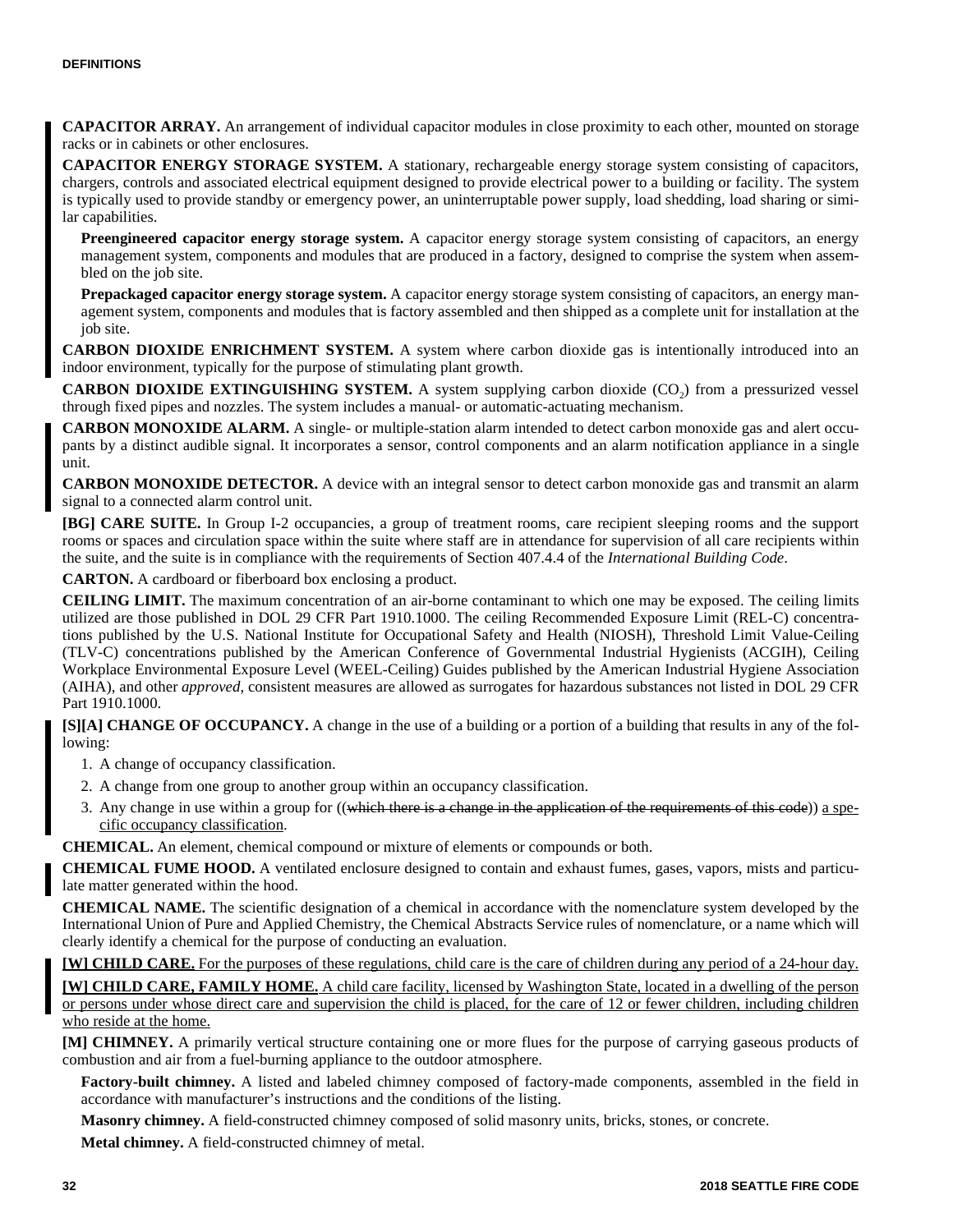**CAPACITOR ARRAY.** An arrangement of individual capacitor modules in close proximity to each other, mounted on storage racks or in cabinets or other enclosures.

**CAPACITOR ENERGY STORAGE SYSTEM.** A stationary, rechargeable energy storage system consisting of capacitors, chargers, controls and associated electrical equipment designed to provide electrical power to a building or facility. The system is typically used to provide standby or emergency power, an uninterruptable power supply, load shedding, load sharing or similar capabilities.

**Preengineered capacitor energy storage system.** A capacitor energy storage system consisting of capacitors, an energy management system, components and modules that are produced in a factory, designed to comprise the system when assembled on the job site.

**Prepackaged capacitor energy storage system.** A capacitor energy storage system consisting of capacitors, an energy management system, components and modules that is factory assembled and then shipped as a complete unit for installation at the job site.

**CARBON DIOXIDE ENRICHMENT SYSTEM.** A system where carbon dioxide gas is intentionally introduced into an indoor environment, typically for the purpose of stimulating plant growth.

**CARBON DIOXIDE EXTINGUISHING SYSTEM.** A system supplying carbon dioxide  $(CO<sub>2</sub>)$  from a pressurized vessel through fixed pipes and nozzles. The system includes a manual- or automatic-actuating mechanism.

**CARBON MONOXIDE ALARM.** A single- or multiple-station alarm intended to detect carbon monoxide gas and alert occupants by a distinct audible signal. It incorporates a sensor, control components and an alarm notification appliance in a single unit.

**CARBON MONOXIDE DETECTOR.** A device with an integral sensor to detect carbon monoxide gas and transmit an alarm signal to a connected alarm control unit.

**[BG] CARE SUITE.** In Group I-2 occupancies, a group of treatment rooms, care recipient sleeping rooms and the support rooms or spaces and circulation space within the suite where staff are in attendance for supervision of all care recipients within the suite, and the suite is in compliance with the requirements of Section 407.4.4 of the *International Building Code*.

**CARTON.** A cardboard or fiberboard box enclosing a product.

**CEILING LIMIT.** The maximum concentration of an air-borne contaminant to which one may be exposed. The ceiling limits utilized are those published in DOL 29 CFR Part 1910.1000. The ceiling Recommended Exposure Limit (REL-C) concentrations published by the U.S. National Institute for Occupational Safety and Health (NIOSH), Threshold Limit Value-Ceiling (TLV-C) concentrations published by the American Conference of Governmental Industrial Hygienists (ACGIH), Ceiling Workplace Environmental Exposure Level (WEEL-Ceiling) Guides published by the American Industrial Hygiene Association (AIHA), and other *approved*, consistent measures are allowed as surrogates for hazardous substances not listed in DOL 29 CFR Part 1910.1000.

**[S][A] CHANGE OF OCCUPANCY.** A change in the use of a building or a portion of a building that results in any of the following:

- 1. A change of occupancy classification.
- 2. A change from one group to another group within an occupancy classification.
- 3. Any change in use within a group for ((which there is a change in the application of the requirements of this code)) a specific occupancy classification.

**CHEMICAL.** An element, chemical compound or mixture of elements or compounds or both.

**CHEMICAL FUME HOOD.** A ventilated enclosure designed to contain and exhaust fumes, gases, vapors, mists and particulate matter generated within the hood.

**CHEMICAL NAME.** The scientific designation of a chemical in accordance with the nomenclature system developed by the International Union of Pure and Applied Chemistry, the Chemical Abstracts Service rules of nomenclature, or a name which will clearly identify a chemical for the purpose of conducting an evaluation.

**[W] CHILD CARE.** For the purposes of these regulations, child care is the care of children during any period of a 24-hour day.

**[W] CHILD CARE, FAMILY HOME.** A child care facility, licensed by Washington State, located in a dwelling of the person or persons under whose direct care and supervision the child is placed, for the care of 12 or fewer children, including children who reside at the home.

**[M] CHIMNEY.** A primarily vertical structure containing one or more flues for the purpose of carrying gaseous products of combustion and air from a fuel-burning appliance to the outdoor atmosphere.

**Factory-built chimney.** A listed and labeled chimney composed of factory-made components, assembled in the field in accordance with manufacturer's instructions and the conditions of the listing.

**Masonry chimney.** A field-constructed chimney composed of solid masonry units, bricks, stones, or concrete.

**Metal chimney.** A field-constructed chimney of metal.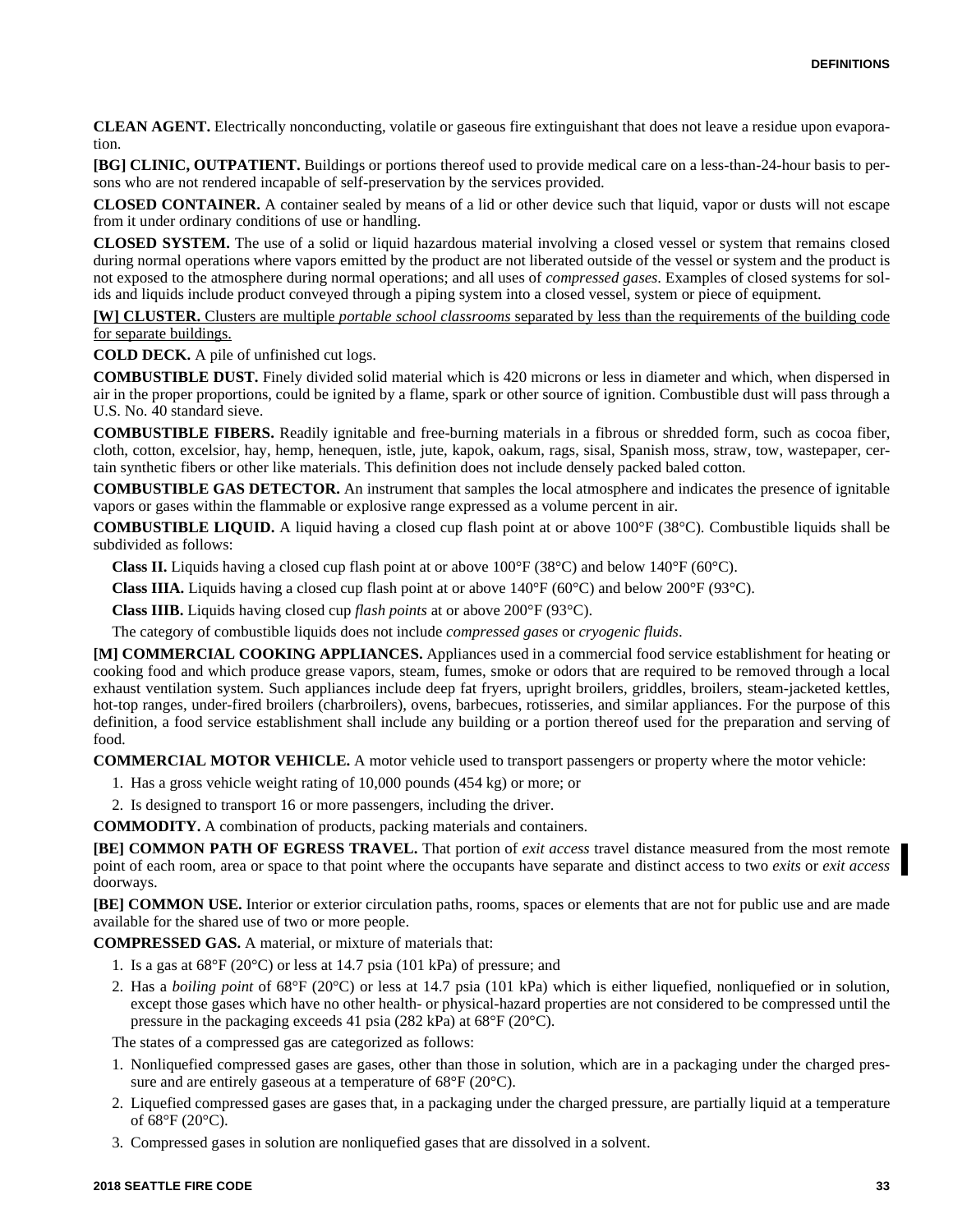**CLEAN AGENT.** Electrically nonconducting, volatile or gaseous fire extinguishant that does not leave a residue upon evaporation.

**[BG] CLINIC, OUTPATIENT.** Buildings or portions thereof used to provide medical care on a less-than-24-hour basis to persons who are not rendered incapable of self-preservation by the services provided.

**CLOSED CONTAINER.** A container sealed by means of a lid or other device such that liquid, vapor or dusts will not escape from it under ordinary conditions of use or handling.

**CLOSED SYSTEM.** The use of a solid or liquid hazardous material involving a closed vessel or system that remains closed during normal operations where vapors emitted by the product are not liberated outside of the vessel or system and the product is not exposed to the atmosphere during normal operations; and all uses of *compressed gases*. Examples of closed systems for solids and liquids include product conveyed through a piping system into a closed vessel, system or piece of equipment.

**[W] CLUSTER.** Clusters are multiple *portable school classrooms* separated by less than the requirements of the building code for separate buildings.

**COLD DECK.** A pile of unfinished cut logs.

**COMBUSTIBLE DUST.** Finely divided solid material which is 420 microns or less in diameter and which, when dispersed in air in the proper proportions, could be ignited by a flame, spark or other source of ignition. Combustible dust will pass through a U.S. No. 40 standard sieve.

**COMBUSTIBLE FIBERS.** Readily ignitable and free-burning materials in a fibrous or shredded form, such as cocoa fiber, cloth, cotton, excelsior, hay, hemp, henequen, istle, jute, kapok, oakum, rags, sisal, Spanish moss, straw, tow, wastepaper, certain synthetic fibers or other like materials. This definition does not include densely packed baled cotton.

**COMBUSTIBLE GAS DETECTOR.** An instrument that samples the local atmosphere and indicates the presence of ignitable vapors or gases within the flammable or explosive range expressed as a volume percent in air.

**COMBUSTIBLE LIQUID.** A liquid having a closed cup flash point at or above 100°F (38°C). Combustible liquids shall be subdivided as follows:

**Class II.** Liquids having a closed cup flash point at or above  $100^{\circ}F(38^{\circ}C)$  and below  $140^{\circ}F(60^{\circ}C)$ .

**Class IIIA.** Liquids having a closed cup flash point at or above  $140^{\circ}F (60^{\circ}C)$  and below  $200^{\circ}F (93^{\circ}C)$ .

**Class IIIB.** Liquids having closed cup *flash points* at or above 200°F (93°C).

The category of combustible liquids does not include *compressed gases* or *cryogenic fluids*.

**[M] COMMERCIAL COOKING APPLIANCES.** Appliances used in a commercial food service establishment for heating or cooking food and which produce grease vapors, steam, fumes, smoke or odors that are required to be removed through a local exhaust ventilation system. Such appliances include deep fat fryers, upright broilers, griddles, broilers, steam-jacketed kettles, hot-top ranges, under-fired broilers (charbroilers), ovens, barbecues, rotisseries, and similar appliances. For the purpose of this definition, a food service establishment shall include any building or a portion thereof used for the preparation and serving of food.

**COMMERCIAL MOTOR VEHICLE.** A motor vehicle used to transport passengers or property where the motor vehicle:

- 1. Has a gross vehicle weight rating of 10,000 pounds (454 kg) or more; or
- 2. Is designed to transport 16 or more passengers, including the driver.

**COMMODITY.** A combination of products, packing materials and containers.

**[BE] COMMON PATH OF EGRESS TRAVEL.** That portion of *exit access* travel distance measured from the most remote point of each room, area or space to that point where the occupants have separate and distinct access to two *exits* or *exit access* doorways.

**[BE] COMMON USE.** Interior or exterior circulation paths, rooms, spaces or elements that are not for public use and are made available for the shared use of two or more people.

**COMPRESSED GAS.** A material, or mixture of materials that:

- 1. Is a gas at 68°F (20°C) or less at 14.7 psia (101 kPa) of pressure; and
- 2. Has a *boiling point* of 68°F (20°C) or less at 14.7 psia (101 kPa) which is either liquefied, nonliquefied or in solution, except those gases which have no other health- or physical-hazard properties are not considered to be compressed until the pressure in the packaging exceeds 41 psia (282 kPa) at 68°F (20°C).

The states of a compressed gas are categorized as follows:

- 1. Nonliquefied compressed gases are gases, other than those in solution, which are in a packaging under the charged pressure and are entirely gaseous at a temperature of 68°F (20°C).
- 2. Liquefied compressed gases are gases that, in a packaging under the charged pressure, are partially liquid at a temperature of 68°F (20°C).
- 3. Compressed gases in solution are nonliquefied gases that are dissolved in a solvent.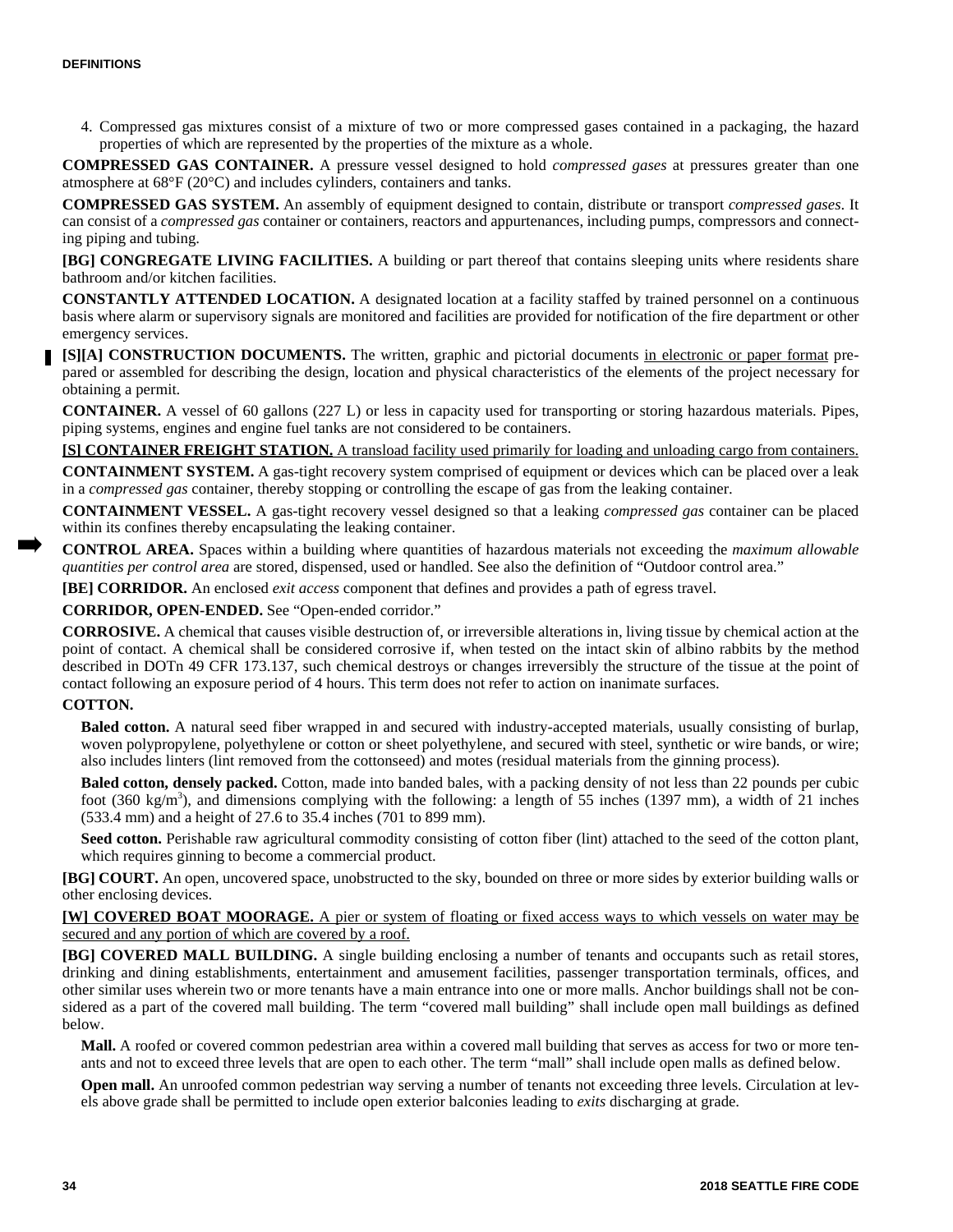4. Compressed gas mixtures consist of a mixture of two or more compressed gases contained in a packaging, the hazard properties of which are represented by the properties of the mixture as a whole.

**COMPRESSED GAS CONTAINER.** A pressure vessel designed to hold *compressed gases* at pressures greater than one atmosphere at 68°F (20°C) and includes cylinders, containers and tanks.

**COMPRESSED GAS SYSTEM.** An assembly of equipment designed to contain, distribute or transport *compressed gases*. It can consist of a *compressed gas* container or containers, reactors and appurtenances, including pumps, compressors and connecting piping and tubing.

**[BG] CONGREGATE LIVING FACILITIES.** A building or part thereof that contains sleeping units where residents share bathroom and/or kitchen facilities.

**CONSTANTLY ATTENDED LOCATION.** A designated location at a facility staffed by trained personnel on a continuous basis where alarm or supervisory signals are monitored and facilities are provided for notification of the fire department or other emergency services.

**[S][A] CONSTRUCTION DOCUMENTS.** The written, graphic and pictorial documents in electronic or paper format prepared or assembled for describing the design, location and physical characteristics of the elements of the project necessary for obtaining a permit.

**CONTAINER.** A vessel of 60 gallons (227 L) or less in capacity used for transporting or storing hazardous materials. Pipes, piping systems, engines and engine fuel tanks are not considered to be containers.

**[S] CONTAINER FREIGHT STATION.** A transload facility used primarily for loading and unloading cargo from containers.

**CONTAINMENT SYSTEM.** A gas-tight recovery system comprised of equipment or devices which can be placed over a leak in a *compressed gas* container, thereby stopping or controlling the escape of gas from the leaking container.

**CONTAINMENT VESSEL.** A gas-tight recovery vessel designed so that a leaking *compressed gas* container can be placed within its confines thereby encapsulating the leaking container.

**CONTROL AREA.** Spaces within a building where quantities of hazardous materials not exceeding the *maximum allowable quantities per control area* are stored, dispensed, used or handled. See also the definition of "Outdoor control area."

**[BE] CORRIDOR.** An enclosed *exit access* component that defines and provides a path of egress travel.

**CORRIDOR, OPEN-ENDED.** See "Open-ended corridor."

**CORROSIVE.** A chemical that causes visible destruction of, or irreversible alterations in, living tissue by chemical action at the point of contact. A chemical shall be considered corrosive if, when tested on the intact skin of albino rabbits by the method described in DOTn 49 CFR 173.137, such chemical destroys or changes irreversibly the structure of the tissue at the point of contact following an exposure period of 4 hours. This term does not refer to action on inanimate surfaces.

#### **COTTON.**

**Baled cotton.** A natural seed fiber wrapped in and secured with industry-accepted materials, usually consisting of burlap, woven polypropylene, polyethylene or cotton or sheet polyethylene, and secured with steel, synthetic or wire bands, or wire; also includes linters (lint removed from the cottonseed) and motes (residual materials from the ginning process).

**Baled cotton, densely packed.** Cotton, made into banded bales, with a packing density of not less than 22 pounds per cubic foot (360 kg/m<sup>3</sup>), and dimensions complying with the following: a length of 55 inches (1397 mm), a width of 21 inches (533.4 mm) and a height of 27.6 to 35.4 inches (701 to 899 mm).

**Seed cotton.** Perishable raw agricultural commodity consisting of cotton fiber (lint) attached to the seed of the cotton plant, which requires ginning to become a commercial product.

**[BG] COURT.** An open, uncovered space, unobstructed to the sky, bounded on three or more sides by exterior building walls or other enclosing devices.

**[W] COVERED BOAT MOORAGE.** A pier or system of floating or fixed access ways to which vessels on water may be secured and any portion of which are covered by a roof.

**[BG] COVERED MALL BUILDING.** A single building enclosing a number of tenants and occupants such as retail stores, drinking and dining establishments, entertainment and amusement facilities, passenger transportation terminals, offices, and other similar uses wherein two or more tenants have a main entrance into one or more malls. Anchor buildings shall not be considered as a part of the covered mall building. The term "covered mall building" shall include open mall buildings as defined below.

**Mall.** A roofed or covered common pedestrian area within a covered mall building that serves as access for two or more tenants and not to exceed three levels that are open to each other. The term "mall" shall include open malls as defined below.

**Open mall.** An unroofed common pedestrian way serving a number of tenants not exceeding three levels. Circulation at levels above grade shall be permitted to include open exterior balconies leading to *exits* discharging at grade.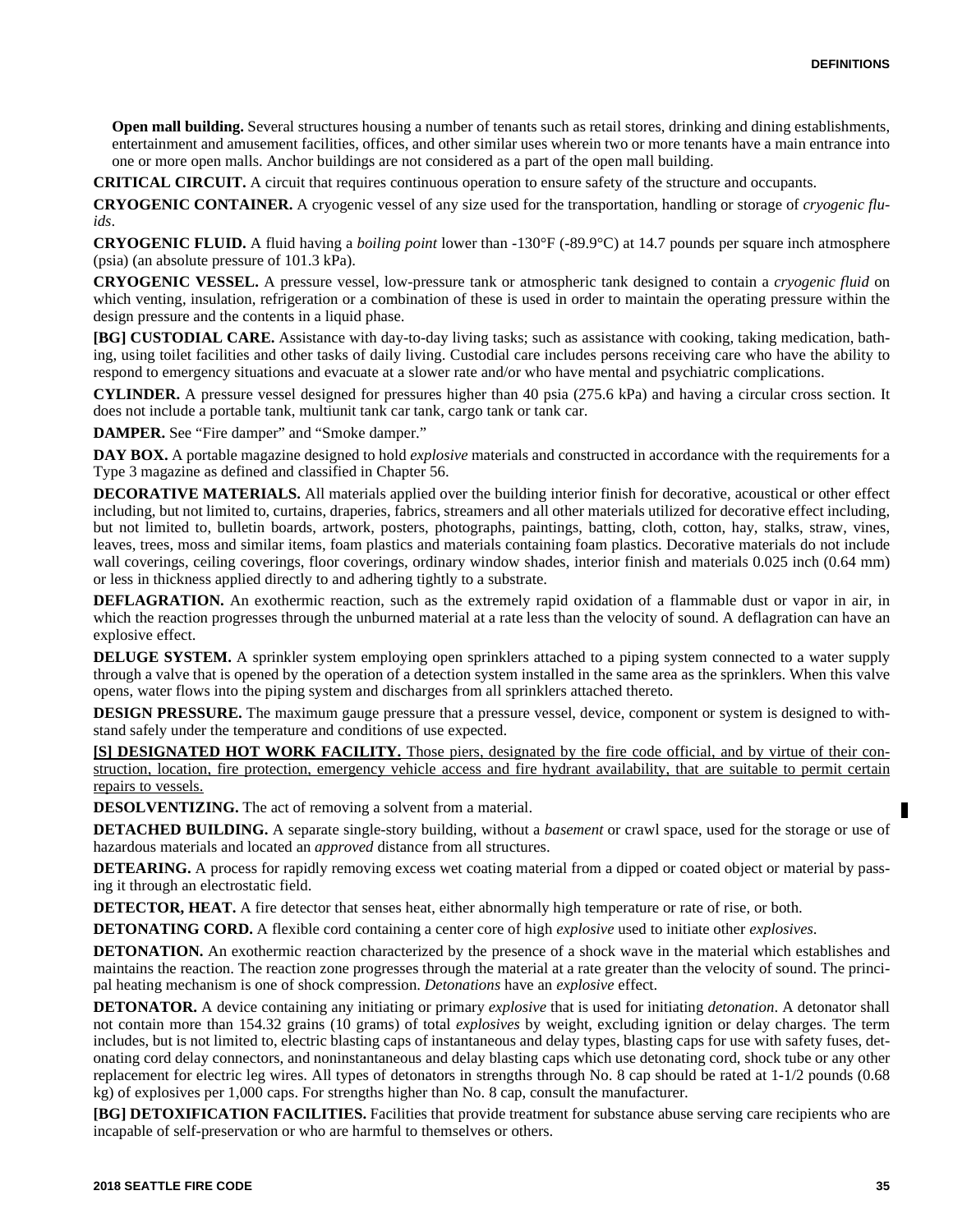**Open mall building.** Several structures housing a number of tenants such as retail stores, drinking and dining establishments, entertainment and amusement facilities, offices, and other similar uses wherein two or more tenants have a main entrance into one or more open malls. Anchor buildings are not considered as a part of the open mall building.

**CRITICAL CIRCUIT.** A circuit that requires continuous operation to ensure safety of the structure and occupants.

**CRYOGENIC CONTAINER.** A cryogenic vessel of any size used for the transportation, handling or storage of *cryogenic fluids*.

**CRYOGENIC FLUID.** A fluid having a *boiling point* lower than -130°F (-89.9°C) at 14.7 pounds per square inch atmosphere (psia) (an absolute pressure of 101.3 kPa).

**CRYOGENIC VESSEL.** A pressure vessel, low-pressure tank or atmospheric tank designed to contain a *cryogenic fluid* on which venting, insulation, refrigeration or a combination of these is used in order to maintain the operating pressure within the design pressure and the contents in a liquid phase.

**[BG] CUSTODIAL CARE.** Assistance with day-to-day living tasks; such as assistance with cooking, taking medication, bathing, using toilet facilities and other tasks of daily living. Custodial care includes persons receiving care who have the ability to respond to emergency situations and evacuate at a slower rate and/or who have mental and psychiatric complications.

**CYLINDER.** A pressure vessel designed for pressures higher than 40 psia (275.6 kPa) and having a circular cross section. It does not include a portable tank, multiunit tank car tank, cargo tank or tank car.

**DAMPER.** See "Fire damper" and "Smoke damper."

**DAY BOX.** A portable magazine designed to hold *explosive* materials and constructed in accordance with the requirements for a Type 3 magazine as defined and classified in Chapter 56.

**DECORATIVE MATERIALS.** All materials applied over the building interior finish for decorative, acoustical or other effect including, but not limited to, curtains, draperies, fabrics, streamers and all other materials utilized for decorative effect including, but not limited to, bulletin boards, artwork, posters, photographs, paintings, batting, cloth, cotton, hay, stalks, straw, vines, leaves, trees, moss and similar items, foam plastics and materials containing foam plastics. Decorative materials do not include wall coverings, ceiling coverings, floor coverings, ordinary window shades, interior finish and materials 0.025 inch (0.64 mm) or less in thickness applied directly to and adhering tightly to a substrate.

**DEFLAGRATION.** An exothermic reaction, such as the extremely rapid oxidation of a flammable dust or vapor in air, in which the reaction progresses through the unburned material at a rate less than the velocity of sound. A deflagration can have an explosive effect.

**DELUGE SYSTEM.** A sprinkler system employing open sprinklers attached to a piping system connected to a water supply through a valve that is opened by the operation of a detection system installed in the same area as the sprinklers. When this valve opens, water flows into the piping system and discharges from all sprinklers attached thereto.

**DESIGN PRESSURE.** The maximum gauge pressure that a pressure vessel, device, component or system is designed to withstand safely under the temperature and conditions of use expected.

**[S] DESIGNATED HOT WORK FACILITY.** Those piers, designated by the fire code official, and by virtue of their construction, location, fire protection, emergency vehicle access and fire hydrant availability, that are suitable to permit certain repairs to vessels.

**DESOLVENTIZING.** The act of removing a solvent from a material.

**DETACHED BUILDING.** A separate single-story building, without a *basement* or crawl space, used for the storage or use of hazardous materials and located an *approved* distance from all structures.

**DETEARING.** A process for rapidly removing excess wet coating material from a dipped or coated object or material by passing it through an electrostatic field.

**DETECTOR, HEAT.** A fire detector that senses heat, either abnormally high temperature or rate of rise, or both.

**DETONATING CORD.** A flexible cord containing a center core of high *explosive* used to initiate other *explosives*.

**DETONATION.** An exothermic reaction characterized by the presence of a shock wave in the material which establishes and maintains the reaction. The reaction zone progresses through the material at a rate greater than the velocity of sound. The principal heating mechanism is one of shock compression. *Detonations* have an *explosive* effect.

**DETONATOR.** A device containing any initiating or primary *explosive* that is used for initiating *detonation*. A detonator shall not contain more than 154.32 grains (10 grams) of total *explosives* by weight, excluding ignition or delay charges. The term includes, but is not limited to, electric blasting caps of instantaneous and delay types, blasting caps for use with safety fuses, detonating cord delay connectors, and noninstantaneous and delay blasting caps which use detonating cord, shock tube or any other replacement for electric leg wires. All types of detonators in strengths through No. 8 cap should be rated at 1-1/2 pounds (0.68 kg) of explosives per 1,000 caps. For strengths higher than No. 8 cap, consult the manufacturer.

**[BG] DETOXIFICATION FACILITIES.** Facilities that provide treatment for substance abuse serving care recipients who are incapable of self-preservation or who are harmful to themselves or others.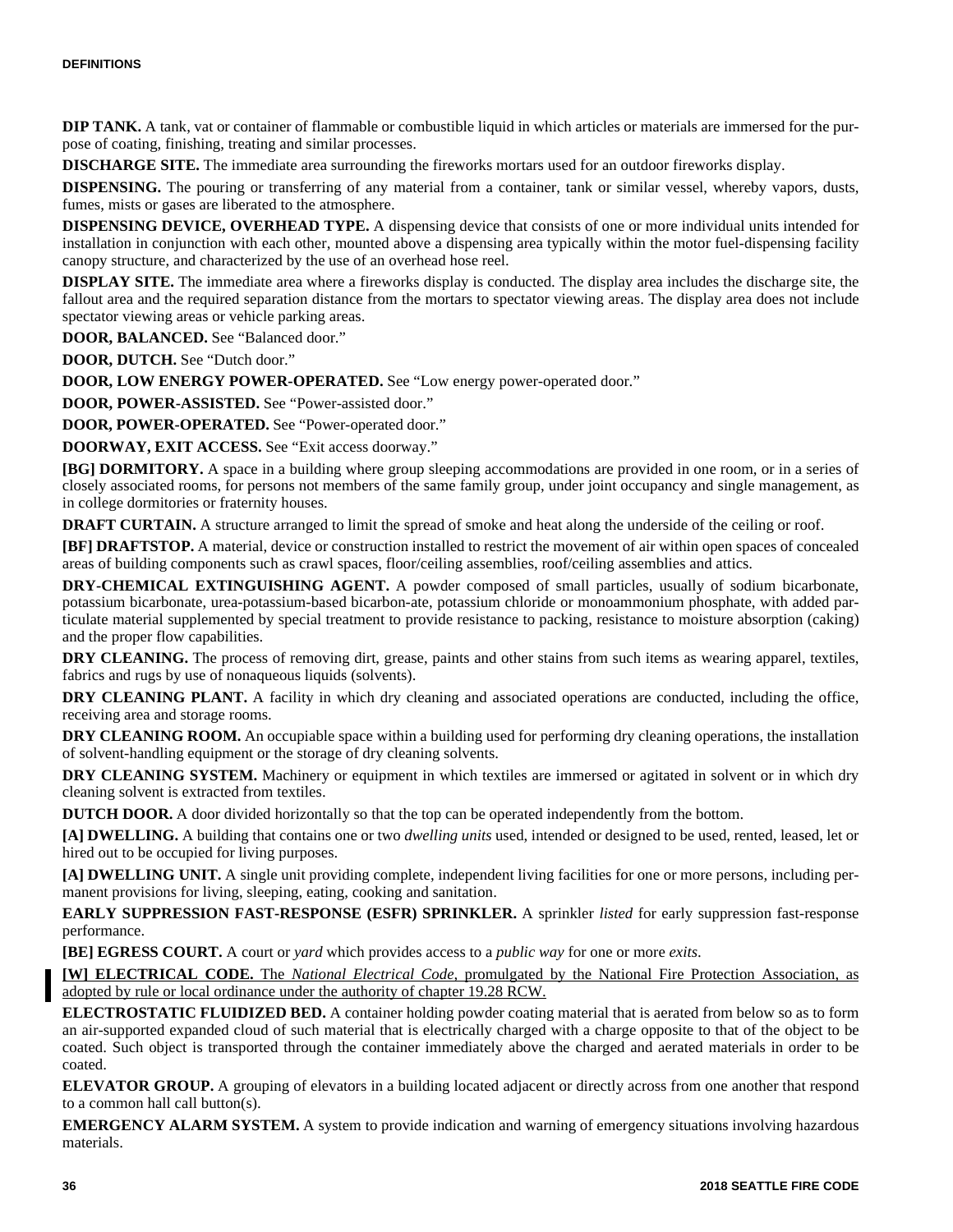**DIP TANK.** A tank, vat or container of flammable or combustible liquid in which articles or materials are immersed for the purpose of coating, finishing, treating and similar processes.

**DISCHARGE SITE.** The immediate area surrounding the fireworks mortars used for an outdoor fireworks display.

**DISPENSING.** The pouring or transferring of any material from a container, tank or similar vessel, whereby vapors, dusts, fumes, mists or gases are liberated to the atmosphere.

**DISPENSING DEVICE, OVERHEAD TYPE.** A dispensing device that consists of one or more individual units intended for installation in conjunction with each other, mounted above a dispensing area typically within the motor fuel-dispensing facility canopy structure, and characterized by the use of an overhead hose reel.

**DISPLAY SITE.** The immediate area where a fireworks display is conducted. The display area includes the discharge site, the fallout area and the required separation distance from the mortars to spectator viewing areas. The display area does not include spectator viewing areas or vehicle parking areas.

**DOOR, BALANCED.** See "Balanced door."

**DOOR, DUTCH.** See "Dutch door."

**DOOR, LOW ENERGY POWER-OPERATED.** See "Low energy power-operated door."

**DOOR, POWER-ASSISTED.** See "Power-assisted door."

**DOOR, POWER-OPERATED.** See "Power-operated door."

**DOORWAY, EXIT ACCESS.** See "Exit access doorway."

**[BG] DORMITORY.** A space in a building where group sleeping accommodations are provided in one room, or in a series of closely associated rooms, for persons not members of the same family group, under joint occupancy and single management, as in college dormitories or fraternity houses.

**DRAFT CURTAIN.** A structure arranged to limit the spread of smoke and heat along the underside of the ceiling or roof.

**[BF] DRAFTSTOP.** A material, device or construction installed to restrict the movement of air within open spaces of concealed areas of building components such as crawl spaces, floor/ceiling assemblies, roof/ceiling assemblies and attics.

**DRY-CHEMICAL EXTINGUISHING AGENT.** A powder composed of small particles, usually of sodium bicarbonate, potassium bicarbonate, urea-potassium-based bicarbon-ate, potassium chloride or monoammonium phosphate, with added particulate material supplemented by special treatment to provide resistance to packing, resistance to moisture absorption (caking) and the proper flow capabilities.

**DRY CLEANING.** The process of removing dirt, grease, paints and other stains from such items as wearing apparel, textiles, fabrics and rugs by use of nonaqueous liquids (solvents).

**DRY CLEANING PLANT.** A facility in which dry cleaning and associated operations are conducted, including the office, receiving area and storage rooms.

**DRY CLEANING ROOM.** An occupiable space within a building used for performing dry cleaning operations, the installation of solvent-handling equipment or the storage of dry cleaning solvents.

**DRY CLEANING SYSTEM.** Machinery or equipment in which textiles are immersed or agitated in solvent or in which dry cleaning solvent is extracted from textiles.

**DUTCH DOOR.** A door divided horizontally so that the top can be operated independently from the bottom.

**[A] DWELLING.** A building that contains one or two *dwelling units* used, intended or designed to be used, rented, leased, let or hired out to be occupied for living purposes.

**[A] DWELLING UNIT.** A single unit providing complete, independent living facilities for one or more persons, including permanent provisions for living, sleeping, eating, cooking and sanitation.

**EARLY SUPPRESSION FAST-RESPONSE (ESFR) SPRINKLER.** A sprinkler *listed* for early suppression fast-response performance.

**[BE] EGRESS COURT.** A court or *yard* which provides access to a *public way* for one or more *exits*.

**[W] ELECTRICAL CODE.** The *National Electrical Code,* promulgated by the National Fire Protection Association, as adopted by rule or local ordinance under the authority of chapter 19.28 RCW.

**ELECTROSTATIC FLUIDIZED BED.** A container holding powder coating material that is aerated from below so as to form an air-supported expanded cloud of such material that is electrically charged with a charge opposite to that of the object to be coated. Such object is transported through the container immediately above the charged and aerated materials in order to be coated.

**ELEVATOR GROUP.** A grouping of elevators in a building located adjacent or directly across from one another that respond to a common hall call button(s).

**EMERGENCY ALARM SYSTEM.** A system to provide indication and warning of emergency situations involving hazardous materials.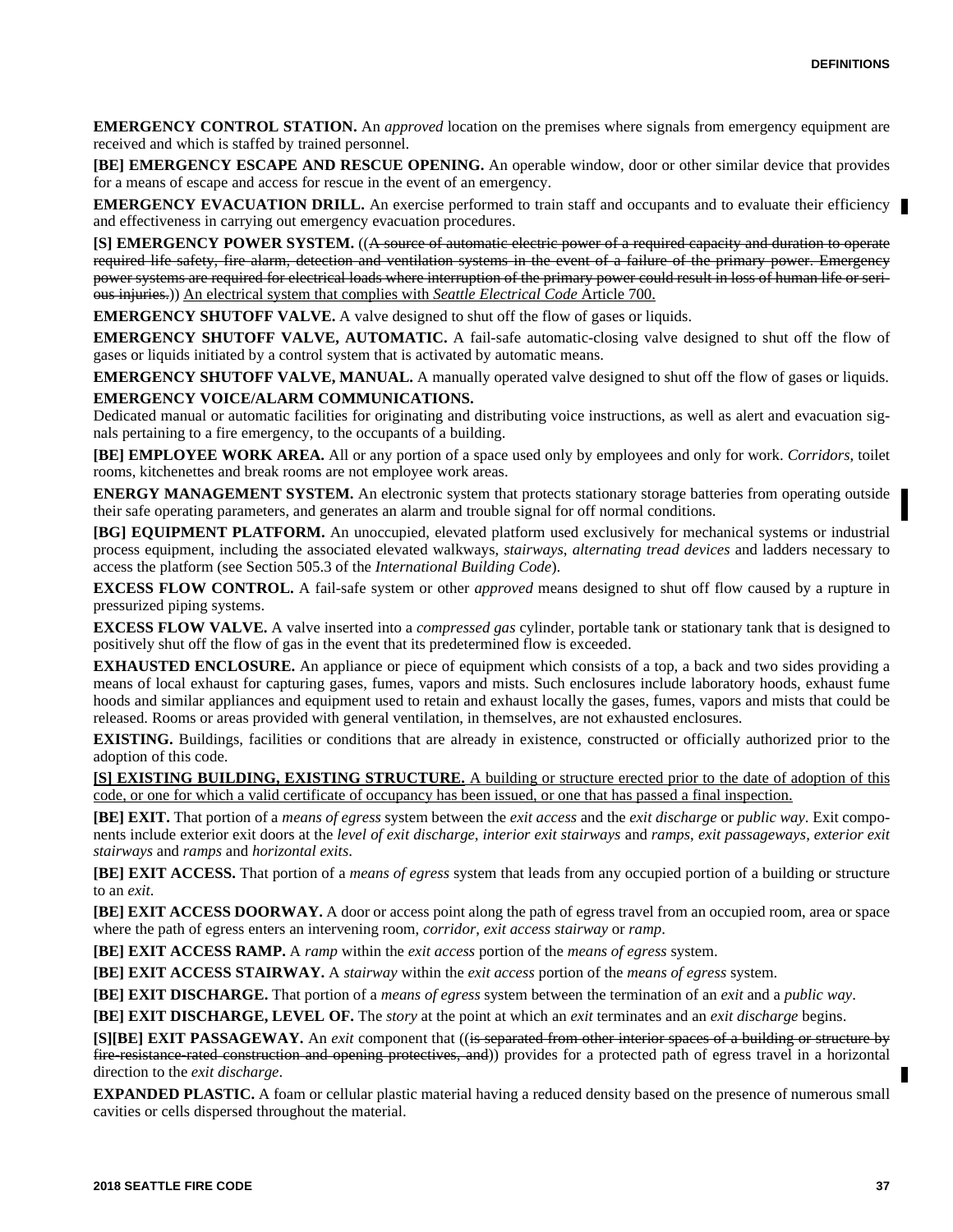**EMERGENCY CONTROL STATION.** An *approved* location on the premises where signals from emergency equipment are received and which is staffed by trained personnel.

**[BE] EMERGENCY ESCAPE AND RESCUE OPENING.** An operable window, door or other similar device that provides for a means of escape and access for rescue in the event of an emergency.

**EMERGENCY EVACUATION DRILL.** An exercise performed to train staff and occupants and to evaluate their efficiency and effectiveness in carrying out emergency evacuation procedures.

**[S] EMERGENCY POWER SYSTEM.** ((A source of automatic electric power of a required capacity and duration to operate required life safety, fire alarm, detection and ventilation systems in the event of a failure of the primary power. Emergency power systems are required for electrical loads where interruption of the primary power could result in loss of human life or serious injuries.)) An electrical system that complies with *Seattle Electrical Code* Article 700.

**EMERGENCY SHUTOFF VALVE.** A valve designed to shut off the flow of gases or liquids.

**EMERGENCY SHUTOFF VALVE, AUTOMATIC.** A fail-safe automatic-closing valve designed to shut off the flow of gases or liquids initiated by a control system that is activated by automatic means.

**EMERGENCY SHUTOFF VALVE, MANUAL.** A manually operated valve designed to shut off the flow of gases or liquids. **EMERGENCY VOICE/ALARM COMMUNICATIONS.**

Dedicated manual or automatic facilities for originating and distributing voice instructions, as well as alert and evacuation signals pertaining to a fire emergency, to the occupants of a building.

**[BE] EMPLOYEE WORK AREA.** All or any portion of a space used only by employees and only for work. *Corridors*, toilet rooms, kitchenettes and break rooms are not employee work areas.

**ENERGY MANAGEMENT SYSTEM.** An electronic system that protects stationary storage batteries from operating outside their safe operating parameters, and generates an alarm and trouble signal for off normal conditions.

**[BG] EQUIPMENT PLATFORM.** An unoccupied, elevated platform used exclusively for mechanical systems or industrial process equipment, including the associated elevated walkways, *stairways*, *alternating tread devices* and ladders necessary to access the platform (see Section 505.3 of the *International Building Code*).

**EXCESS FLOW CONTROL.** A fail-safe system or other *approved* means designed to shut off flow caused by a rupture in pressurized piping systems.

**EXCESS FLOW VALVE.** A valve inserted into a *compressed gas* cylinder, portable tank or stationary tank that is designed to positively shut off the flow of gas in the event that its predetermined flow is exceeded.

**EXHAUSTED ENCLOSURE.** An appliance or piece of equipment which consists of a top, a back and two sides providing a means of local exhaust for capturing gases, fumes, vapors and mists. Such enclosures include laboratory hoods, exhaust fume hoods and similar appliances and equipment used to retain and exhaust locally the gases, fumes, vapors and mists that could be released. Rooms or areas provided with general ventilation, in themselves, are not exhausted enclosures.

**EXISTING.** Buildings, facilities or conditions that are already in existence, constructed or officially authorized prior to the adoption of this code.

**[S] EXISTING BUILDING, EXISTING STRUCTURE.** A building or structure erected prior to the date of adoption of this code, or one for which a valid certificate of occupancy has been issued, or one that has passed a final inspection.

**[BE] EXIT.** That portion of a *means of egress* system between the *exit access* and the *exit discharge* or *public way*. Exit components include exterior exit doors at the *level of exit discharge*, *interior exit stairways* and *ramps*, *exit passageways*, *exterior exit stairways* and *ramps* and *horizontal exits*.

**[BE] EXIT ACCESS.** That portion of a *means of egress* system that leads from any occupied portion of a building or structure to an *exit*.

**[BE] EXIT ACCESS DOORWAY.** A door or access point along the path of egress travel from an occupied room, area or space where the path of egress enters an intervening room, *corridor*, *exit access stairway* or *ramp*.

**[BE] EXIT ACCESS RAMP.** A *ramp* within the *exit access* portion of the *means of egress* system.

**[BE] EXIT ACCESS STAIRWAY.** A *stairway* within the *exit access* portion of the *means of egress* system.

**[BE] EXIT DISCHARGE.** That portion of a *means of egress* system between the termination of an *exit* and a *public way*.

**[BE] EXIT DISCHARGE, LEVEL OF.** The *story* at the point at which an *exit* terminates and an *exit discharge* begins.

**[S][BE] EXIT PASSAGEWAY.** An *exit* component that ((is separated from other interior spaces of a building or structure by fire-resistance-rated construction and opening protectives, and)) provides for a protected path of egress travel in a horizontal direction to the *exit discharge*.

**EXPANDED PLASTIC.** A foam or cellular plastic material having a reduced density based on the presence of numerous small cavities or cells dispersed throughout the material.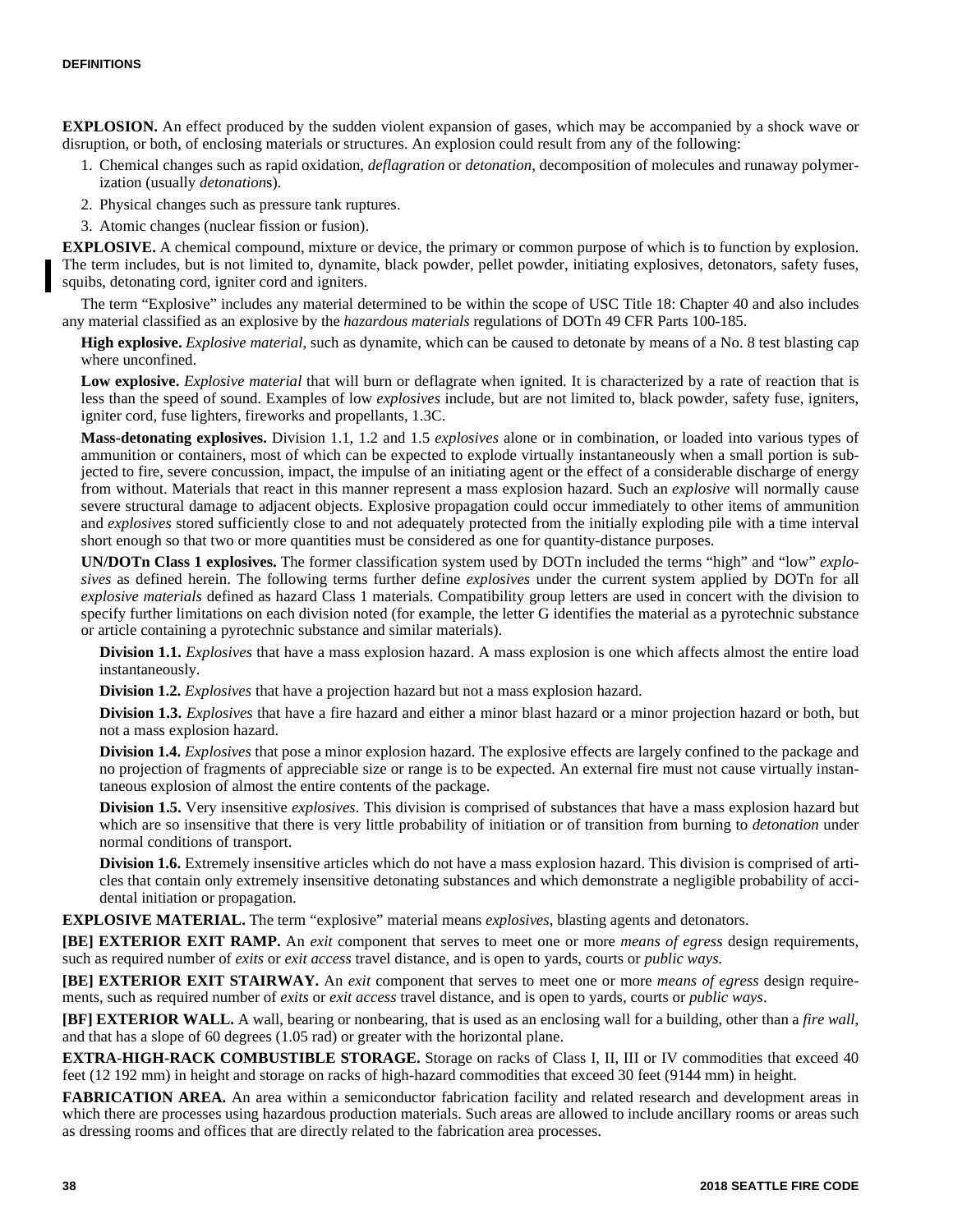**EXPLOSION.** An effect produced by the sudden violent expansion of gases, which may be accompanied by a shock wave or disruption, or both, of enclosing materials or structures. An explosion could result from any of the following:

- 1. Chemical changes such as rapid oxidation, *deflagration* or *detonation*, decomposition of molecules and runaway polymerization (usually *detonation*s).
- 2. Physical changes such as pressure tank ruptures.
- 3. Atomic changes (nuclear fission or fusion).

**EXPLOSIVE.** A chemical compound, mixture or device, the primary or common purpose of which is to function by explosion. The term includes, but is not limited to, dynamite, black powder, pellet powder, initiating explosives, detonators, safety fuses, squibs, detonating cord, igniter cord and igniters.

The term "Explosive" includes any material determined to be within the scope of USC Title 18: Chapter 40 and also includes any material classified as an explosive by the *hazardous materials* regulations of DOTn 49 CFR Parts 100-185.

**High explosive.** *Explosive material*, such as dynamite, which can be caused to detonate by means of a No. 8 test blasting cap where unconfined.

**Low explosive.** *Explosive material* that will burn or deflagrate when ignited. It is characterized by a rate of reaction that is less than the speed of sound. Examples of low *explosives* include, but are not limited to, black powder, safety fuse, igniters, igniter cord, fuse lighters, fireworks and propellants, 1.3C.

**Mass-detonating explosives.** Division 1.1, 1.2 and 1.5 *explosives* alone or in combination, or loaded into various types of ammunition or containers, most of which can be expected to explode virtually instantaneously when a small portion is subjected to fire, severe concussion, impact, the impulse of an initiating agent or the effect of a considerable discharge of energy from without. Materials that react in this manner represent a mass explosion hazard. Such an *explosive* will normally cause severe structural damage to adjacent objects. Explosive propagation could occur immediately to other items of ammunition and *explosives* stored sufficiently close to and not adequately protected from the initially exploding pile with a time interval short enough so that two or more quantities must be considered as one for quantity-distance purposes.

**UN/DOTn Class 1 explosives.** The former classification system used by DOTn included the terms "high" and "low" *explosives* as defined herein. The following terms further define *explosives* under the current system applied by DOTn for all *explosive materials* defined as hazard Class 1 materials. Compatibility group letters are used in concert with the division to specify further limitations on each division noted (for example, the letter G identifies the material as a pyrotechnic substance or article containing a pyrotechnic substance and similar materials).

**Division 1.1.** *Explosives* that have a mass explosion hazard. A mass explosion is one which affects almost the entire load instantaneously.

**Division 1.2.** *Explosives* that have a projection hazard but not a mass explosion hazard.

**Division 1.3.** *Explosives* that have a fire hazard and either a minor blast hazard or a minor projection hazard or both, but not a mass explosion hazard.

**Division 1.4.** *Explosives* that pose a minor explosion hazard. The explosive effects are largely confined to the package and no projection of fragments of appreciable size or range is to be expected. An external fire must not cause virtually instantaneous explosion of almost the entire contents of the package.

**Division 1.5.** Very insensitive *explosives*. This division is comprised of substances that have a mass explosion hazard but which are so insensitive that there is very little probability of initiation or of transition from burning to *detonation* under normal conditions of transport.

**Division 1.6.** Extremely insensitive articles which do not have a mass explosion hazard. This division is comprised of articles that contain only extremely insensitive detonating substances and which demonstrate a negligible probability of accidental initiation or propagation.

**EXPLOSIVE MATERIAL.** The term "explosive" material means *explosives*, blasting agents and detonators.

**[BE] EXTERIOR EXIT RAMP.** An *exit* component that serves to meet one or more *means of egress* design requirements, such as required number of *exits* or *exit access* travel distance, and is open to yards, courts or *public ways*.

**[BE] EXTERIOR EXIT STAIRWAY.** An *exit* component that serves to meet one or more *means of egress* design requirements, such as required number of *exits* or *exit access* travel distance, and is open to yards, courts or *public ways*.

**[BF] EXTERIOR WALL.** A wall, bearing or nonbearing, that is used as an enclosing wall for a building, other than a *fire wall*, and that has a slope of 60 degrees (1.05 rad) or greater with the horizontal plane.

**EXTRA-HIGH-RACK COMBUSTIBLE STORAGE.** Storage on racks of Class I, II, III or IV commodities that exceed 40 feet (12 192 mm) in height and storage on racks of high-hazard commodities that exceed 30 feet (9144 mm) in height.

**FABRICATION AREA.** An area within a semiconductor fabrication facility and related research and development areas in which there are processes using hazardous production materials. Such areas are allowed to include ancillary rooms or areas such as dressing rooms and offices that are directly related to the fabrication area processes.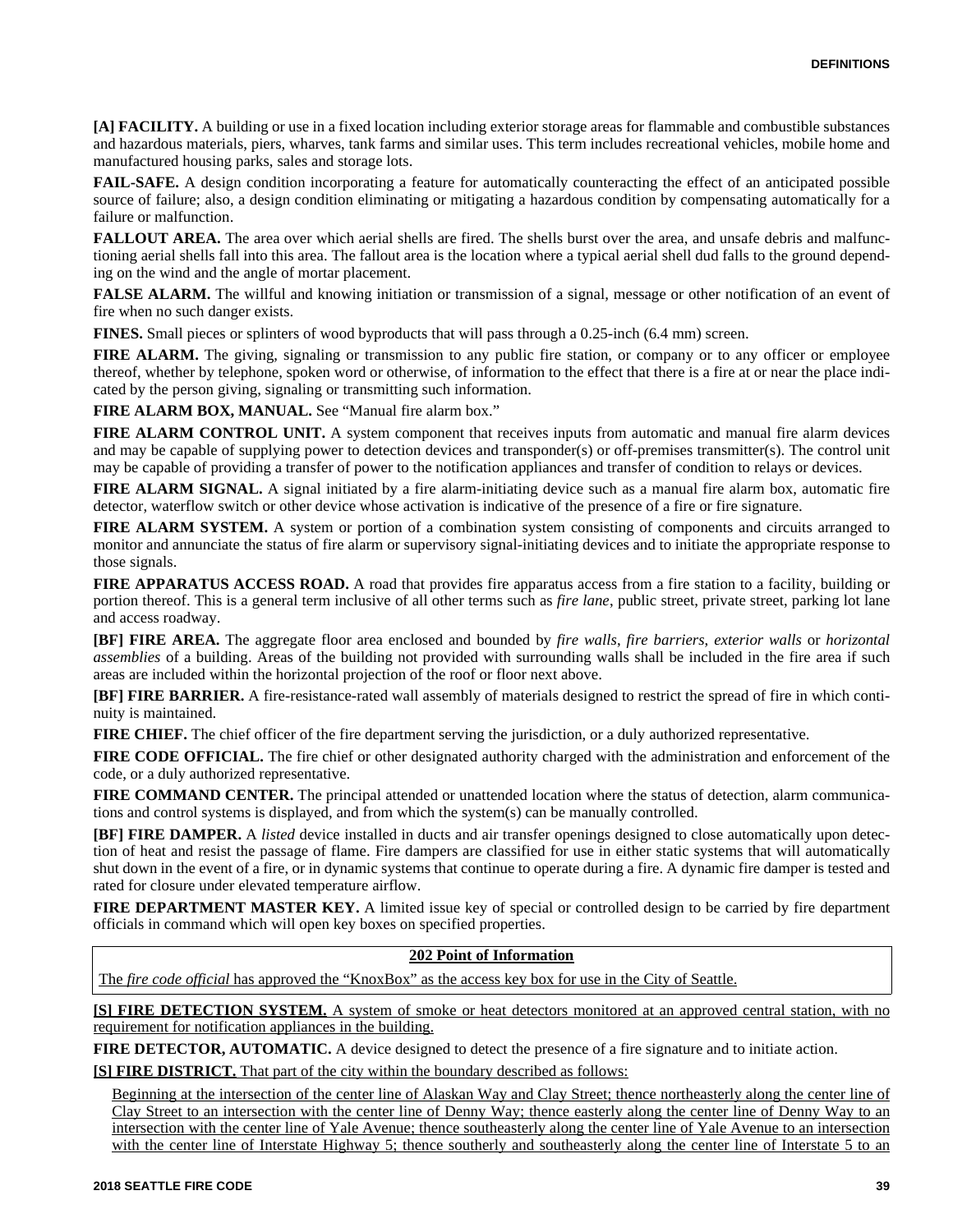**[A] FACILITY.** A building or use in a fixed location including exterior storage areas for flammable and combustible substances and hazardous materials, piers, wharves, tank farms and similar uses. This term includes recreational vehicles, mobile home and manufactured housing parks, sales and storage lots.

**FAIL-SAFE.** A design condition incorporating a feature for automatically counteracting the effect of an anticipated possible source of failure; also, a design condition eliminating or mitigating a hazardous condition by compensating automatically for a failure or malfunction.

**FALLOUT AREA.** The area over which aerial shells are fired. The shells burst over the area, and unsafe debris and malfunctioning aerial shells fall into this area. The fallout area is the location where a typical aerial shell dud falls to the ground depending on the wind and the angle of mortar placement.

**FALSE ALARM.** The willful and knowing initiation or transmission of a signal, message or other notification of an event of fire when no such danger exists.

**FINES.** Small pieces or splinters of wood byproducts that will pass through a 0.25-inch (6.4 mm) screen.

**FIRE ALARM.** The giving, signaling or transmission to any public fire station, or company or to any officer or employee thereof, whether by telephone, spoken word or otherwise, of information to the effect that there is a fire at or near the place indicated by the person giving, signaling or transmitting such information.

**FIRE ALARM BOX, MANUAL.** See "Manual fire alarm box."

**FIRE ALARM CONTROL UNIT.** A system component that receives inputs from automatic and manual fire alarm devices and may be capable of supplying power to detection devices and transponder(s) or off-premises transmitter(s). The control unit may be capable of providing a transfer of power to the notification appliances and transfer of condition to relays or devices.

**FIRE ALARM SIGNAL.** A signal initiated by a fire alarm-initiating device such as a manual fire alarm box, automatic fire detector, waterflow switch or other device whose activation is indicative of the presence of a fire or fire signature.

**FIRE ALARM SYSTEM.** A system or portion of a combination system consisting of components and circuits arranged to monitor and annunciate the status of fire alarm or supervisory signal-initiating devices and to initiate the appropriate response to those signals.

**FIRE APPARATUS ACCESS ROAD.** A road that provides fire apparatus access from a fire station to a facility, building or portion thereof. This is a general term inclusive of all other terms such as *fire lane*, public street, private street, parking lot lane and access roadway.

**[BF] FIRE AREA.** The aggregate floor area enclosed and bounded by *fire walls*, *fire barriers*, *exterior walls* or *horizontal assemblies* of a building. Areas of the building not provided with surrounding walls shall be included in the fire area if such areas are included within the horizontal projection of the roof or floor next above.

**[BF] FIRE BARRIER.** A fire-resistance-rated wall assembly of materials designed to restrict the spread of fire in which continuity is maintained.

**FIRE CHIEF.** The chief officer of the fire department serving the jurisdiction, or a duly authorized representative.

**FIRE CODE OFFICIAL.** The fire chief or other designated authority charged with the administration and enforcement of the code, or a duly authorized representative.

**FIRE COMMAND CENTER.** The principal attended or unattended location where the status of detection, alarm communications and control systems is displayed, and from which the system(s) can be manually controlled.

**[BF] FIRE DAMPER.** A *listed* device installed in ducts and air transfer openings designed to close automatically upon detection of heat and resist the passage of flame. Fire dampers are classified for use in either static systems that will automatically shut down in the event of a fire, or in dynamic systems that continue to operate during a fire. A dynamic fire damper is tested and rated for closure under elevated temperature airflow.

**FIRE DEPARTMENT MASTER KEY.** A limited issue key of special or controlled design to be carried by fire department officials in command which will open key boxes on specified properties.

#### **202 Point of Information**

The *fire code official* has approved the "KnoxBox" as the access key box for use in the City of Seattle.

**[S] FIRE DETECTION SYSTEM.** A system of smoke or heat detectors monitored at an approved central station, with no requirement for notification appliances in the building.

**FIRE DETECTOR, AUTOMATIC.** A device designed to detect the presence of a fire signature and to initiate action.

**[S] FIRE DISTRICT.** That part of the city within the boundary described as follows:

Beginning at the intersection of the center line of Alaskan Way and Clay Street; thence northeasterly along the center line of Clay Street to an intersection with the center line of Denny Way; thence easterly along the center line of Denny Way to an intersection with the center line of Yale Avenue; thence southeasterly along the center line of Yale Avenue to an intersection with the center line of Interstate Highway 5; thence southerly and southeasterly along the center line of Interstate 5 to an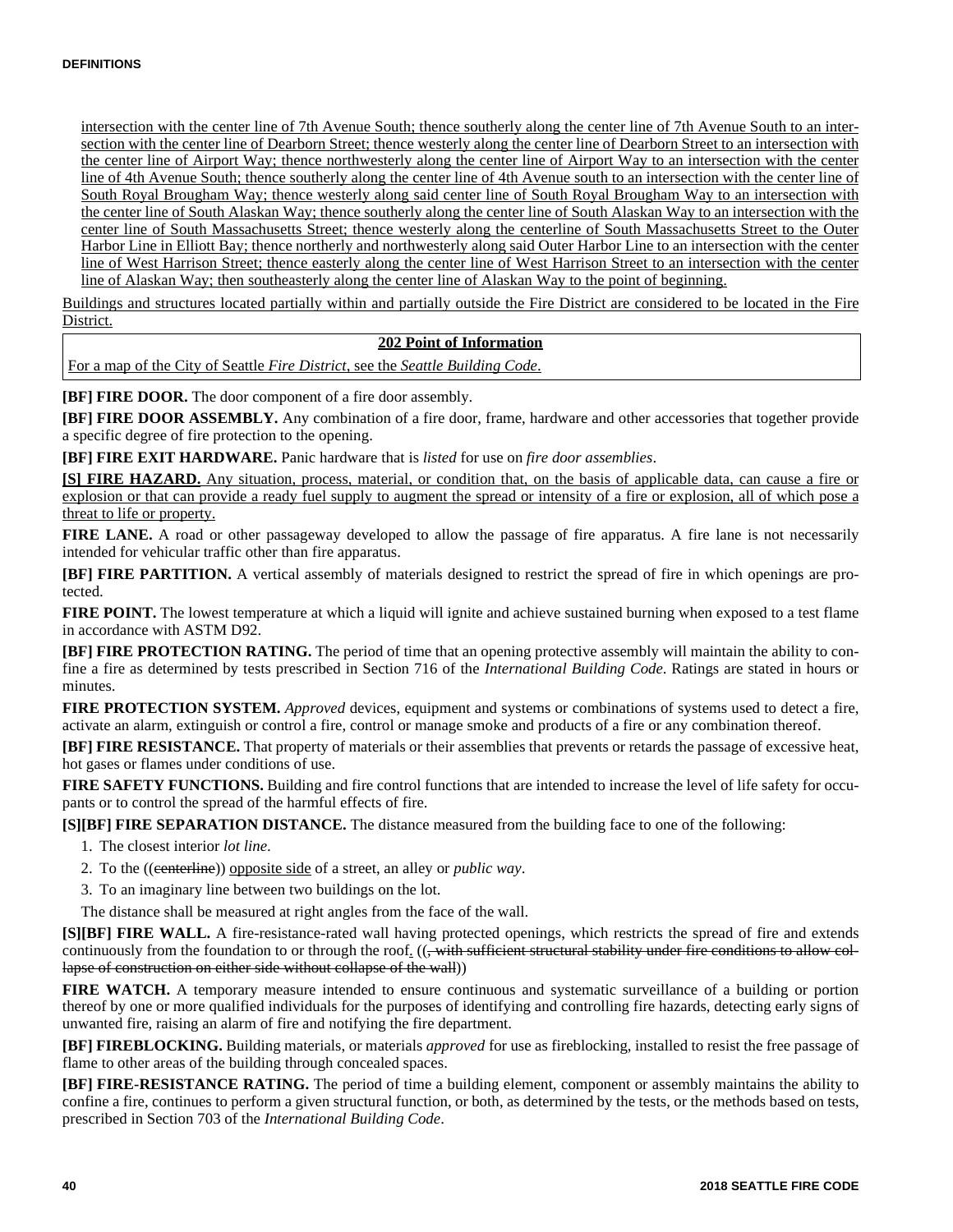intersection with the center line of 7th Avenue South; thence southerly along the center line of 7th Avenue South to an intersection with the center line of Dearborn Street; thence westerly along the center line of Dearborn Street to an intersection with the center line of Airport Way; thence northwesterly along the center line of Airport Way to an intersection with the center line of 4th Avenue South; thence southerly along the center line of 4th Avenue south to an intersection with the center line of South Royal Brougham Way; thence westerly along said center line of South Royal Brougham Way to an intersection with the center line of South Alaskan Way; thence southerly along the center line of South Alaskan Way to an intersection with the center line of South Massachusetts Street; thence westerly along the centerline of South Massachusetts Street to the Outer Harbor Line in Elliott Bay; thence northerly and northwesterly along said Outer Harbor Line to an intersection with the center line of West Harrison Street; thence easterly along the center line of West Harrison Street to an intersection with the center line of Alaskan Way; then southeasterly along the center line of Alaskan Way to the point of beginning.

Buildings and structures located partially within and partially outside the Fire District are considered to be located in the Fire District.

# **202 Point of Information**

For a map of the City of Seattle *Fire District*, see the *Seattle Building Code*.

**[BF] FIRE DOOR.** The door component of a fire door assembly.

**[BF] FIRE DOOR ASSEMBLY.** Any combination of a fire door, frame, hardware and other accessories that together provide a specific degree of fire protection to the opening.

**[BF] FIRE EXIT HARDWARE.** Panic hardware that is *listed* for use on *fire door assemblies*.

**[S] FIRE HAZARD.** Any situation, process, material, or condition that, on the basis of applicable data, can cause a fire or explosion or that can provide a ready fuel supply to augment the spread or intensity of a fire or explosion, all of which pose a threat to life or property.

**FIRE LANE.** A road or other passageway developed to allow the passage of fire apparatus. A fire lane is not necessarily intended for vehicular traffic other than fire apparatus.

**[BF] FIRE PARTITION.** A vertical assembly of materials designed to restrict the spread of fire in which openings are protected.

**FIRE POINT.** The lowest temperature at which a liquid will ignite and achieve sustained burning when exposed to a test flame in accordance with ASTM D92.

**[BF] FIRE PROTECTION RATING.** The period of time that an opening protective assembly will maintain the ability to confine a fire as determined by tests prescribed in Section 716 of the *International Building Code*. Ratings are stated in hours or minutes.

**FIRE PROTECTION SYSTEM.** *Approved* devices, equipment and systems or combinations of systems used to detect a fire, activate an alarm, extinguish or control a fire, control or manage smoke and products of a fire or any combination thereof.

**[BF] FIRE RESISTANCE.** That property of materials or their assemblies that prevents or retards the passage of excessive heat, hot gases or flames under conditions of use.

**FIRE SAFETY FUNCTIONS.** Building and fire control functions that are intended to increase the level of life safety for occupants or to control the spread of the harmful effects of fire.

**[S][BF] FIRE SEPARATION DISTANCE.** The distance measured from the building face to one of the following:

- 1. The closest interior *lot line*.
- 2. To the ((centerline)) opposite side of a street, an alley or *public way*.
- 3. To an imaginary line between two buildings on the lot.

The distance shall be measured at right angles from the face of the wall.

**[S][BF] FIRE WALL.** A fire-resistance-rated wall having protected openings, which restricts the spread of fire and extends continuously from the foundation to or through the roof. ((<del>, with sufficient structural stability under fire conditions to allow col</del>lapse of construction on either side without collapse of the wall))

**FIRE WATCH.** A temporary measure intended to ensure continuous and systematic surveillance of a building or portion thereof by one or more qualified individuals for the purposes of identifying and controlling fire hazards, detecting early signs of unwanted fire, raising an alarm of fire and notifying the fire department.

**[BF] FIREBLOCKING.** Building materials, or materials *approved* for use as fireblocking, installed to resist the free passage of flame to other areas of the building through concealed spaces.

**[BF] FIRE-RESISTANCE RATING.** The period of time a building element, component or assembly maintains the ability to confine a fire, continues to perform a given structural function, or both, as determined by the tests, or the methods based on tests, prescribed in Section 703 of the *International Building Code*.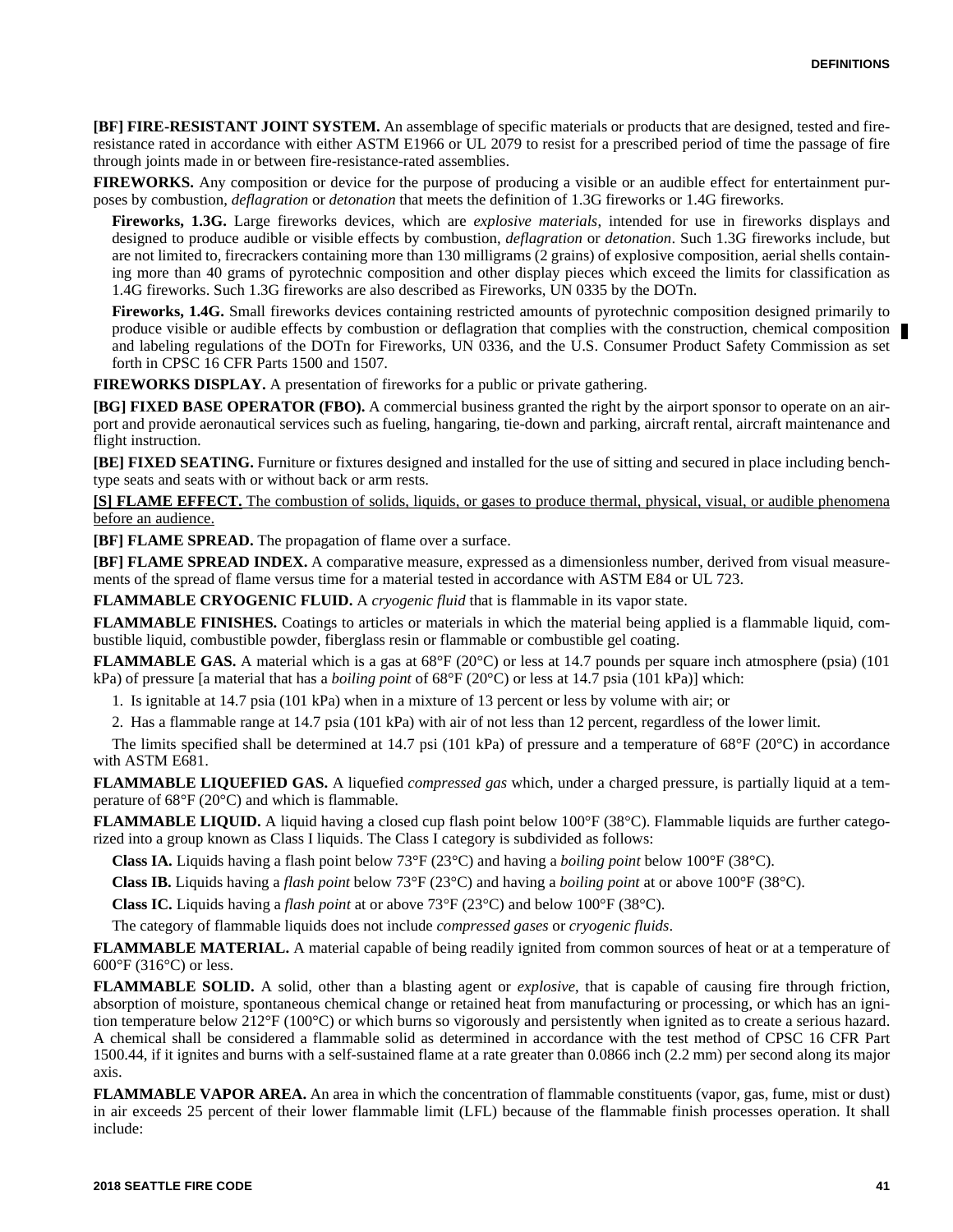**[BF] FIRE-RESISTANT JOINT SYSTEM.** An assemblage of specific materials or products that are designed, tested and fireresistance rated in accordance with either ASTM E1966 or UL 2079 to resist for a prescribed period of time the passage of fire through joints made in or between fire-resistance-rated assemblies.

**FIREWORKS.** Any composition or device for the purpose of producing a visible or an audible effect for entertainment purposes by combustion, *deflagration* or *detonation* that meets the definition of 1.3G fireworks or 1.4G fireworks.

**Fireworks, 1.3G.** Large fireworks devices, which are *explosive materials*, intended for use in fireworks displays and designed to produce audible or visible effects by combustion, *deflagration* or *detonation*. Such 1.3G fireworks include, but are not limited to, firecrackers containing more than 130 milligrams (2 grains) of explosive composition, aerial shells containing more than 40 grams of pyrotechnic composition and other display pieces which exceed the limits for classification as 1.4G fireworks. Such 1.3G fireworks are also described as Fireworks, UN 0335 by the DOTn.

**Fireworks, 1.4G.** Small fireworks devices containing restricted amounts of pyrotechnic composition designed primarily to produce visible or audible effects by combustion or deflagration that complies with the construction, chemical composition and labeling regulations of the DOTn for Fireworks, UN 0336, and the U.S. Consumer Product Safety Commission as set forth in CPSC 16 CFR Parts 1500 and 1507.

**FIREWORKS DISPLAY.** A presentation of fireworks for a public or private gathering.

**[BG] FIXED BASE OPERATOR (FBO).** A commercial business granted the right by the airport sponsor to operate on an airport and provide aeronautical services such as fueling, hangaring, tie-down and parking, aircraft rental, aircraft maintenance and flight instruction.

**[BE] FIXED SEATING.** Furniture or fixtures designed and installed for the use of sitting and secured in place including benchtype seats and seats with or without back or arm rests.

**[S] FLAME EFFECT.** The combustion of solids, liquids, or gases to produce thermal, physical, visual, or audible phenomena before an audience.

**[BF] FLAME SPREAD.** The propagation of flame over a surface.

**[BF] FLAME SPREAD INDEX.** A comparative measure, expressed as a dimensionless number, derived from visual measurements of the spread of flame versus time for a material tested in accordance with ASTM E84 or UL 723.

**FLAMMABLE CRYOGENIC FLUID.** A *cryogenic fluid* that is flammable in its vapor state.

**FLAMMABLE FINISHES.** Coatings to articles or materials in which the material being applied is a flammable liquid, combustible liquid, combustible powder, fiberglass resin or flammable or combustible gel coating.

**FLAMMABLE GAS.** A material which is a gas at 68°F (20°C) or less at 14.7 pounds per square inch atmosphere (psia) (101) kPa) of pressure [a material that has a *boiling point* of 68°F (20°C) or less at 14.7 psia (101 kPa)] which:

1. Is ignitable at 14.7 psia (101 kPa) when in a mixture of 13 percent or less by volume with air; or

2. Has a flammable range at 14.7 psia (101 kPa) with air of not less than 12 percent, regardless of the lower limit.

The limits specified shall be determined at 14.7 psi (101 kPa) of pressure and a temperature of 68°F (20°C) in accordance with ASTM E681.

**FLAMMABLE LIQUEFIED GAS.** A liquefied *compressed gas* which, under a charged pressure, is partially liquid at a temperature of 68°F (20°C) and which is flammable.

**FLAMMABLE LIQUID.** A liquid having a closed cup flash point below 100°F (38°C). Flammable liquids are further categorized into a group known as Class I liquids. The Class I category is subdivided as follows:

**Class IA.** Liquids having a flash point below 73°F (23°C) and having a *boiling point* below 100°F (38°C).

**Class IB.** Liquids having a *flash point* below 73°F (23°C) and having a *boiling point* at or above 100°F (38°C).

**Class IC.** Liquids having a *flash point* at or above 73°F (23°C) and below 100°F (38°C).

The category of flammable liquids does not include *compressed gases* or *cryogenic fluids*.

**FLAMMABLE MATERIAL.** A material capable of being readily ignited from common sources of heat or at a temperature of 600°F (316°C) or less.

**FLAMMABLE SOLID.** A solid, other than a blasting agent or *explosive*, that is capable of causing fire through friction, absorption of moisture, spontaneous chemical change or retained heat from manufacturing or processing, or which has an ignition temperature below 212°F (100°C) or which burns so vigorously and persistently when ignited as to create a serious hazard. A chemical shall be considered a flammable solid as determined in accordance with the test method of CPSC 16 CFR Part 1500.44, if it ignites and burns with a self-sustained flame at a rate greater than 0.0866 inch (2.2 mm) per second along its major axis.

**FLAMMABLE VAPOR AREA.** An area in which the concentration of flammable constituents (vapor, gas, fume, mist or dust) in air exceeds 25 percent of their lower flammable limit (LFL) because of the flammable finish processes operation. It shall include: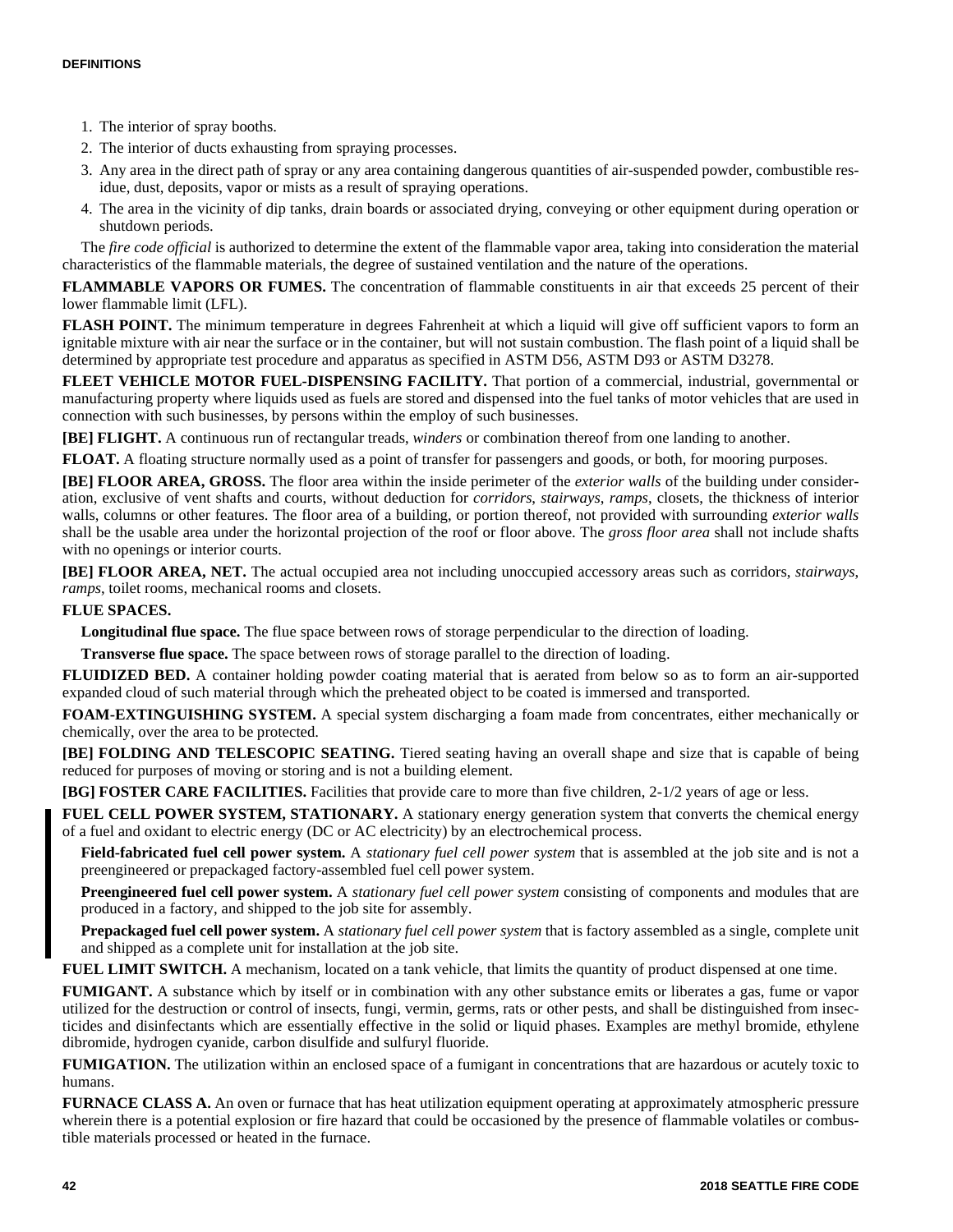- 1. The interior of spray booths.
- 2. The interior of ducts exhausting from spraying processes.
- 3. Any area in the direct path of spray or any area containing dangerous quantities of air-suspended powder, combustible residue, dust, deposits, vapor or mists as a result of spraying operations.
- 4. The area in the vicinity of dip tanks, drain boards or associated drying, conveying or other equipment during operation or shutdown periods.

The *fire code official* is authorized to determine the extent of the flammable vapor area, taking into consideration the material characteristics of the flammable materials, the degree of sustained ventilation and the nature of the operations.

**FLAMMABLE VAPORS OR FUMES.** The concentration of flammable constituents in air that exceeds 25 percent of their lower flammable limit (LFL).

**FLASH POINT.** The minimum temperature in degrees Fahrenheit at which a liquid will give off sufficient vapors to form an ignitable mixture with air near the surface or in the container, but will not sustain combustion. The flash point of a liquid shall be determined by appropriate test procedure and apparatus as specified in ASTM D56, ASTM D93 or ASTM D3278.

**FLEET VEHICLE MOTOR FUEL-DISPENSING FACILITY.** That portion of a commercial, industrial, governmental or manufacturing property where liquids used as fuels are stored and dispensed into the fuel tanks of motor vehicles that are used in connection with such businesses, by persons within the employ of such businesses.

**[BE] FLIGHT.** A continuous run of rectangular treads, *winders* or combination thereof from one landing to another.

**FLOAT.** A floating structure normally used as a point of transfer for passengers and goods, or both, for mooring purposes.

**[BE] FLOOR AREA, GROSS.** The floor area within the inside perimeter of the *exterior walls* of the building under consideration, exclusive of vent shafts and courts, without deduction for *corridors*, *stairways*, *ramps*, closets, the thickness of interior walls, columns or other features. The floor area of a building, or portion thereof, not provided with surrounding *exterior walls* shall be the usable area under the horizontal projection of the roof or floor above. The *gross floor area* shall not include shafts with no openings or interior courts.

**[BE] FLOOR AREA, NET.** The actual occupied area not including unoccupied accessory areas such as corridors, *stairways*, *ramps*, toilet rooms, mechanical rooms and closets.

#### **FLUE SPACES.**

**Longitudinal flue space.** The flue space between rows of storage perpendicular to the direction of loading.

**Transverse flue space.** The space between rows of storage parallel to the direction of loading.

**FLUIDIZED BED.** A container holding powder coating material that is aerated from below so as to form an air-supported expanded cloud of such material through which the preheated object to be coated is immersed and transported.

**FOAM-EXTINGUISHING SYSTEM.** A special system discharging a foam made from concentrates, either mechanically or chemically, over the area to be protected.

**[BE] FOLDING AND TELESCOPIC SEATING.** Tiered seating having an overall shape and size that is capable of being reduced for purposes of moving or storing and is not a building element.

**[BG] FOSTER CARE FACILITIES.** Facilities that provide care to more than five children, 2-1/2 years of age or less.

**FUEL CELL POWER SYSTEM, STATIONARY.** A stationary energy generation system that converts the chemical energy of a fuel and oxidant to electric energy (DC or AC electricity) by an electrochemical process.

**Field-fabricated fuel cell power system.** A *stationary fuel cell power system* that is assembled at the job site and is not a preengineered or prepackaged factory-assembled fuel cell power system.

**Preengineered fuel cell power system.** A *stationary fuel cell power system* consisting of components and modules that are produced in a factory, and shipped to the job site for assembly.

**Prepackaged fuel cell power system.** A *stationary fuel cell power system* that is factory assembled as a single, complete unit and shipped as a complete unit for installation at the job site.

**FUEL LIMIT SWITCH.** A mechanism, located on a tank vehicle, that limits the quantity of product dispensed at one time.

**FUMIGANT.** A substance which by itself or in combination with any other substance emits or liberates a gas, fume or vapor utilized for the destruction or control of insects, fungi, vermin, germs, rats or other pests, and shall be distinguished from insecticides and disinfectants which are essentially effective in the solid or liquid phases. Examples are methyl bromide, ethylene dibromide, hydrogen cyanide, carbon disulfide and sulfuryl fluoride.

**FUMIGATION.** The utilization within an enclosed space of a fumigant in concentrations that are hazardous or acutely toxic to humans.

**FURNACE CLASS A.** An oven or furnace that has heat utilization equipment operating at approximately atmospheric pressure wherein there is a potential explosion or fire hazard that could be occasioned by the presence of flammable volatiles or combustible materials processed or heated in the furnace.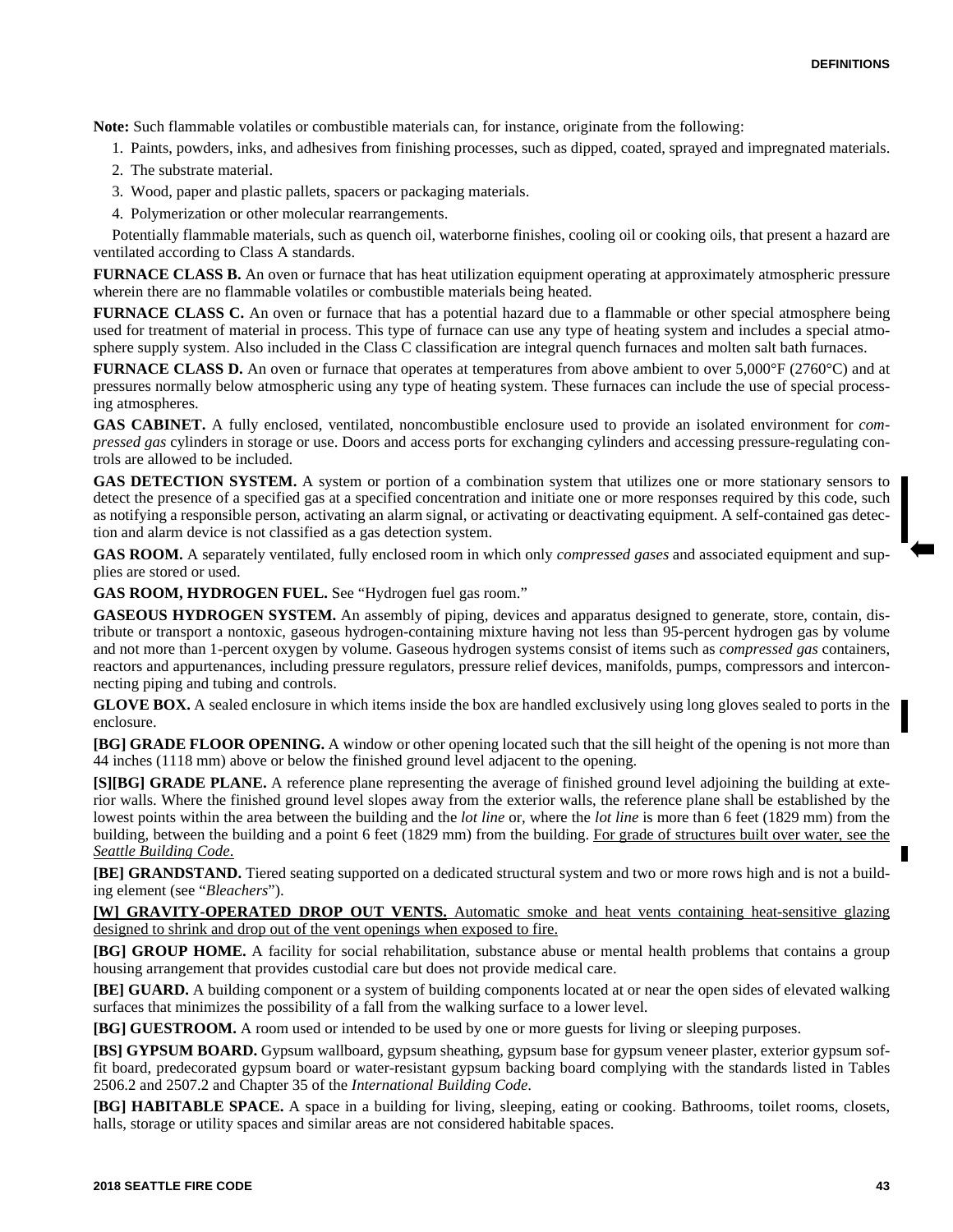**Note:** Such flammable volatiles or combustible materials can, for instance, originate from the following:

1. Paints, powders, inks, and adhesives from finishing processes, such as dipped, coated, sprayed and impregnated materials.

- 2. The substrate material.
- 3. Wood, paper and plastic pallets, spacers or packaging materials.
- 4. Polymerization or other molecular rearrangements.

Potentially flammable materials, such as quench oil, waterborne finishes, cooling oil or cooking oils, that present a hazard are ventilated according to Class A standards.

**FURNACE CLASS B.** An oven or furnace that has heat utilization equipment operating at approximately atmospheric pressure wherein there are no flammable volatiles or combustible materials being heated.

**FURNACE CLASS C.** An oven or furnace that has a potential hazard due to a flammable or other special atmosphere being used for treatment of material in process. This type of furnace can use any type of heating system and includes a special atmosphere supply system. Also included in the Class C classification are integral quench furnaces and molten salt bath furnaces.

**FURNACE CLASS D.** An oven or furnace that operates at temperatures from above ambient to over 5,000°F (2760°C) and at pressures normally below atmospheric using any type of heating system. These furnaces can include the use of special processing atmospheres.

**GAS CABINET.** A fully enclosed, ventilated, noncombustible enclosure used to provide an isolated environment for *compressed gas* cylinders in storage or use. Doors and access ports for exchanging cylinders and accessing pressure-regulating controls are allowed to be included.

GAS DETECTION SYSTEM. A system or portion of a combination system that utilizes one or more stationary sensors to detect the presence of a specified gas at a specified concentration and initiate one or more responses required by this code, such as notifying a responsible person, activating an alarm signal, or activating or deactivating equipment. A self-contained gas detection and alarm device is not classified as a gas detection system.

**GAS ROOM.** A separately ventilated, fully enclosed room in which only *compressed gases* and associated equipment and supplies are stored or used.

**GAS ROOM, HYDROGEN FUEL.** See "Hydrogen fuel gas room."

**GASEOUS HYDROGEN SYSTEM.** An assembly of piping, devices and apparatus designed to generate, store, contain, distribute or transport a nontoxic, gaseous hydrogen-containing mixture having not less than 95-percent hydrogen gas by volume and not more than 1-percent oxygen by volume. Gaseous hydrogen systems consist of items such as *compressed gas* containers, reactors and appurtenances, including pressure regulators, pressure relief devices, manifolds, pumps, compressors and interconnecting piping and tubing and controls.

**GLOVE BOX.** A sealed enclosure in which items inside the box are handled exclusively using long gloves sealed to ports in the enclosure.

**[BG] GRADE FLOOR OPENING.** A window or other opening located such that the sill height of the opening is not more than 44 inches (1118 mm) above or below the finished ground level adjacent to the opening.

**[S][BG] GRADE PLANE.** A reference plane representing the average of finished ground level adjoining the building at exterior walls. Where the finished ground level slopes away from the exterior walls, the reference plane shall be established by the lowest points within the area between the building and the *lot line* or, where the *lot line* is more than 6 feet (1829 mm) from the building, between the building and a point 6 feet (1829 mm) from the building. For grade of structures built over water, see the *Seattle Building Code*.

**[BE] GRANDSTAND.** Tiered seating supported on a dedicated structural system and two or more rows high and is not a building element (see "*Bleachers*").

**[W] GRAVITY-OPERATED DROP OUT VENTS.** Automatic smoke and heat vents containing heat-sensitive glazing designed to shrink and drop out of the vent openings when exposed to fire.

**[BG] GROUP HOME.** A facility for social rehabilitation, substance abuse or mental health problems that contains a group housing arrangement that provides custodial care but does not provide medical care.

**[BE] GUARD.** A building component or a system of building components located at or near the open sides of elevated walking surfaces that minimizes the possibility of a fall from the walking surface to a lower level.

**[BG] GUESTROOM.** A room used or intended to be used by one or more guests for living or sleeping purposes.

**[BS] GYPSUM BOARD.** Gypsum wallboard, gypsum sheathing, gypsum base for gypsum veneer plaster, exterior gypsum soffit board, predecorated gypsum board or water-resistant gypsum backing board complying with the standards listed in Tables 2506.2 and 2507.2 and Chapter 35 of the *International Building Code*.

**[BG] HABITABLE SPACE.** A space in a building for living, sleeping, eating or cooking. Bathrooms, toilet rooms, closets, halls, storage or utility spaces and similar areas are not considered habitable spaces.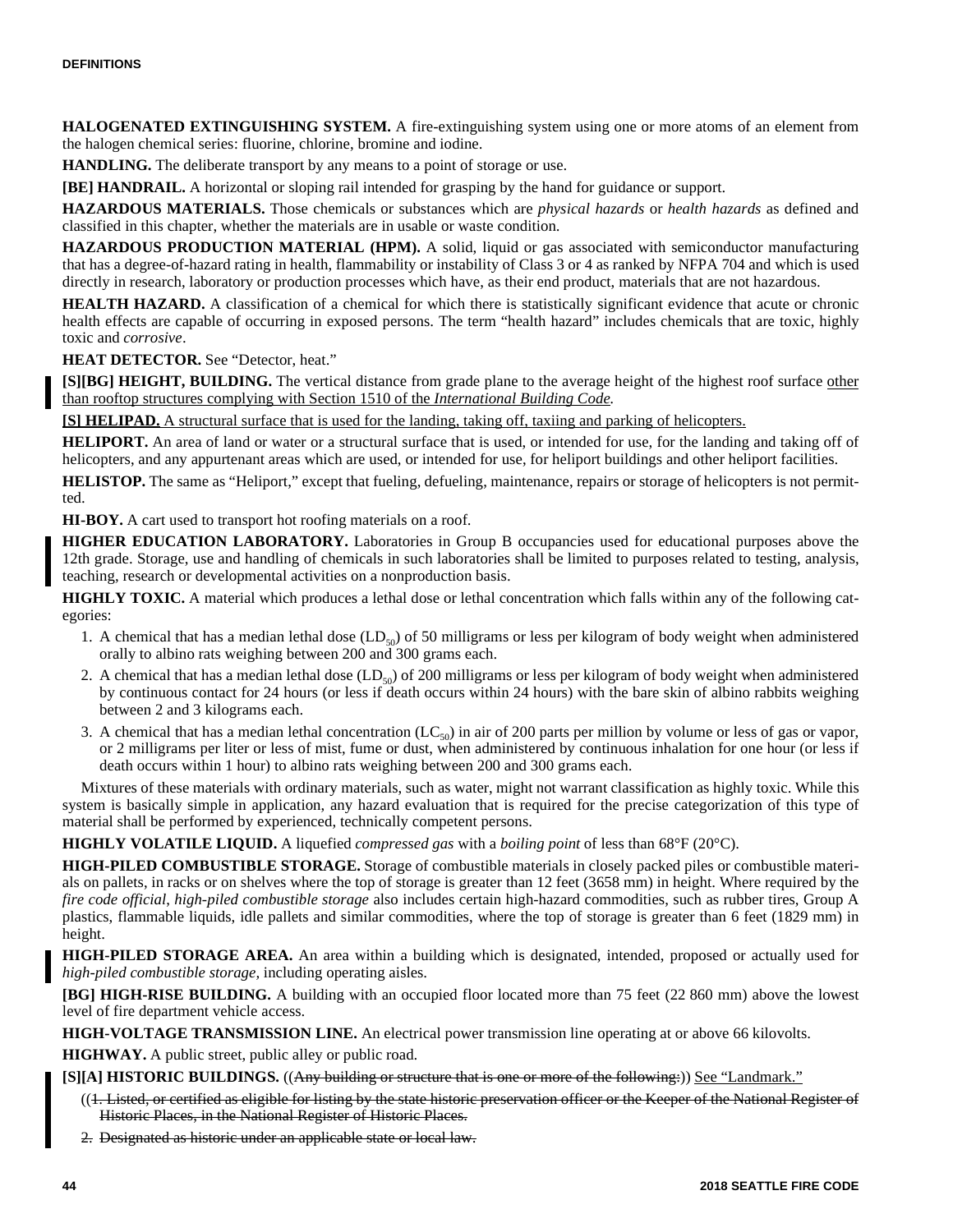**HALOGENATED EXTINGUISHING SYSTEM.** A fire-extinguishing system using one or more atoms of an element from the halogen chemical series: fluorine, chlorine, bromine and iodine.

**HANDLING.** The deliberate transport by any means to a point of storage or use.

**[BE] HANDRAIL.** A horizontal or sloping rail intended for grasping by the hand for guidance or support.

**HAZARDOUS MATERIALS.** Those chemicals or substances which are *physical hazards* or *health hazards* as defined and classified in this chapter, whether the materials are in usable or waste condition.

**HAZARDOUS PRODUCTION MATERIAL (HPM).** A solid, liquid or gas associated with semiconductor manufacturing that has a degree-of-hazard rating in health, flammability or instability of Class 3 or 4 as ranked by NFPA 704 and which is used directly in research, laboratory or production processes which have, as their end product, materials that are not hazardous.

**HEALTH HAZARD.** A classification of a chemical for which there is statistically significant evidence that acute or chronic health effects are capable of occurring in exposed persons. The term "health hazard" includes chemicals that are toxic, highly toxic and *corrosive*.

**HEAT DETECTOR.** See "Detector, heat."

**[S][BG] HEIGHT, BUILDING.** The vertical distance from grade plane to the average height of the highest roof surface other than rooftop structures complying with Section 1510 of the *International Building Code.*

**[S] HELIPAD.** A structural surface that is used for the landing, taking off, taxiing and parking of helicopters.

**HELIPORT.** An area of land or water or a structural surface that is used, or intended for use, for the landing and taking off of helicopters, and any appurtenant areas which are used, or intended for use, for heliport buildings and other heliport facilities.

**HELISTOP.** The same as "Heliport," except that fueling, defueling, maintenance, repairs or storage of helicopters is not permitted.

**HI-BOY.** A cart used to transport hot roofing materials on a roof.

**HIGHER EDUCATION LABORATORY.** Laboratories in Group B occupancies used for educational purposes above the 12th grade. Storage, use and handling of chemicals in such laboratories shall be limited to purposes related to testing, analysis, teaching, research or developmental activities on a nonproduction basis.

**HIGHLY TOXIC.** A material which produces a lethal dose or lethal concentration which falls within any of the following categories:

- 1. A chemical that has a median lethal dose  $(LD_{50})$  of 50 milligrams or less per kilogram of body weight when administered orally to albino rats weighing between 200 and 300 grams each.
- 2. A chemical that has a median lethal dose  $(LD_{50})$  of 200 milligrams or less per kilogram of body weight when administered by continuous contact for 24 hours (or less if death occurs within 24 hours) with the bare skin of albino rabbits weighing between 2 and 3 kilograms each.
- 3. A chemical that has a median lethal concentration  $(LC_{50})$  in air of 200 parts per million by volume or less of gas or vapor, or 2 milligrams per liter or less of mist, fume or dust, when administered by continuous inhalation for one hour (or less if death occurs within 1 hour) to albino rats weighing between 200 and 300 grams each.

Mixtures of these materials with ordinary materials, such as water, might not warrant classification as highly toxic. While this system is basically simple in application, any hazard evaluation that is required for the precise categorization of this type of material shall be performed by experienced, technically competent persons.

**HIGHLY VOLATILE LIQUID.** A liquefied *compressed gas* with a *boiling point* of less than 68°F (20°C).

**HIGH-PILED COMBUSTIBLE STORAGE.** Storage of combustible materials in closely packed piles or combustible materials on pallets, in racks or on shelves where the top of storage is greater than 12 feet (3658 mm) in height. Where required by the *fire code official*, *high-piled combustible storage* also includes certain high-hazard commodities, such as rubber tires, Group A plastics, flammable liquids, idle pallets and similar commodities, where the top of storage is greater than 6 feet (1829 mm) in height.

**HIGH-PILED STORAGE AREA.** An area within a building which is designated, intended, proposed or actually used for *high-piled combustible storage,* including operating aisles.

**[BG] HIGH-RISE BUILDING.** A building with an occupied floor located more than 75 feet (22 860 mm) above the lowest level of fire department vehicle access.

**HIGH-VOLTAGE TRANSMISSION LINE.** An electrical power transmission line operating at or above 66 kilovolts.

**HIGHWAY.** A public street, public alley or public road.

**[S][A] HISTORIC BUILDINGS.** ((Any building or structure that is one or more of the following:)) See "Landmark."

((1. Listed, or certified as eligible for listing by the state historic preservation officer or the Keeper of the National Register of Historic Places, in the National Register of Historic Places.

2. Designated as historic under an applicable state or local law.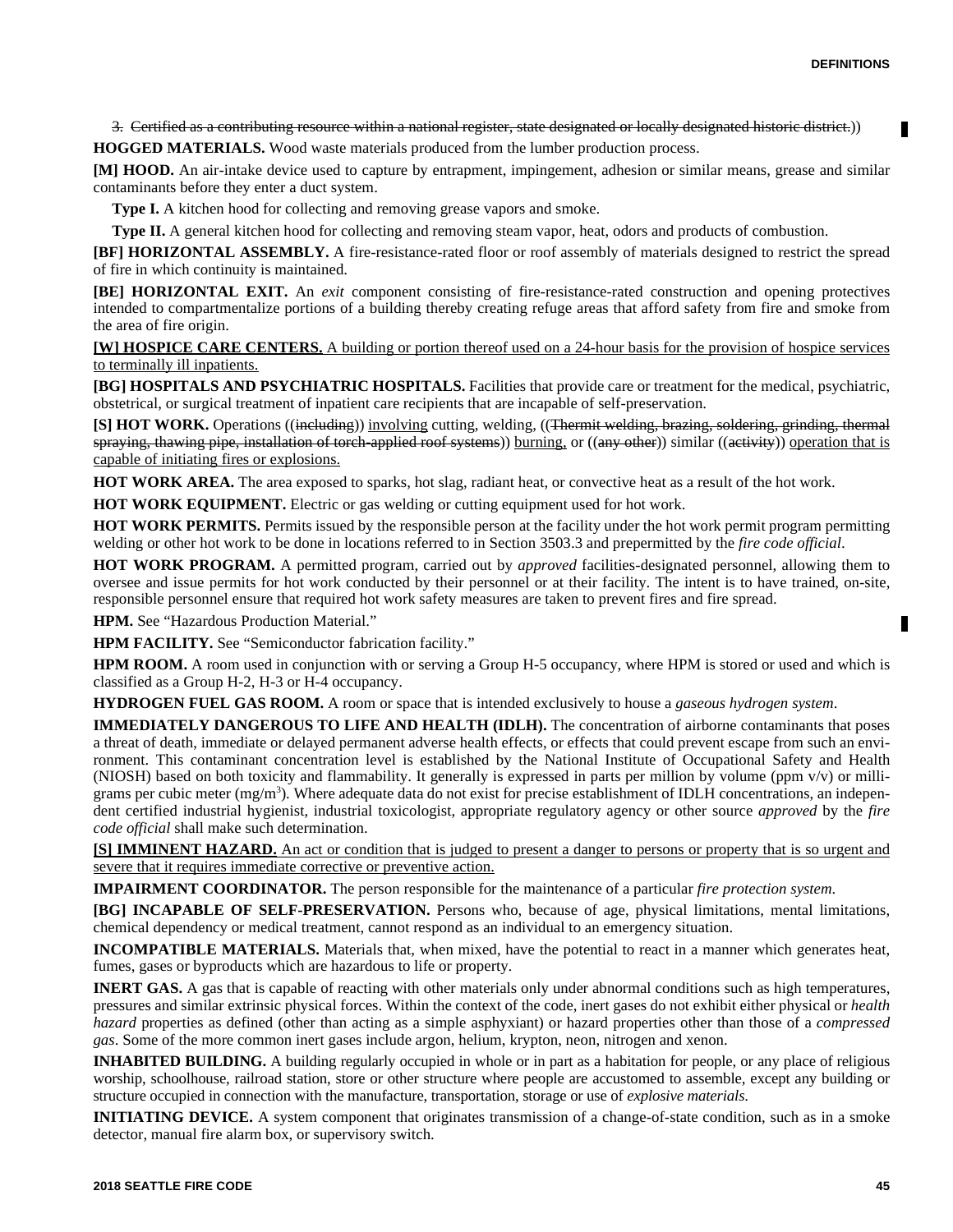# 3. Certified as a contributing resource within a national register, state designated or locally designated historic district.))

**HOGGED MATERIALS.** Wood waste materials produced from the lumber production process.

**[M] HOOD.** An air-intake device used to capture by entrapment, impingement, adhesion or similar means, grease and similar contaminants before they enter a duct system.

**Type I.** A kitchen hood for collecting and removing grease vapors and smoke.

**Type II.** A general kitchen hood for collecting and removing steam vapor, heat, odors and products of combustion.

**[BF] HORIZONTAL ASSEMBLY.** A fire-resistance-rated floor or roof assembly of materials designed to restrict the spread of fire in which continuity is maintained.

**[BE] HORIZONTAL EXIT.** An *exit* component consisting of fire-resistance-rated construction and opening protectives intended to compartmentalize portions of a building thereby creating refuge areas that afford safety from fire and smoke from the area of fire origin.

**[W] HOSPICE CARE CENTERS.** A building or portion thereof used on a 24-hour basis for the provision of hospice services to terminally ill inpatients.

**[BG] HOSPITALS AND PSYCHIATRIC HOSPITALS.** Facilities that provide care or treatment for the medical, psychiatric, obstetrical, or surgical treatment of inpatient care recipients that are incapable of self-preservation.

**[S] HOT WORK.** Operations ((including)) involving cutting, welding, ((Thermit welding, brazing, soldering, grinding, thermal spraying, thawing pipe, installation of torch-applied roof systems)) burning, or ((any other)) similar ((activity)) operation that is capable of initiating fires or explosions.

**HOT WORK AREA.** The area exposed to sparks, hot slag, radiant heat, or convective heat as a result of the hot work.

**HOT WORK EQUIPMENT.** Electric or gas welding or cutting equipment used for hot work.

**HOT WORK PERMITS.** Permits issued by the responsible person at the facility under the hot work permit program permitting welding or other hot work to be done in locations referred to in Section 3503.3 and prepermitted by the *fire code official*.

**HOT WORK PROGRAM.** A permitted program, carried out by *approved* facilities-designated personnel, allowing them to oversee and issue permits for hot work conducted by their personnel or at their facility. The intent is to have trained, on-site, responsible personnel ensure that required hot work safety measures are taken to prevent fires and fire spread.

**HPM.** See "Hazardous Production Material."

**HPM FACILITY.** See "Semiconductor fabrication facility."

**HPM ROOM.** A room used in conjunction with or serving a Group H-5 occupancy, where HPM is stored or used and which is classified as a Group H-2, H-3 or H-4 occupancy.

**HYDROGEN FUEL GAS ROOM.** A room or space that is intended exclusively to house a *gaseous hydrogen system*.

**IMMEDIATELY DANGEROUS TO LIFE AND HEALTH (IDLH).** The concentration of airborne contaminants that poses a threat of death, immediate or delayed permanent adverse health effects, or effects that could prevent escape from such an environment. This contaminant concentration level is established by the National Institute of Occupational Safety and Health (NIOSH) based on both toxicity and flammability. It generally is expressed in parts per million by volume (ppm v/v) or milligrams per cubic meter (mg/m<sup>3</sup>). Where adequate data do not exist for precise establishment of IDLH concentrations, an independent certified industrial hygienist, industrial toxicologist, appropriate regulatory agency or other source *approved* by the *fire code official* shall make such determination.

**[S] IMMINENT HAZARD.** An act or condition that is judged to present a danger to persons or property that is so urgent and severe that it requires immediate corrective or preventive action.

**IMPAIRMENT COORDINATOR.** The person responsible for the maintenance of a particular *fire protection system*.

**[BG] INCAPABLE OF SELF-PRESERVATION.** Persons who, because of age, physical limitations, mental limitations, chemical dependency or medical treatment, cannot respond as an individual to an emergency situation.

**INCOMPATIBLE MATERIALS.** Materials that, when mixed, have the potential to react in a manner which generates heat, fumes, gases or byproducts which are hazardous to life or property.

**INERT GAS.** A gas that is capable of reacting with other materials only under abnormal conditions such as high temperatures, pressures and similar extrinsic physical forces. Within the context of the code, inert gases do not exhibit either physical or *health hazard* properties as defined (other than acting as a simple asphyxiant) or hazard properties other than those of a *compressed gas*. Some of the more common inert gases include argon, helium, krypton, neon, nitrogen and xenon.

**INHABITED BUILDING.** A building regularly occupied in whole or in part as a habitation for people, or any place of religious worship, schoolhouse, railroad station, store or other structure where people are accustomed to assemble, except any building or structure occupied in connection with the manufacture, transportation, storage or use of *explosive materials*.

**INITIATING DEVICE.** A system component that originates transmission of a change-of-state condition, such as in a smoke detector, manual fire alarm box, or supervisory switch.

П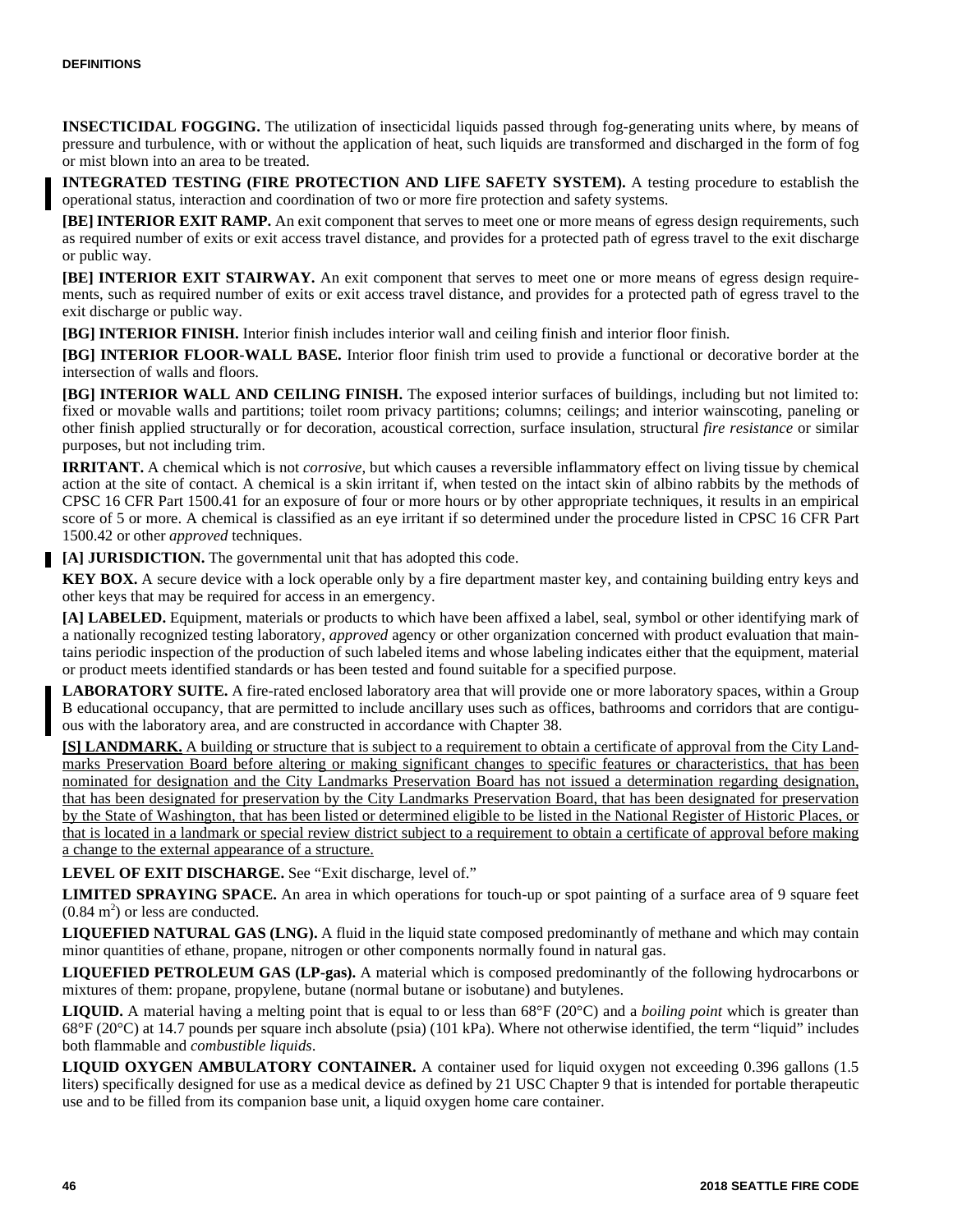**INSECTICIDAL FOGGING.** The utilization of insecticidal liquids passed through fog-generating units where, by means of pressure and turbulence, with or without the application of heat, such liquids are transformed and discharged in the form of fog or mist blown into an area to be treated.

**INTEGRATED TESTING (FIRE PROTECTION AND LIFE SAFETY SYSTEM).** A testing procedure to establish the operational status, interaction and coordination of two or more fire protection and safety systems.

**[BE] INTERIOR EXIT RAMP.** An exit component that serves to meet one or more means of egress design requirements, such as required number of exits or exit access travel distance, and provides for a protected path of egress travel to the exit discharge or public way.

**[BE] INTERIOR EXIT STAIRWAY.** An exit component that serves to meet one or more means of egress design requirements, such as required number of exits or exit access travel distance, and provides for a protected path of egress travel to the exit discharge or public way.

**[BG] INTERIOR FINISH.** Interior finish includes interior wall and ceiling finish and interior floor finish.

**[BG] INTERIOR FLOOR-WALL BASE.** Interior floor finish trim used to provide a functional or decorative border at the intersection of walls and floors.

**[BG] INTERIOR WALL AND CEILING FINISH.** The exposed interior surfaces of buildings, including but not limited to: fixed or movable walls and partitions; toilet room privacy partitions; columns; ceilings; and interior wainscoting, paneling or other finish applied structurally or for decoration, acoustical correction, surface insulation, structural *fire resistance* or similar purposes, but not including trim.

**IRRITANT.** A chemical which is not *corrosive*, but which causes a reversible inflammatory effect on living tissue by chemical action at the site of contact. A chemical is a skin irritant if, when tested on the intact skin of albino rabbits by the methods of CPSC 16 CFR Part 1500.41 for an exposure of four or more hours or by other appropriate techniques, it results in an empirical score of 5 or more. A chemical is classified as an eye irritant if so determined under the procedure listed in CPSC 16 CFR Part 1500.42 or other *approved* techniques.

**[A] JURISDICTION.** The governmental unit that has adopted this code.

**KEY BOX.** A secure device with a lock operable only by a fire department master key, and containing building entry keys and other keys that may be required for access in an emergency.

**[A] LABELED.** Equipment, materials or products to which have been affixed a label, seal, symbol or other identifying mark of a nationally recognized testing laboratory, *approved* agency or other organization concerned with product evaluation that maintains periodic inspection of the production of such labeled items and whose labeling indicates either that the equipment, material or product meets identified standards or has been tested and found suitable for a specified purpose.

**LABORATORY SUITE.** A fire-rated enclosed laboratory area that will provide one or more laboratory spaces, within a Group B educational occupancy, that are permitted to include ancillary uses such as offices, bathrooms and corridors that are contiguous with the laboratory area, and are constructed in accordance with Chapter 38.

**[S] LANDMARK.** A building or structure that is subject to a requirement to obtain a certificate of approval from the City Landmarks Preservation Board before altering or making significant changes to specific features or characteristics, that has been nominated for designation and the City Landmarks Preservation Board has not issued a determination regarding designation, that has been designated for preservation by the City Landmarks Preservation Board, that has been designated for preservation by the State of Washington, that has been listed or determined eligible to be listed in the National Register of Historic Places, or that is located in a landmark or special review district subject to a requirement to obtain a certificate of approval before making a change to the external appearance of a structure.

**LEVEL OF EXIT DISCHARGE.** See "Exit discharge, level of."

**LIMITED SPRAYING SPACE.** An area in which operations for touch-up or spot painting of a surface area of 9 square feet  $(0.84 \text{ m}^2)$  or less are conducted.

**LIQUEFIED NATURAL GAS (LNG).** A fluid in the liquid state composed predominantly of methane and which may contain minor quantities of ethane, propane, nitrogen or other components normally found in natural gas.

**LIQUEFIED PETROLEUM GAS (LP-gas).** A material which is composed predominantly of the following hydrocarbons or mixtures of them: propane, propylene, butane (normal butane or isobutane) and butylenes.

**LIQUID.** A material having a melting point that is equal to or less than 68°F (20°C) and a *boiling point* which is greater than 68°F (20°C) at 14.7 pounds per square inch absolute (psia) (101 kPa). Where not otherwise identified, the term "liquid" includes both flammable and *combustible liquids*.

**LIQUID OXYGEN AMBULATORY CONTAINER.** A container used for liquid oxygen not exceeding 0.396 gallons (1.5 liters) specifically designed for use as a medical device as defined by 21 USC Chapter 9 that is intended for portable therapeutic use and to be filled from its companion base unit, a liquid oxygen home care container.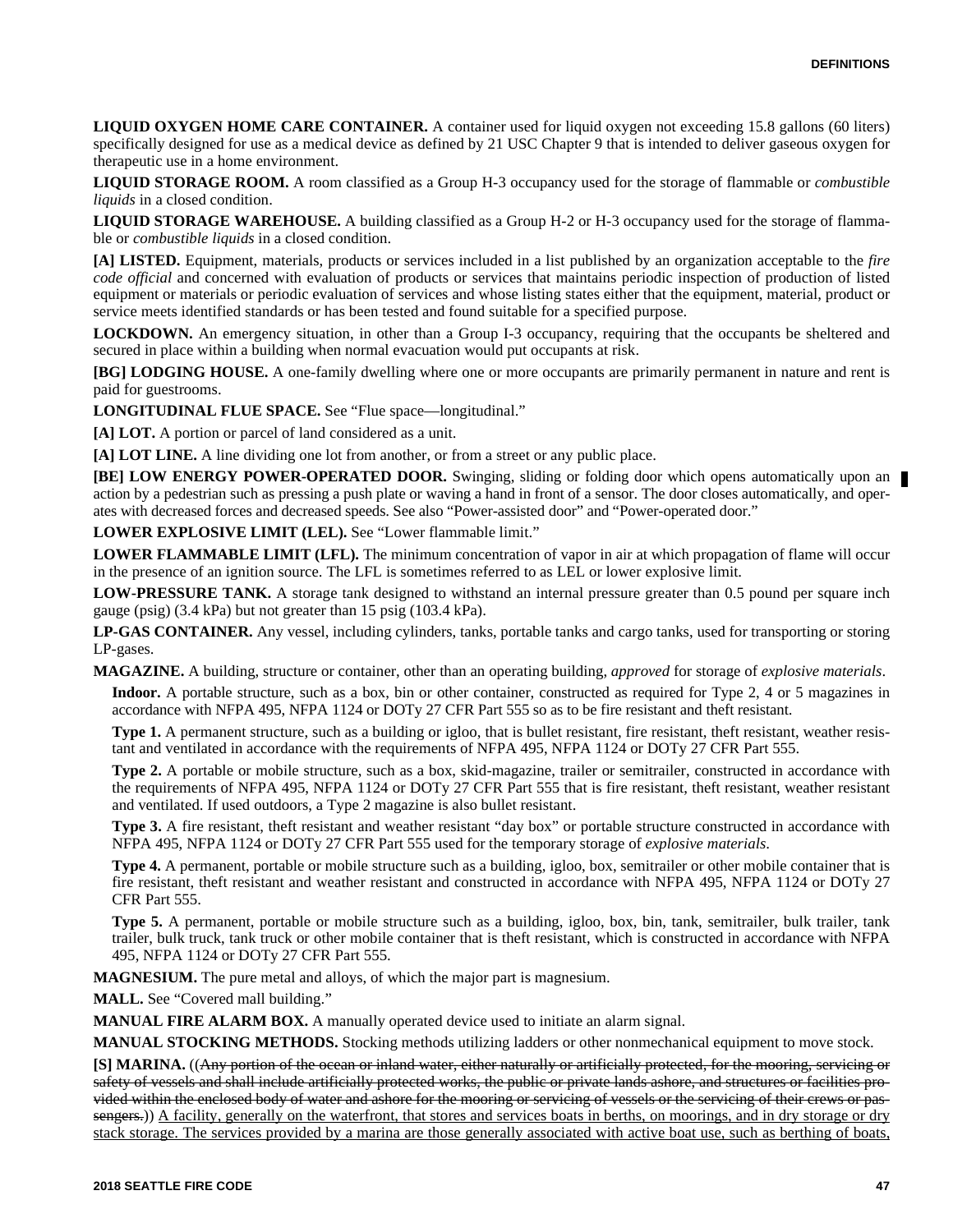**LIQUID OXYGEN HOME CARE CONTAINER.** A container used for liquid oxygen not exceeding 15.8 gallons (60 liters) specifically designed for use as a medical device as defined by 21 USC Chapter 9 that is intended to deliver gaseous oxygen for therapeutic use in a home environment.

**LIQUID STORAGE ROOM.** A room classified as a Group H-3 occupancy used for the storage of flammable or *combustible liquids* in a closed condition.

**LIQUID STORAGE WAREHOUSE.** A building classified as a Group H-2 or H-3 occupancy used for the storage of flammable or *combustible liquids* in a closed condition.

**[A] LISTED.** Equipment, materials, products or services included in a list published by an organization acceptable to the *fire code official* and concerned with evaluation of products or services that maintains periodic inspection of production of listed equipment or materials or periodic evaluation of services and whose listing states either that the equipment, material, product or service meets identified standards or has been tested and found suitable for a specified purpose.

LOCKDOWN. An emergency situation, in other than a Group I-3 occupancy, requiring that the occupants be sheltered and secured in place within a building when normal evacuation would put occupants at risk.

**[BG] LODGING HOUSE.** A one-family dwelling where one or more occupants are primarily permanent in nature and rent is paid for guestrooms.

**LONGITUDINAL FLUE SPACE.** See "Flue space—longitudinal."

**[A] LOT.** A portion or parcel of land considered as a unit.

**[A] LOT LINE.** A line dividing one lot from another, or from a street or any public place.

**[BE] LOW ENERGY POWER-OPERATED DOOR.** Swinging, sliding or folding door which opens automatically upon an action by a pedestrian such as pressing a push plate or waving a hand in front of a sensor. The door closes automatically, and operates with decreased forces and decreased speeds. See also "Power-assisted door" and "Power-operated door."

**LOWER EXPLOSIVE LIMIT (LEL).** See "Lower flammable limit."

**LOWER FLAMMABLE LIMIT (LFL).** The minimum concentration of vapor in air at which propagation of flame will occur in the presence of an ignition source. The LFL is sometimes referred to as LEL or lower explosive limit.

**LOW-PRESSURE TANK.** A storage tank designed to withstand an internal pressure greater than 0.5 pound per square inch gauge (psig) (3.4 kPa) but not greater than 15 psig (103.4 kPa).

**LP-GAS CONTAINER.** Any vessel, including cylinders, tanks, portable tanks and cargo tanks, used for transporting or storing LP-gases.

**MAGAZINE.** A building, structure or container, other than an operating building, *approved* for storage of *explosive materials*.

**Indoor.** A portable structure, such as a box, bin or other container, constructed as required for Type 2, 4 or 5 magazines in accordance with NFPA 495, NFPA 1124 or DOTy 27 CFR Part 555 so as to be fire resistant and theft resistant.

**Type 1.** A permanent structure, such as a building or igloo, that is bullet resistant, fire resistant, theft resistant, weather resistant and ventilated in accordance with the requirements of NFPA 495, NFPA 1124 or DOTy 27 CFR Part 555.

**Type 2.** A portable or mobile structure, such as a box, skid-magazine, trailer or semitrailer, constructed in accordance with the requirements of NFPA 495, NFPA 1124 or DOTy 27 CFR Part 555 that is fire resistant, theft resistant, weather resistant and ventilated. If used outdoors, a Type 2 magazine is also bullet resistant.

**Type 3.** A fire resistant, theft resistant and weather resistant "day box" or portable structure constructed in accordance with NFPA 495, NFPA 1124 or DOTy 27 CFR Part 555 used for the temporary storage of *explosive materials*.

**Type 4.** A permanent, portable or mobile structure such as a building, igloo, box, semitrailer or other mobile container that is fire resistant, theft resistant and weather resistant and constructed in accordance with NFPA 495, NFPA 1124 or DOTy 27 CFR Part 555.

**Type 5.** A permanent, portable or mobile structure such as a building, igloo, box, bin, tank, semitrailer, bulk trailer, tank trailer, bulk truck, tank truck or other mobile container that is theft resistant, which is constructed in accordance with NFPA 495, NFPA 1124 or DOTy 27 CFR Part 555.

**MAGNESIUM.** The pure metal and alloys, of which the major part is magnesium.

**MALL.** See "Covered mall building."

**MANUAL FIRE ALARM BOX.** A manually operated device used to initiate an alarm signal.

**MANUAL STOCKING METHODS.** Stocking methods utilizing ladders or other nonmechanical equipment to move stock.

**[S] MARINA.** ((Any portion of the ocean or inland water, either naturally or artificially protected, for the mooring, servicing or safety of vessels and shall include artificially protected works, the public or private lands ashore, and structures or facilities provided within the enclosed body of water and ashore for the mooring or servicing of vessels or the servicing of their crews or passengers.)) A facility, generally on the waterfront, that stores and services boats in berths, on moorings, and in dry storage or dry stack storage. The services provided by a marina are those generally associated with active boat use, such as berthing of boats,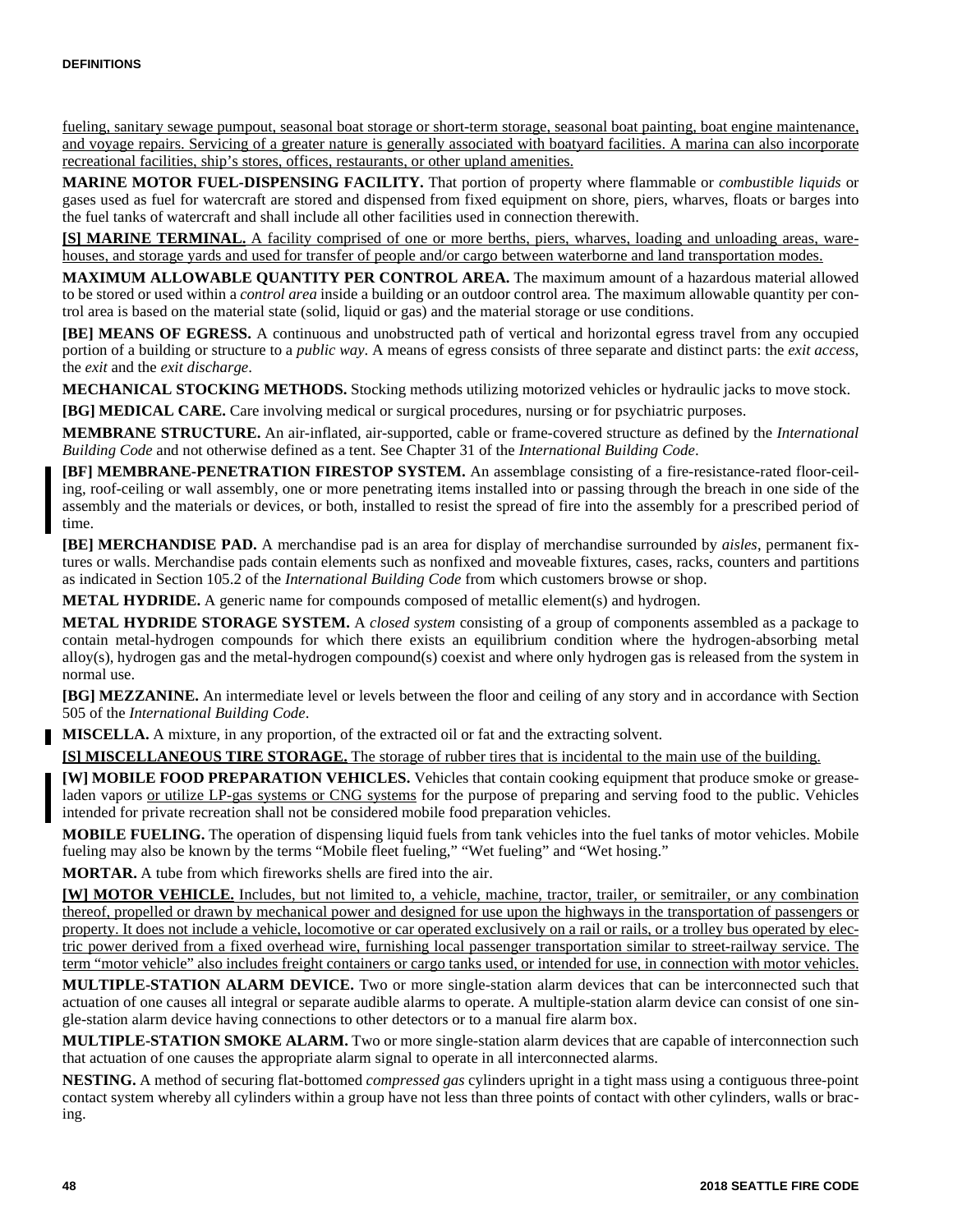fueling, sanitary sewage pumpout, seasonal boat storage or short-term storage, seasonal boat painting, boat engine maintenance, and voyage repairs. Servicing of a greater nature is generally associated with boatyard facilities. A marina can also incorporate recreational facilities, ship's stores, offices, restaurants, or other upland amenities.

**MARINE MOTOR FUEL-DISPENSING FACILITY.** That portion of property where flammable or *combustible liquids* or gases used as fuel for watercraft are stored and dispensed from fixed equipment on shore, piers, wharves, floats or barges into the fuel tanks of watercraft and shall include all other facilities used in connection therewith.

**[S] MARINE TERMINAL.** A facility comprised of one or more berths, piers, wharves, loading and unloading areas, warehouses, and storage yards and used for transfer of people and/or cargo between waterborne and land transportation modes.

**MAXIMUM ALLOWABLE QUANTITY PER CONTROL AREA.** The maximum amount of a hazardous material allowed to be stored or used within a *control area* inside a building or an outdoor control area*.* The maximum allowable quantity per control area is based on the material state (solid, liquid or gas) and the material storage or use conditions.

**[BE] MEANS OF EGRESS.** A continuous and unobstructed path of vertical and horizontal egress travel from any occupied portion of a building or structure to a *public way*. A means of egress consists of three separate and distinct parts: the *exit access*, the *exit* and the *exit discharge*.

**MECHANICAL STOCKING METHODS.** Stocking methods utilizing motorized vehicles or hydraulic jacks to move stock.

**[BG] MEDICAL CARE.** Care involving medical or surgical procedures, nursing or for psychiatric purposes.

**MEMBRANE STRUCTURE.** An air-inflated, air-supported, cable or frame-covered structure as defined by the *International Building Code* and not otherwise defined as a tent. See Chapter 31 of the *International Building Code*.

**[BF] MEMBRANE-PENETRATION FIRESTOP SYSTEM.** An assemblage consisting of a fire-resistance-rated floor-ceiling, roof-ceiling or wall assembly, one or more penetrating items installed into or passing through the breach in one side of the assembly and the materials or devices, or both, installed to resist the spread of fire into the assembly for a prescribed period of time.

**[BE] MERCHANDISE PAD.** A merchandise pad is an area for display of merchandise surrounded by *aisles*, permanent fixtures or walls. Merchandise pads contain elements such as nonfixed and moveable fixtures, cases, racks, counters and partitions as indicated in Section 105.2 of the *International Building Code* from which customers browse or shop.

**METAL HYDRIDE.** A generic name for compounds composed of metallic element(s) and hydrogen.

**METAL HYDRIDE STORAGE SYSTEM.** A *closed system* consisting of a group of components assembled as a package to contain metal-hydrogen compounds for which there exists an equilibrium condition where the hydrogen-absorbing metal alloy(s), hydrogen gas and the metal-hydrogen compound(s) coexist and where only hydrogen gas is released from the system in normal use.

**[BG] MEZZANINE.** An intermediate level or levels between the floor and ceiling of any story and in accordance with Section 505 of the *International Building Code*.

**MISCELLA.** A mixture, in any proportion, of the extracted oil or fat and the extracting solvent.

**[S] MISCELLANEOUS TIRE STORAGE.** The storage of rubber tires that is incidental to the main use of the building.

**[W] MOBILE FOOD PREPARATION VEHICLES.** Vehicles that contain cooking equipment that produce smoke or greaseladen vapors or utilize LP-gas systems or CNG systems for the purpose of preparing and serving food to the public. Vehicles intended for private recreation shall not be considered mobile food preparation vehicles.

**MOBILE FUELING.** The operation of dispensing liquid fuels from tank vehicles into the fuel tanks of motor vehicles. Mobile fueling may also be known by the terms "Mobile fleet fueling," "Wet fueling" and "Wet hosing."

**MORTAR.** A tube from which fireworks shells are fired into the air.

**[W] MOTOR VEHICLE.** Includes, but not limited to, a vehicle, machine, tractor, trailer, or semitrailer, or any combination thereof, propelled or drawn by mechanical power and designed for use upon the highways in the transportation of passengers or property. It does not include a vehicle, locomotive or car operated exclusively on a rail or rails, or a trolley bus operated by electric power derived from a fixed overhead wire, furnishing local passenger transportation similar to street-railway service. The term "motor vehicle" also includes freight containers or cargo tanks used, or intended for use, in connection with motor vehicles.

**MULTIPLE-STATION ALARM DEVICE.** Two or more single-station alarm devices that can be interconnected such that actuation of one causes all integral or separate audible alarms to operate. A multiple-station alarm device can consist of one single-station alarm device having connections to other detectors or to a manual fire alarm box.

**MULTIPLE-STATION SMOKE ALARM.** Two or more single-station alarm devices that are capable of interconnection such that actuation of one causes the appropriate alarm signal to operate in all interconnected alarms.

**NESTING.** A method of securing flat-bottomed *compressed gas* cylinders upright in a tight mass using a contiguous three-point contact system whereby all cylinders within a group have not less than three points of contact with other cylinders, walls or bracing.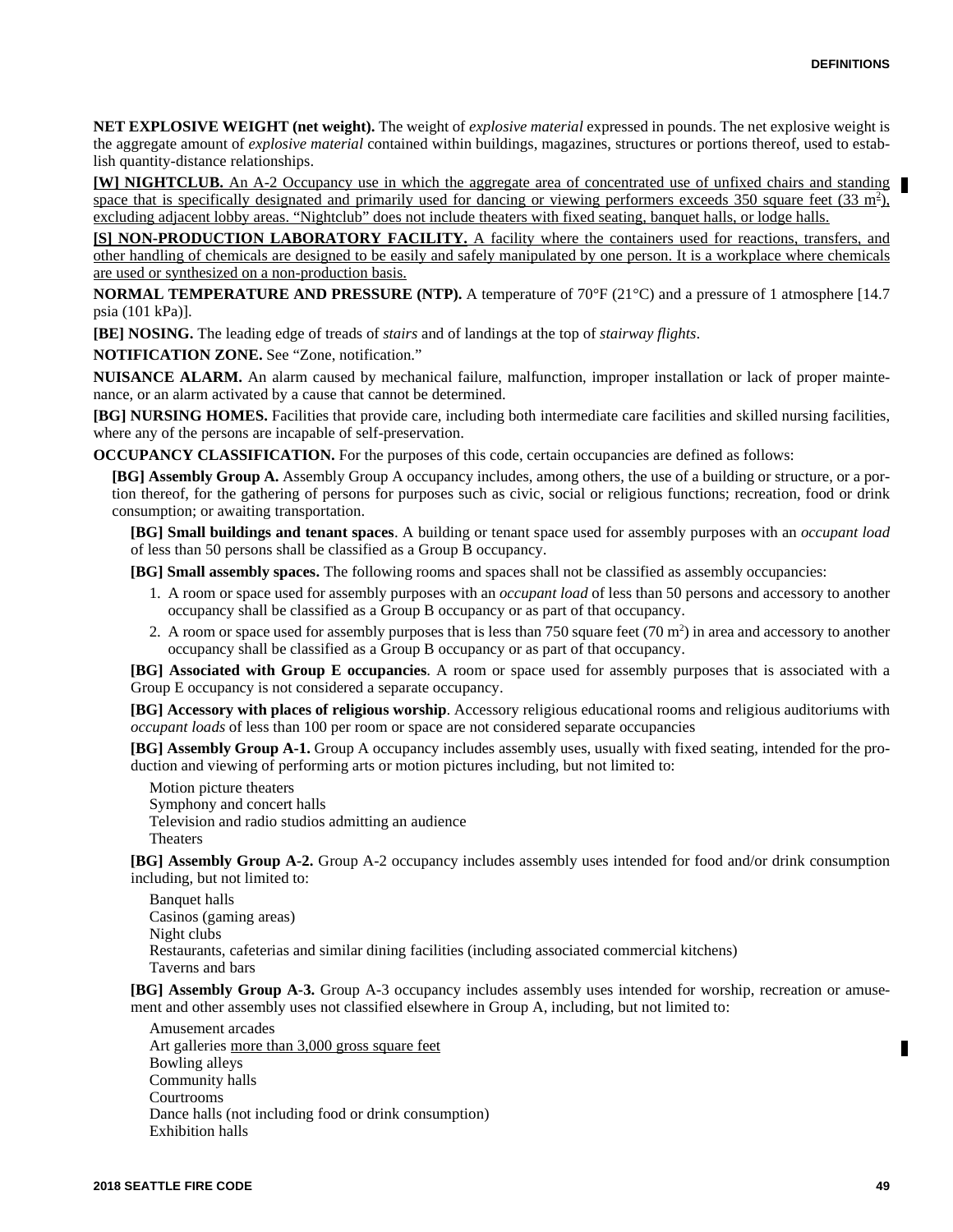**NET EXPLOSIVE WEIGHT (net weight).** The weight of *explosive material* expressed in pounds. The net explosive weight is the aggregate amount of *explosive material* contained within buildings, magazines, structures or portions thereof, used to establish quantity-distance relationships.

**[W] NIGHTCLUB.** An A-2 Occupancy use in which the aggregate area of concentrated use of unfixed chairs and standing space that is specifically designated and primarily used for dancing or viewing performers exceeds  $350$  square feet  $(33 \text{ m}^2)$ , excluding adjacent lobby areas. "Nightclub" does not include theaters with fixed seating, banquet halls, or lodge halls.

**[S] NON-PRODUCTION LABORATORY FACILITY.** A facility where the containers used for reactions, transfers, and other handling of chemicals are designed to be easily and safely manipulated by one person. It is a workplace where chemicals are used or synthesized on a non-production basis.

**NORMAL TEMPERATURE AND PRESSURE (NTP).** A temperature of 70°F (21°C) and a pressure of 1 atmosphere [14.7 psia (101 kPa)].

**[BE] NOSING.** The leading edge of treads of *stairs* and of landings at the top of *stairway flights*.

**NOTIFICATION ZONE.** See "Zone, notification."

**NUISANCE ALARM.** An alarm caused by mechanical failure, malfunction, improper installation or lack of proper maintenance, or an alarm activated by a cause that cannot be determined.

**[BG] NURSING HOMES.** Facilities that provide care, including both intermediate care facilities and skilled nursing facilities, where any of the persons are incapable of self-preservation.

**OCCUPANCY CLASSIFICATION.** For the purposes of this code, certain occupancies are defined as follows:

**[BG] Assembly Group A.** Assembly Group A occupancy includes, among others, the use of a building or structure, or a portion thereof, for the gathering of persons for purposes such as civic, social or religious functions; recreation, food or drink consumption; or awaiting transportation.

**[BG] Small buildings and tenant spaces**. A building or tenant space used for assembly purposes with an *occupant load* of less than 50 persons shall be classified as a Group B occupancy.

**[BG] Small assembly spaces.** The following rooms and spaces shall not be classified as assembly occupancies:

- 1. A room or space used for assembly purposes with an *occupant load* of less than 50 persons and accessory to another occupancy shall be classified as a Group B occupancy or as part of that occupancy.
- 2. A room or space used for assembly purposes that is less than 750 square feet  $(70 \text{ m}^2)$  in area and accessory to another occupancy shall be classified as a Group B occupancy or as part of that occupancy.

**[BG] Associated with Group E occupancies**. A room or space used for assembly purposes that is associated with a Group E occupancy is not considered a separate occupancy.

**[BG] Accessory with places of religious worship**. Accessory religious educational rooms and religious auditoriums with *occupant loads* of less than 100 per room or space are not considered separate occupancies

**[BG] Assembly Group A-1.** Group A occupancy includes assembly uses, usually with fixed seating, intended for the production and viewing of performing arts or motion pictures including, but not limited to:

Motion picture theaters

Symphony and concert halls

Television and radio studios admitting an audience

Theaters

**[BG] Assembly Group A-2.** Group A-2 occupancy includes assembly uses intended for food and/or drink consumption including, but not limited to:

Banquet halls Casinos (gaming areas) Night clubs Restaurants, cafeterias and similar dining facilities (including associated commercial kitchens) Taverns and bars

**[BG] Assembly Group A-3.** Group A-3 occupancy includes assembly uses intended for worship, recreation or amusement and other assembly uses not classified elsewhere in Group A, including, but not limited to:

Amusement arcades Art galleries more than 3,000 gross square feet Bowling alleys Community halls Courtrooms Dance halls (not including food or drink consumption) Exhibition halls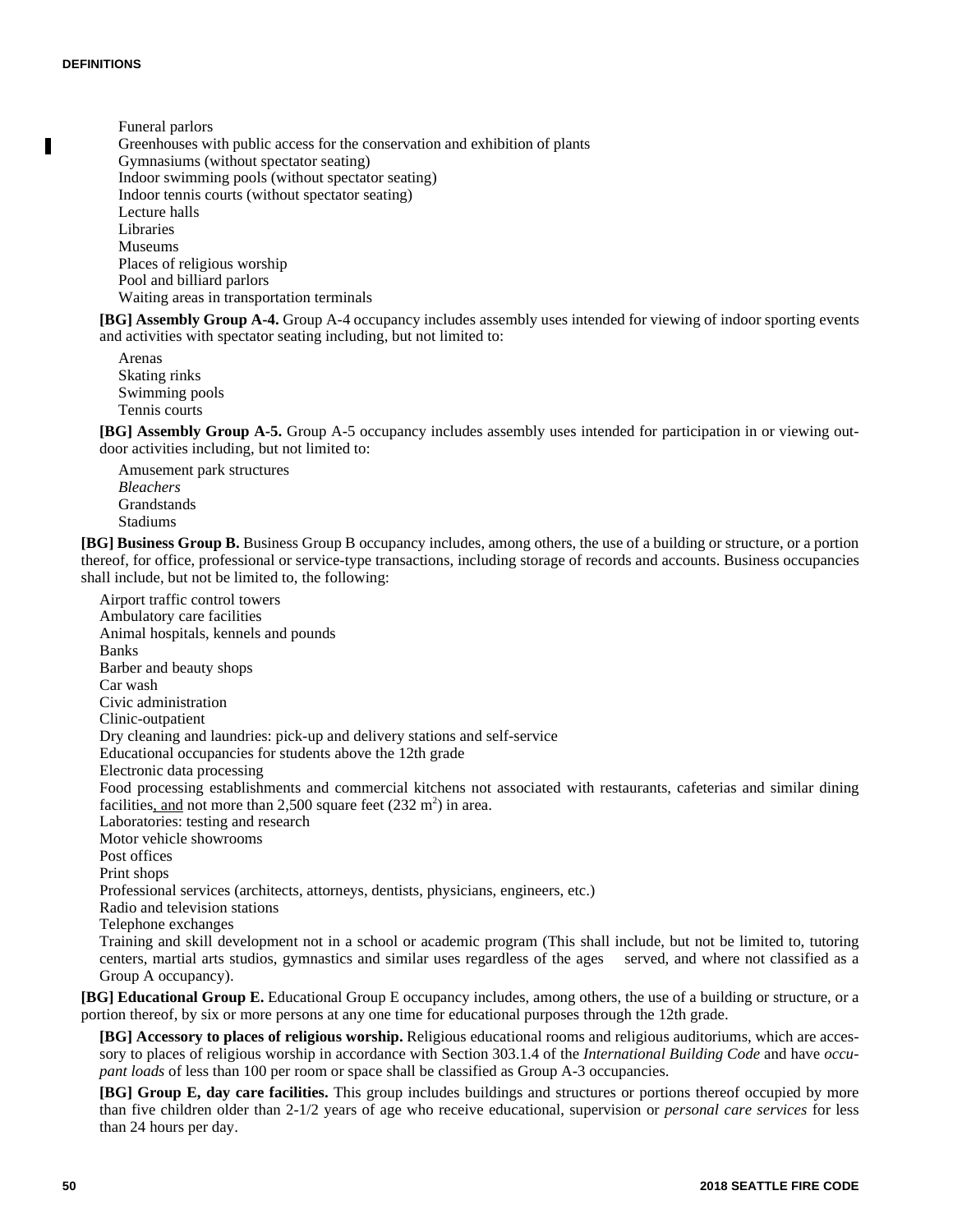Г

Funeral parlors

Greenhouses with public access for the conservation and exhibition of plants Gymnasiums (without spectator seating) Indoor swimming pools (without spectator seating) Indoor tennis courts (without spectator seating) Lecture halls Libraries Museums Places of religious worship

Pool and billiard parlors Waiting areas in transportation terminals

**[BG] Assembly Group A-4.** Group A-4 occupancy includes assembly uses intended for viewing of indoor sporting events and activities with spectator seating including, but not limited to:

Arenas Skating rinks Swimming pools Tennis courts

**[BG] Assembly Group A-5.** Group A-5 occupancy includes assembly uses intended for participation in or viewing outdoor activities including, but not limited to:

Amusement park structures *Bleachers* Grandstands Stadiums

**[BG] Business Group B.** Business Group B occupancy includes, among others, the use of a building or structure, or a portion thereof, for office, professional or service-type transactions, including storage of records and accounts. Business occupancies shall include, but not be limited to, the following:

Airport traffic control towers Ambulatory care facilities Animal hospitals, kennels and pounds Banks Barber and beauty shops Car wash Civic administration Clinic-outpatient Dry cleaning and laundries: pick-up and delivery stations and self-service Educational occupancies for students above the 12th grade Electronic data processing Food processing establishments and commercial kitchens not associated with restaurants, cafeterias and similar dining facilities, and not more than 2,500 square feet  $(232 \text{ m}^2)$  in area. Laboratories: testing and research Motor vehicle showrooms Post offices Print shops Professional services (architects, attorneys, dentists, physicians, engineers, etc.) Radio and television stations Telephone exchanges Training and skill development not in a school or academic program (This shall include, but not be limited to, tutoring centers, martial arts studios, gymnastics and similar uses regardless of the ages served, and where not classified as a Group A occupancy).

**[BG] Educational Group E.** Educational Group E occupancy includes, among others, the use of a building or structure, or a portion thereof, by six or more persons at any one time for educational purposes through the 12th grade.

**[BG] Accessory to places of religious worship.** Religious educational rooms and religious auditoriums, which are accessory to places of religious worship in accordance with Section 303.1.4 of the *International Building Code* and have *occupant loads* of less than 100 per room or space shall be classified as Group A-3 occupancies.

**[BG] Group E, day care facilities.** This group includes buildings and structures or portions thereof occupied by more than five children older than 2-1/2 years of age who receive educational, supervision or *personal care services* for less than 24 hours per day.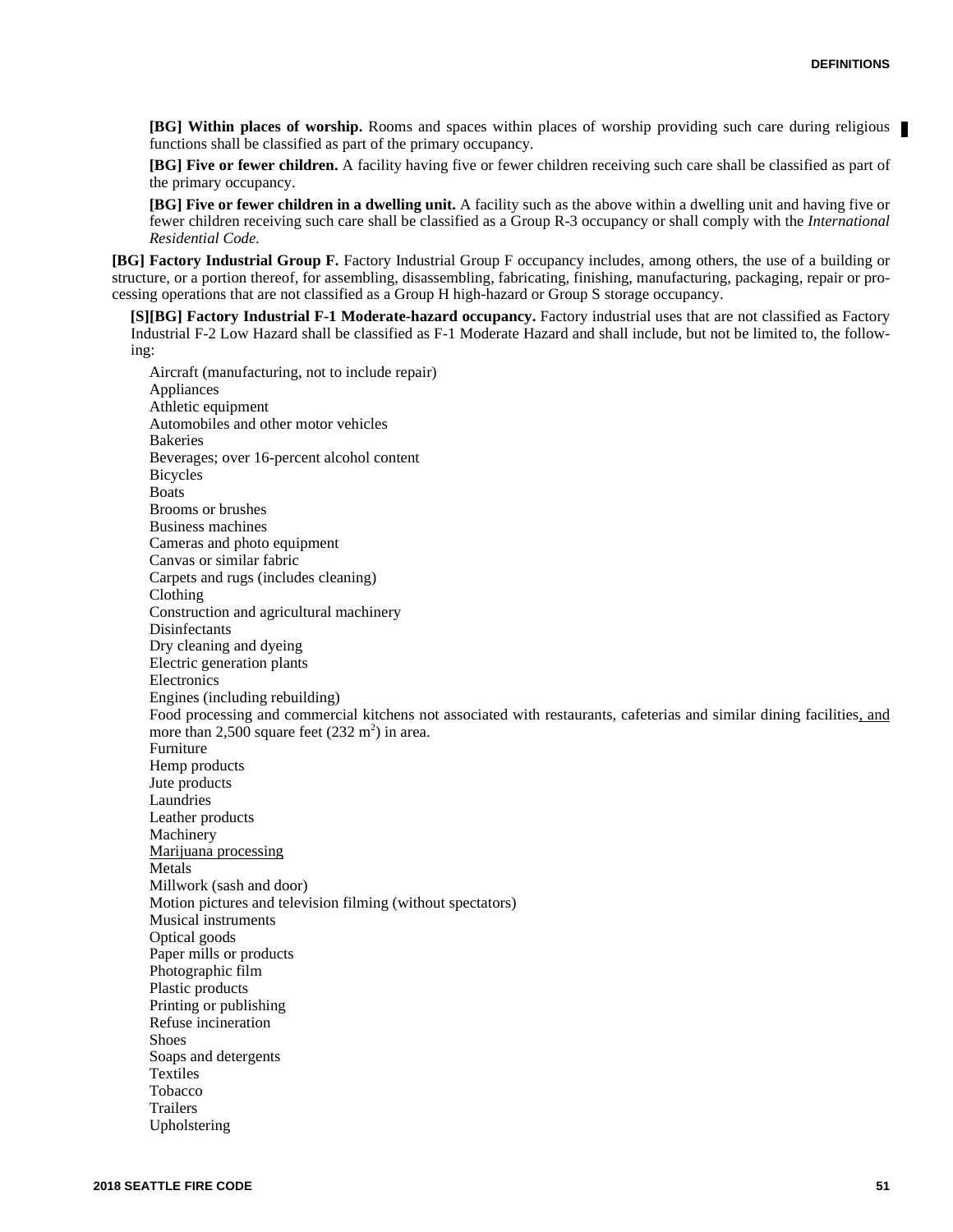**[BG] Within places of worship.** Rooms and spaces within places of worship providing such care during religious functions shall be classified as part of the primary occupancy.

**[BG] Five or fewer children.** A facility having five or fewer children receiving such care shall be classified as part of the primary occupancy.

**[BG] Five or fewer children in a dwelling unit.** A facility such as the above within a dwelling unit and having five or fewer children receiving such care shall be classified as a Group R-3 occupancy or shall comply with the *International Residential Code.*

**[BG] Factory Industrial Group F.** Factory Industrial Group F occupancy includes, among others, the use of a building or structure, or a portion thereof, for assembling, disassembling, fabricating, finishing, manufacturing, packaging, repair or processing operations that are not classified as a Group H high-hazard or Group S storage occupancy.

**[S][BG] Factory Industrial F-1 Moderate-hazard occupancy.** Factory industrial uses that are not classified as Factory Industrial F-2 Low Hazard shall be classified as F-1 Moderate Hazard and shall include, but not be limited to, the following:

Aircraft (manufacturing, not to include repair) Appliances Athletic equipment Automobiles and other motor vehicles Bakeries Beverages; over 16-percent alcohol content Bicycles Boats Brooms or brushes Business machines Cameras and photo equipment Canvas or similar fabric Carpets and rugs (includes cleaning) Clothing Construction and agricultural machinery Disinfectants Dry cleaning and dyeing Electric generation plants **Electronics** Engines (including rebuilding) Food processing and commercial kitchens not associated with restaurants, cafeterias and similar dining facilities, and more than 2,500 square feet  $(232 \text{ m}^2)$  in area. Furniture Hemp products Jute products Laundries Leather products Machinery Marijuana processing Metals Millwork (sash and door) Motion pictures and television filming (without spectators) Musical instruments Optical goods Paper mills or products Photographic film Plastic products Printing or publishing Refuse incineration Shoes Soaps and detergents **Textiles** Tobacco Trailers Upholstering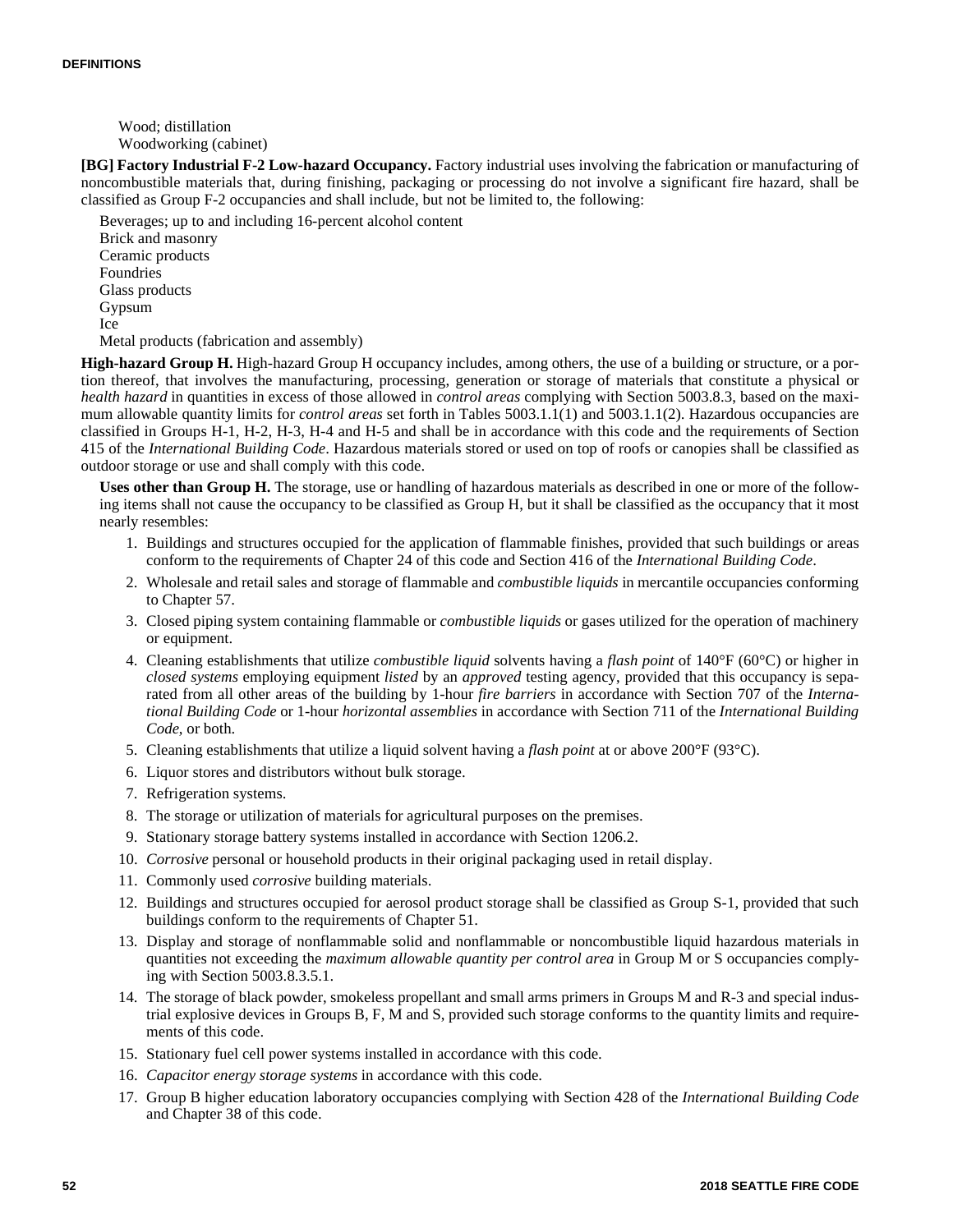Wood; distillation Woodworking (cabinet)

**[BG] Factory Industrial F-2 Low-hazard Occupancy.** Factory industrial uses involving the fabrication or manufacturing of noncombustible materials that, during finishing, packaging or processing do not involve a significant fire hazard, shall be classified as Group F-2 occupancies and shall include, but not be limited to, the following:

Beverages; up to and including 16-percent alcohol content Brick and masonry Ceramic products Foundries Glass products Gypsum Ice Metal products (fabrication and assembly)

**High-hazard Group H.** High-hazard Group H occupancy includes, among others, the use of a building or structure, or a portion thereof, that involves the manufacturing, processing, generation or storage of materials that constitute a physical or *health hazard* in quantities in excess of those allowed in *control areas* complying with Section 5003.8.3, based on the maximum allowable quantity limits for *control areas* set forth in Tables 5003.1.1(1) and 5003.1.1(2). Hazardous occupancies are classified in Groups H-1, H-2, H-3, H-4 and H-5 and shall be in accordance with this code and the requirements of Section 415 of the *International Building Code*. Hazardous materials stored or used on top of roofs or canopies shall be classified as outdoor storage or use and shall comply with this code.

**Uses other than Group H.** The storage, use or handling of hazardous materials as described in one or more of the following items shall not cause the occupancy to be classified as Group H, but it shall be classified as the occupancy that it most nearly resembles:

- 1. Buildings and structures occupied for the application of flammable finishes, provided that such buildings or areas conform to the requirements of Chapter 24 of this code and Section 416 of the *International Building Code*.
- 2. Wholesale and retail sales and storage of flammable and *combustible liquids* in mercantile occupancies conforming to Chapter 57.
- 3. Closed piping system containing flammable or *combustible liquids* or gases utilized for the operation of machinery or equipment.
- 4. Cleaning establishments that utilize *combustible liquid* solvents having a *flash point* of 140°F (60°C) or higher in *closed systems* employing equipment *listed* by an *approved* testing agency, provided that this occupancy is separated from all other areas of the building by 1-hour *fire barriers* in accordance with Section 707 of the *International Building Code* or 1-hour *horizontal assemblies* in accordance with Section 711 of the *International Building Code*, or both.
- 5. Cleaning establishments that utilize a liquid solvent having a *flash point* at or above 200°F (93°C).
- 6. Liquor stores and distributors without bulk storage.
- 7. Refrigeration systems.
- 8. The storage or utilization of materials for agricultural purposes on the premises.
- 9. Stationary storage battery systems installed in accordance with Section 1206.2.
- 10. *Corrosive* personal or household products in their original packaging used in retail display.
- 11. Commonly used *corrosive* building materials.
- 12. Buildings and structures occupied for aerosol product storage shall be classified as Group S-1, provided that such buildings conform to the requirements of Chapter 51.
- 13. Display and storage of nonflammable solid and nonflammable or noncombustible liquid hazardous materials in quantities not exceeding the *maximum allowable quantity per control area* in Group M or S occupancies complying with Section 5003.8.3.5.1.
- 14. The storage of black powder, smokeless propellant and small arms primers in Groups M and R-3 and special industrial explosive devices in Groups B, F, M and S, provided such storage conforms to the quantity limits and requirements of this code.
- 15. Stationary fuel cell power systems installed in accordance with this code.
- 16. *Capacitor energy storage systems* in accordance with this code.
- 17. Group B higher education laboratory occupancies complying with Section 428 of the *International Building Code* and Chapter 38 of this code.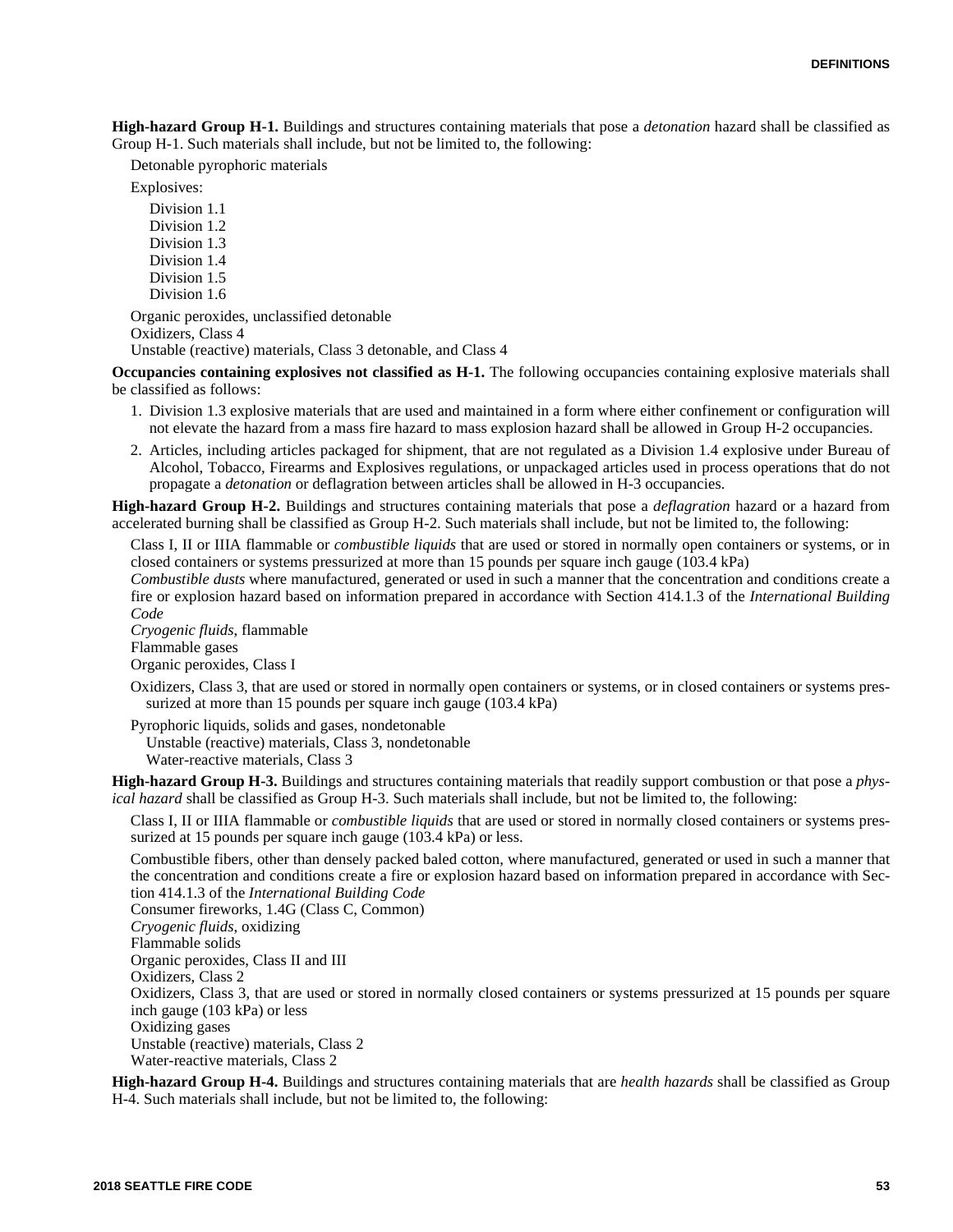**High-hazard Group H-1.** Buildings and structures containing materials that pose a *detonation* hazard shall be classified as Group H-1. Such materials shall include, but not be limited to, the following:

Detonable pyrophoric materials

Explosives:

Division 1.1 Division 1.2 Division 1.3 Division 1.4 Division 1.5 Division 1.6

Organic peroxides, unclassified detonable Oxidizers, Class 4 Unstable (reactive) materials, Class 3 detonable, and Class 4

**Occupancies containing explosives not classified as H-1.** The following occupancies containing explosive materials shall be classified as follows:

- 1. Division 1.3 explosive materials that are used and maintained in a form where either confinement or configuration will not elevate the hazard from a mass fire hazard to mass explosion hazard shall be allowed in Group H-2 occupancies.
- 2. Articles, including articles packaged for shipment, that are not regulated as a Division 1.4 explosive under Bureau of Alcohol, Tobacco, Firearms and Explosives regulations, or unpackaged articles used in process operations that do not propagate a *detonation* or deflagration between articles shall be allowed in H-3 occupancies.

**High-hazard Group H-2.** Buildings and structures containing materials that pose a *deflagration* hazard or a hazard from accelerated burning shall be classified as Group H-2. Such materials shall include, but not be limited to, the following:

Class I, II or IIIA flammable or *combustible liquids* that are used or stored in normally open containers or systems, or in closed containers or systems pressurized at more than 15 pounds per square inch gauge (103.4 kPa)

*Combustible dusts* where manufactured, generated or used in such a manner that the concentration and conditions create a fire or explosion hazard based on information prepared in accordance with Section 414.1.3 of the *International Building Code*

*Cryogenic fluids*, flammable

Flammable gases

Organic peroxides, Class I

Oxidizers, Class 3, that are used or stored in normally open containers or systems, or in closed containers or systems pressurized at more than 15 pounds per square inch gauge (103.4 kPa)

Pyrophoric liquids, solids and gases, nondetonable Unstable (reactive) materials, Class 3, nondetonable Water-reactive materials, Class 3

**High-hazard Group H-3.** Buildings and structures containing materials that readily support combustion or that pose a *physical hazard* shall be classified as Group H-3. Such materials shall include, but not be limited to, the following:

Class I, II or IIIA flammable or *combustible liquids* that are used or stored in normally closed containers or systems pressurized at 15 pounds per square inch gauge (103.4 kPa) or less.

Combustible fibers, other than densely packed baled cotton, where manufactured, generated or used in such a manner that the concentration and conditions create a fire or explosion hazard based on information prepared in accordance with Section 414.1.3 of the *International Building Code*

Consumer fireworks, 1.4G (Class C, Common) *Cryogenic fluids*, oxidizing Flammable solids Organic peroxides, Class II and III Oxidizers, Class 2 Oxidizers, Class 3, that are used or stored in normally closed containers or systems pressurized at 15 pounds per square inch gauge (103 kPa) or less Oxidizing gases Unstable (reactive) materials, Class 2 Water-reactive materials, Class 2

**High-hazard Group H-4.** Buildings and structures containing materials that are *health hazards* shall be classified as Group H-4. Such materials shall include, but not be limited to, the following: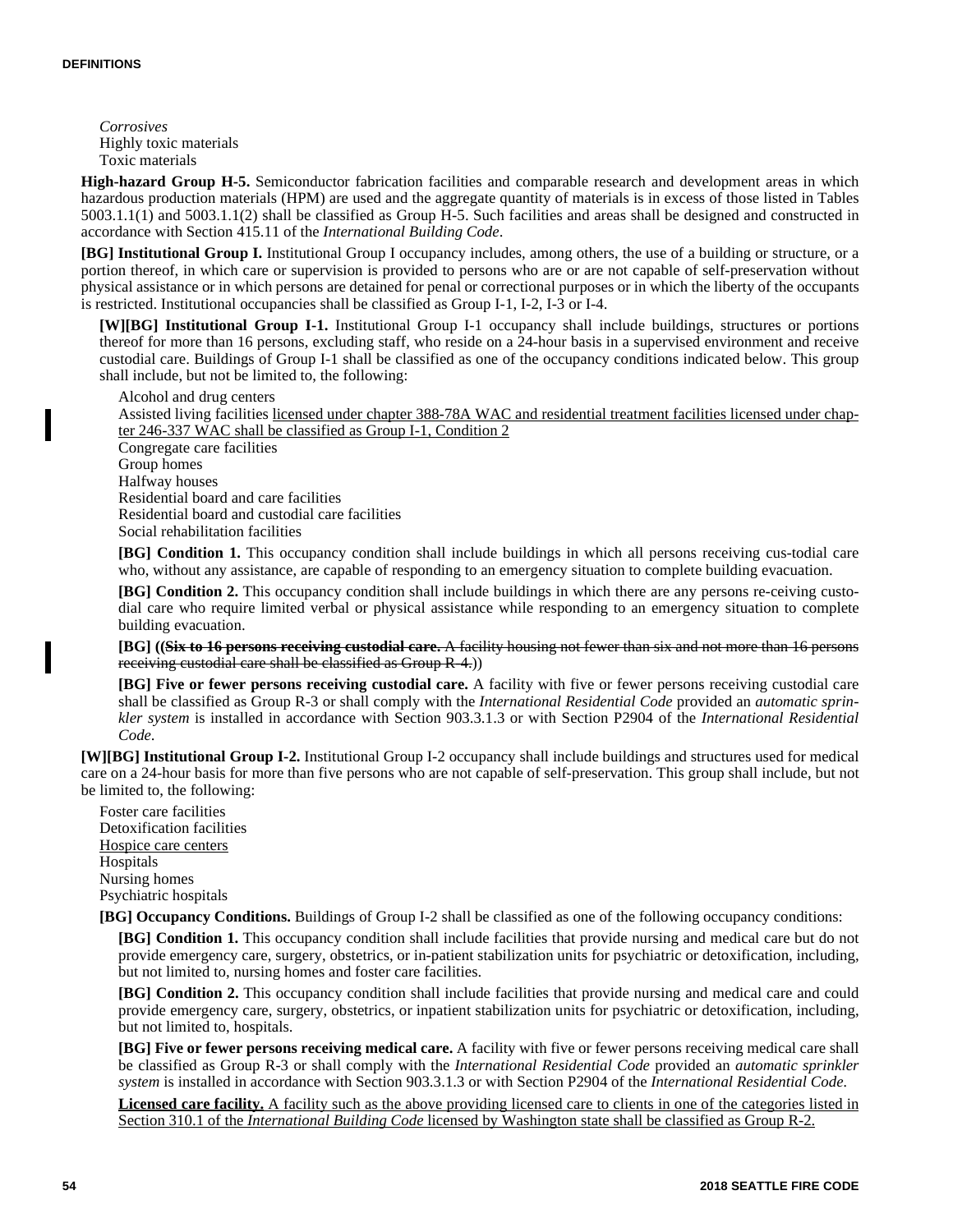*Corrosives* Highly toxic materials Toxic materials

**High-hazard Group H-5.** Semiconductor fabrication facilities and comparable research and development areas in which hazardous production materials (HPM) are used and the aggregate quantity of materials is in excess of those listed in Tables 5003.1.1(1) and 5003.1.1(2) shall be classified as Group H-5. Such facilities and areas shall be designed and constructed in accordance with Section 415.11 of the *International Building Code*.

**[BG] Institutional Group I.** Institutional Group I occupancy includes, among others, the use of a building or structure, or a portion thereof, in which care or supervision is provided to persons who are or are not capable of self-preservation without physical assistance or in which persons are detained for penal or correctional purposes or in which the liberty of the occupants is restricted. Institutional occupancies shall be classified as Group I-1, I-2, I-3 or I-4.

**[W][BG] Institutional Group I-1.** Institutional Group I-1 occupancy shall include buildings, structures or portions thereof for more than 16 persons, excluding staff, who reside on a 24-hour basis in a supervised environment and receive custodial care. Buildings of Group I-1 shall be classified as one of the occupancy conditions indicated below. This group shall include, but not be limited to, the following:

Alcohol and drug centers

Assisted living facilities licensed under chapter 388-78A WAC and residential treatment facilities licensed under chapter 246-337 WAC shall be classified as Group I-1, Condition 2

Congregate care facilities Group homes Halfway houses Residential board and care facilities Residential board and custodial care facilities Social rehabilitation facilities

**[BG] Condition 1.** This occupancy condition shall include buildings in which all persons receiving cus-todial care who, without any assistance, are capable of responding to an emergency situation to complete building evacuation.

**[BG] Condition 2.** This occupancy condition shall include buildings in which there are any persons re-ceiving custodial care who require limited verbal or physical assistance while responding to an emergency situation to complete building evacuation.

**[BG] ((Six to 16 persons receiving custodial care.** A facility housing not fewer than six and not more than 16 persons receiving custodial care shall be classified as Group R-4.))

**[BG] Five or fewer persons receiving custodial care.** A facility with five or fewer persons receiving custodial care shall be classified as Group R-3 or shall comply with the *International Residential Code* provided an *automatic sprinkler system* is installed in accordance with Section 903.3.1.3 or with Section P2904 of the *International Residential Code*.

**[W][BG] Institutional Group I-2.** Institutional Group I-2 occupancy shall include buildings and structures used for medical care on a 24-hour basis for more than five persons who are not capable of self-preservation. This group shall include, but not be limited to, the following:

Foster care facilities Detoxification facilities Hospice care centers Hospitals Nursing homes Psychiatric hospitals

**[BG] Occupancy Conditions.** Buildings of Group I-2 shall be classified as one of the following occupancy conditions:

**[BG] Condition 1.** This occupancy condition shall include facilities that provide nursing and medical care but do not provide emergency care, surgery, obstetrics, or in-patient stabilization units for psychiatric or detoxification, including, but not limited to, nursing homes and foster care facilities.

**[BG] Condition 2.** This occupancy condition shall include facilities that provide nursing and medical care and could provide emergency care, surgery, obstetrics, or inpatient stabilization units for psychiatric or detoxification, including, but not limited to, hospitals.

**[BG] Five or fewer persons receiving medical care.** A facility with five or fewer persons receiving medical care shall be classified as Group R-3 or shall comply with the *International Residential Code* provided an *automatic sprinkler system* is installed in accordance with Section 903.3.1.3 or with Section P2904 of the *International Residential Code.*

**Licensed care facility.** A facility such as the above providing licensed care to clients in one of the categories listed in Section 310.1 of the *International Building Code* licensed by Washington state shall be classified as Group R-2.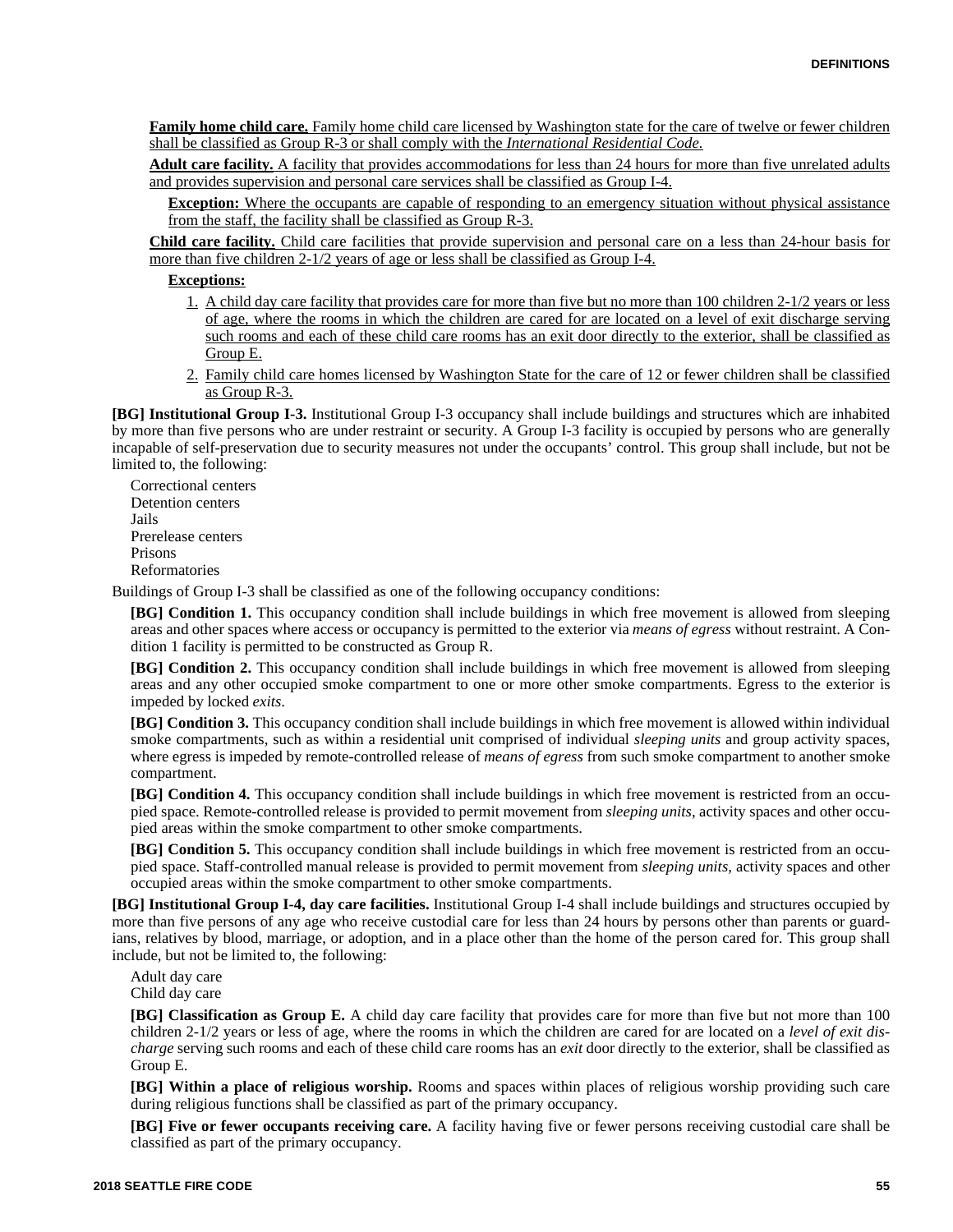**Family home child care.** Family home child care licensed by Washington state for the care of twelve or fewer children shall be classified as Group R-3 or shall comply with the *International Residential Code.*

**Adult care facility.** A facility that provides accommodations for less than 24 hours for more than five unrelated adults and provides supervision and personal care services shall be classified as Group I-4.

**Exception:** Where the occupants are capable of responding to an emergency situation without physical assistance from the staff, the facility shall be classified as Group R-3.

**Child care facility.** Child care facilities that provide supervision and personal care on a less than 24-hour basis for more than five children 2-1/2 years of age or less shall be classified as Group I-4.

## **Exceptions:**

- 1. A child day care facility that provides care for more than five but no more than 100 children 2-1/2 years or less of age, where the rooms in which the children are cared for are located on a level of exit discharge serving such rooms and each of these child care rooms has an exit door directly to the exterior, shall be classified as Group E.
- 2. Family child care homes licensed by Washington State for the care of 12 or fewer children shall be classified as Group R-3.

**[BG] Institutional Group I-3.** Institutional Group I-3 occupancy shall include buildings and structures which are inhabited by more than five persons who are under restraint or security. A Group I-3 facility is occupied by persons who are generally incapable of self-preservation due to security measures not under the occupants' control. This group shall include, but not be limited to, the following:

Correctional centers Detention centers Jails Prerelease centers Prisons Reformatories

Buildings of Group I-3 shall be classified as one of the following occupancy conditions:

**[BG] Condition 1.** This occupancy condition shall include buildings in which free movement is allowed from sleeping areas and other spaces where access or occupancy is permitted to the exterior via *means of egress* without restraint. A Condition 1 facility is permitted to be constructed as Group R.

**[BG] Condition 2.** This occupancy condition shall include buildings in which free movement is allowed from sleeping areas and any other occupied smoke compartment to one or more other smoke compartments. Egress to the exterior is impeded by locked *exits*.

**[BG] Condition 3.** This occupancy condition shall include buildings in which free movement is allowed within individual smoke compartments, such as within a residential unit comprised of individual *sleeping units* and group activity spaces, where egress is impeded by remote-controlled release of *means of egress* from such smoke compartment to another smoke compartment.

**[BG] Condition 4.** This occupancy condition shall include buildings in which free movement is restricted from an occupied space. Remote-controlled release is provided to permit movement from *sleeping units*, activity spaces and other occupied areas within the smoke compartment to other smoke compartments.

**[BG] Condition 5.** This occupancy condition shall include buildings in which free movement is restricted from an occupied space. Staff-controlled manual release is provided to permit movement from *sleeping units*, activity spaces and other occupied areas within the smoke compartment to other smoke compartments.

**[BG] Institutional Group I-4, day care facilities.** Institutional Group I-4 shall include buildings and structures occupied by more than five persons of any age who receive custodial care for less than 24 hours by persons other than parents or guardians, relatives by blood, marriage, or adoption, and in a place other than the home of the person cared for. This group shall include, but not be limited to, the following:

Adult day care Child day care

**[BG] Classification as Group E.** A child day care facility that provides care for more than five but not more than 100 children 2-1/2 years or less of age, where the rooms in which the children are cared for are located on a *level of exit discharge* serving such rooms and each of these child care rooms has an *exit* door directly to the exterior, shall be classified as Group E.

**[BG] Within a place of religious worship.** Rooms and spaces within places of religious worship providing such care during religious functions shall be classified as part of the primary occupancy.

**[BG] Five or fewer occupants receiving care.** A facility having five or fewer persons receiving custodial care shall be classified as part of the primary occupancy.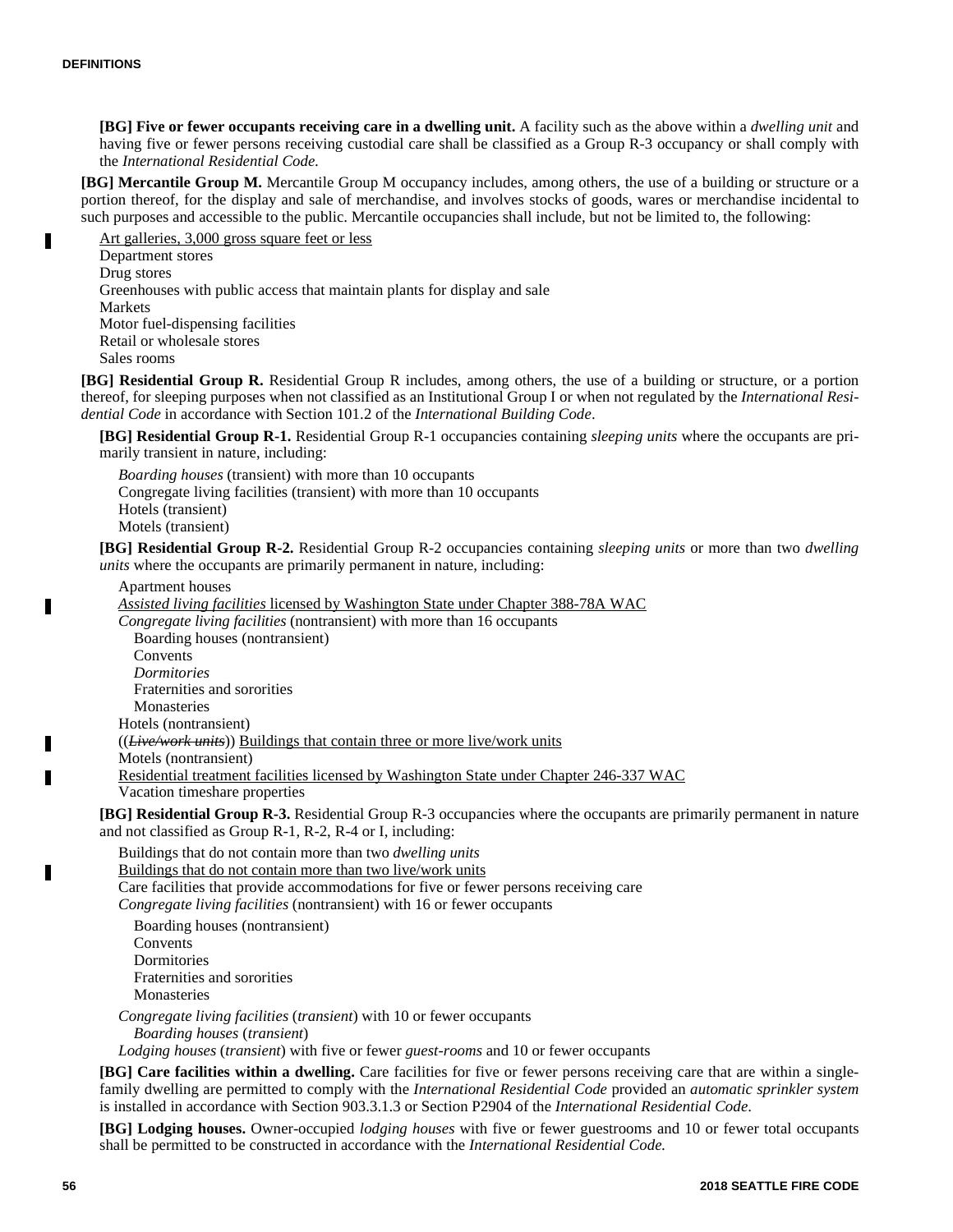Ш

П

 $\blacksquare$ 

**[BG] Five or fewer occupants receiving care in a dwelling unit.** A facility such as the above within a *dwelling unit* and having five or fewer persons receiving custodial care shall be classified as a Group R-3 occupancy or shall comply with the *International Residential Code.*

**[BG] Mercantile Group M.** Mercantile Group M occupancy includes, among others, the use of a building or structure or a portion thereof, for the display and sale of merchandise, and involves stocks of goods, wares or merchandise incidental to such purposes and accessible to the public. Mercantile occupancies shall include, but not be limited to, the following:

Art galleries, 3,000 gross square feet or less Department stores Drug stores Greenhouses with public access that maintain plants for display and sale Markets Motor fuel-dispensing facilities Retail or wholesale stores Sales rooms

**[BG] Residential Group R.** Residential Group R includes, among others, the use of a building or structure, or a portion thereof, for sleeping purposes when not classified as an Institutional Group I or when not regulated by the *International Residential Code* in accordance with Section 101.2 of the *International Building Code*.

**[BG] Residential Group R-1.** Residential Group R-1 occupancies containing *sleeping units* where the occupants are primarily transient in nature, including:

*Boarding houses* (transient) with more than 10 occupants Congregate living facilities (transient) with more than 10 occupants Hotels (transient) Motels (transient)

**[BG] Residential Group R-2.** Residential Group R-2 occupancies containing *sleeping units* or more than two *dwelling units* where the occupants are primarily permanent in nature, including:

Apartment houses *Assisted living facilities* licensed by Washington State under Chapter 388-78A WAC *Congregate living facilities* (nontransient) with more than 16 occupants Boarding houses (nontransient) **Convents** *Dormitories* Fraternities and sororities Monasteries Hotels (nontransient) ((*Live/work units*)) Buildings that contain three or more live/work units Motels (nontransient) Residential treatment facilities licensed by Washington State under Chapter 246-337 WAC Vacation timeshare properties

**[BG] Residential Group R-3.** Residential Group R-3 occupancies where the occupants are primarily permanent in nature and not classified as Group R-1, R-2, R-4 or I, including:

Buildings that do not contain more than two *dwelling units* Buildings that do not contain more than two live/work units Care facilities that provide accommodations for five or fewer persons receiving care *Congregate living facilities* (nontransient) with 16 or fewer occupants

Boarding houses (nontransient) Convents Dormitories Fraternities and sororities Monasteries

*Congregate living facilities* (*transient*) with 10 or fewer occupants *Boarding houses* (*transient*)

*Lodging houses* (*transient*) with five or fewer *guest-rooms* and 10 or fewer occupants

**[BG] Care facilities within a dwelling.** Care facilities for five or fewer persons receiving care that are within a singlefamily dwelling are permitted to comply with the *International Residential Code* provided an *automatic sprinkler system* is installed in accordance with Section 903.3.1.3 or Section P2904 of the *International Residential Code*.

**[BG] Lodging houses.** Owner-occupied *lodging houses* with five or fewer guestrooms and 10 or fewer total occupants shall be permitted to be constructed in accordance with the *International Residential Code.*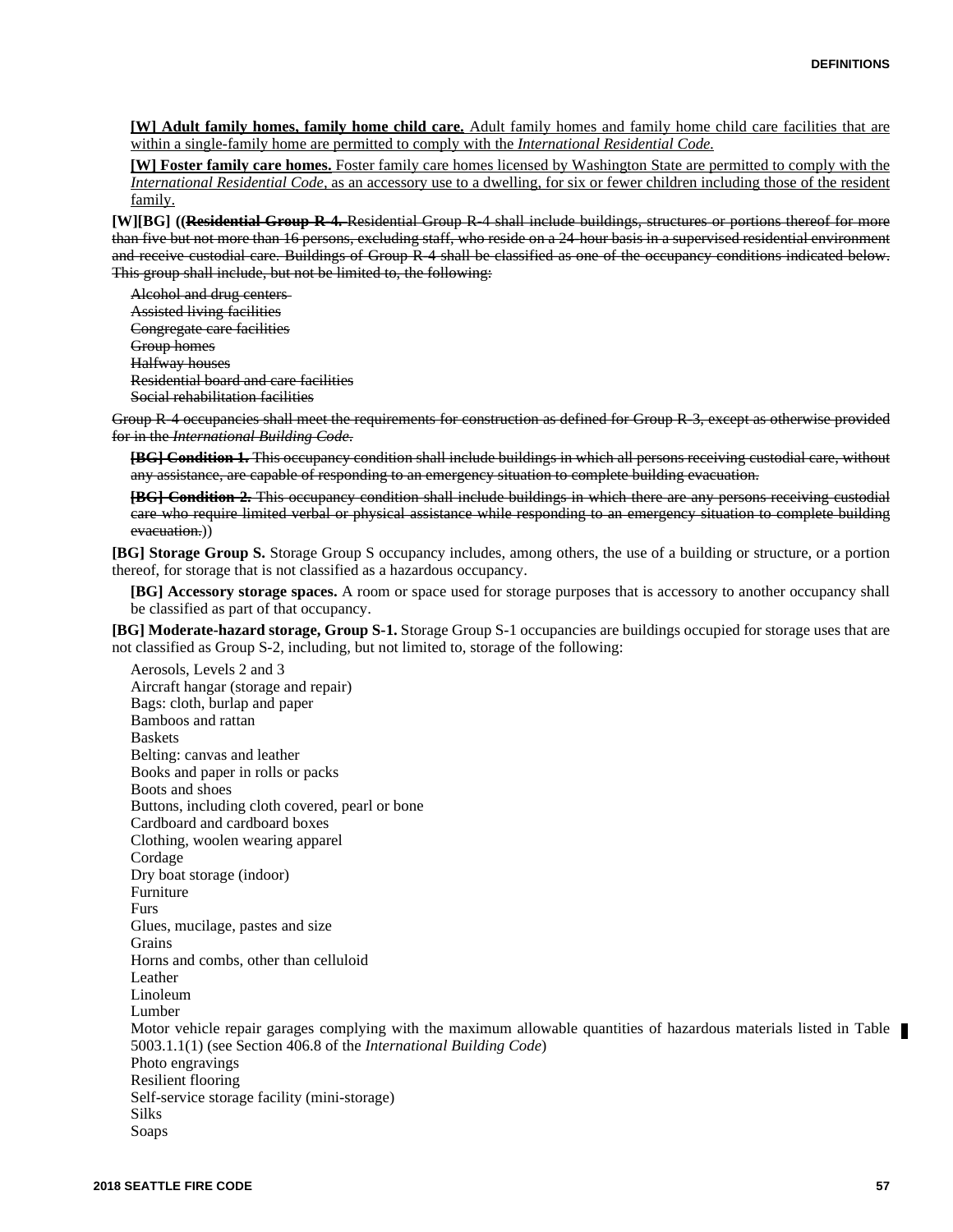**[W] Adult family homes, family home child care.** Adult family homes and family home child care facilities that are within a single-family home are permitted to comply with the *International Residential Code.*

**[W] Foster family care homes.** Foster family care homes licensed by Washington State are permitted to comply with the *International Residential Code,* as an accessory use to a dwelling, for six or fewer children including those of the resident family.

**[W][BG] ((Residential Group R-4.** Residential Group R-4 shall include buildings, structures or portions thereof for more than five but not more than 16 persons, excluding staff, who reside on a 24-hour basis in a supervised residential environment and receive custodial care. Buildings of Group R-4 shall be classified as one of the occupancy conditions indicated below. This group shall include, but not be limited to, the following:

Alcohol and drug centers Assisted living facilities Congregate care facilities Group homes Halfway houses Residential board and care facilities Social rehabilitation facilities

Group R-4 occupancies shall meet the requirements for construction as defined for Group R-3, except as otherwise provided for in the *International Building Code*.

**[BG] Condition 1.** This occupancy condition shall include buildings in which all persons receiving custodial care, without any assistance, are capable of responding to an emergency situation to complete building evacuation.

**[BG] Condition 2.** This occupancy condition shall include buildings in which there are any persons receiving custodial care who require limited verbal or physical assistance while responding to an emergency situation to complete building evacuation.))

**[BG] Storage Group S.** Storage Group S occupancy includes, among others, the use of a building or structure, or a portion thereof, for storage that is not classified as a hazardous occupancy.

**[BG] Accessory storage spaces.** A room or space used for storage purposes that is accessory to another occupancy shall be classified as part of that occupancy.

**[BG] Moderate-hazard storage, Group S-1.** Storage Group S-1 occupancies are buildings occupied for storage uses that are not classified as Group S-2, including, but not limited to, storage of the following:

Aerosols, Levels 2 and 3 Aircraft hangar (storage and repair) Bags: cloth, burlap and paper Bamboos and rattan Baskets Belting: canvas and leather Books and paper in rolls or packs Boots and shoes Buttons, including cloth covered, pearl or bone Cardboard and cardboard boxes Clothing, woolen wearing apparel Cordage Dry boat storage (indoor) Furniture Furs Glues, mucilage, pastes and size Grains Horns and combs, other than celluloid Leather Linoleum Lumber Motor vehicle repair garages complying with the maximum allowable quantities of hazardous materials listed in Table 5003.1.1(1) (see Section 406.8 of the *International Building Code*) Photo engravings Resilient flooring Self-service storage facility (mini-storage) Silks

Soaps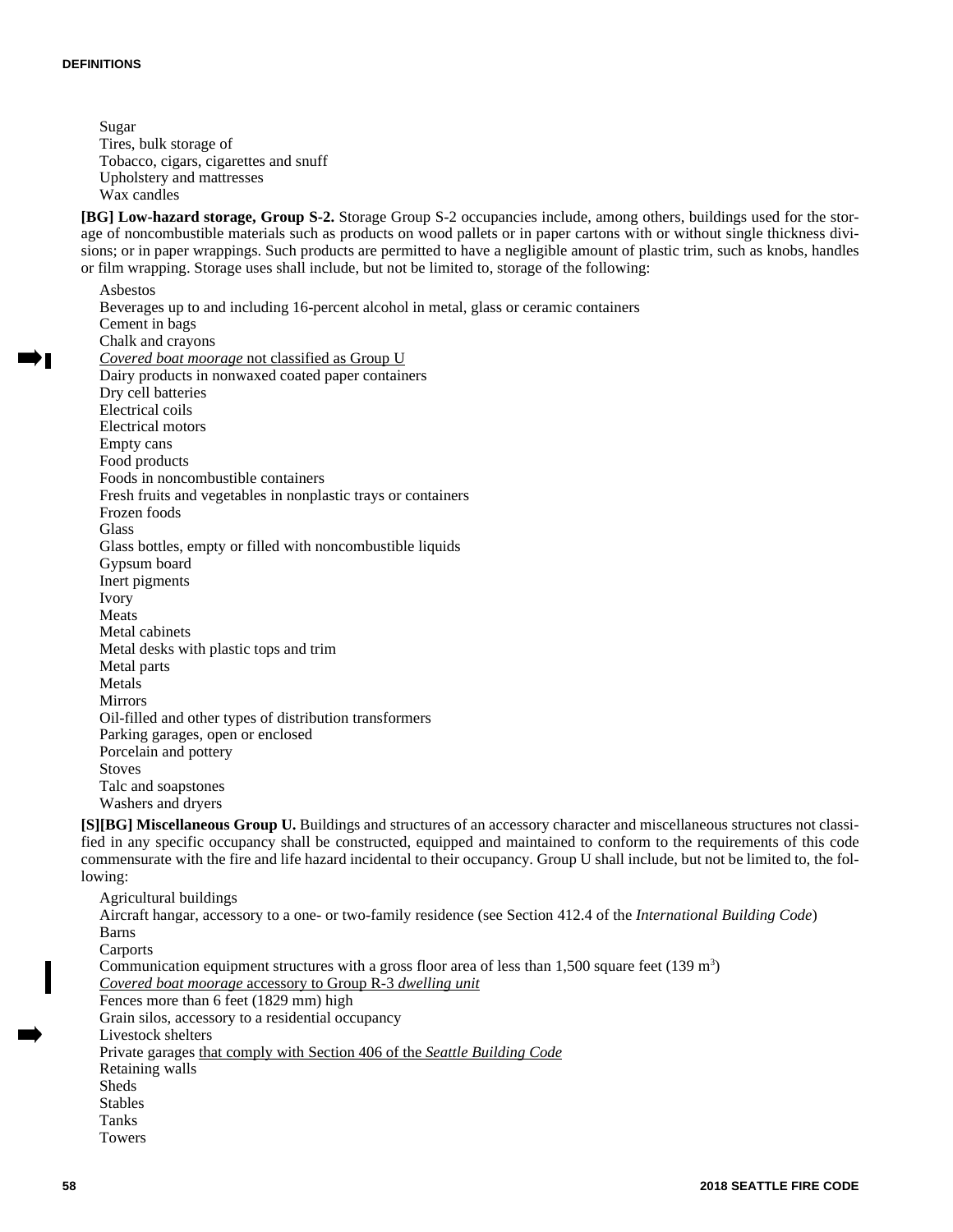Sugar Tires, bulk storage of Tobacco, cigars, cigarettes and snuff Upholstery and mattresses Wax candles

**[BG] Low-hazard storage, Group S-2.** Storage Group S-2 occupancies include, among others, buildings used for the storage of noncombustible materials such as products on wood pallets or in paper cartons with or without single thickness divisions; or in paper wrappings. Such products are permitted to have a negligible amount of plastic trim, such as knobs, handles or film wrapping. Storage uses shall include, but not be limited to, storage of the following:

Asbestos Beverages up to and including 16-percent alcohol in metal, glass or ceramic containers Cement in bags Chalk and crayons *Covered boat moorage* not classified as Group U Dairy products in nonwaxed coated paper containers Dry cell batteries Electrical coils Electrical motors Empty cans Food products Foods in noncombustible containers Fresh fruits and vegetables in nonplastic trays or containers Frozen foods Glass Glass bottles, empty or filled with noncombustible liquids Gypsum board Inert pigments Ivory Meats Metal cabinets Metal desks with plastic tops and trim Metal parts **Metals** Mirrors Oil-filled and other types of distribution transformers Parking garages, open or enclosed Porcelain and pottery Stoves Talc and soapstones Washers and dryers

**[S][BG] Miscellaneous Group U.** Buildings and structures of an accessory character and miscellaneous structures not classified in any specific occupancy shall be constructed, equipped and maintained to conform to the requirements of this code commensurate with the fire and life hazard incidental to their occupancy. Group U shall include, but not be limited to, the following:

Agricultural buildings Aircraft hangar, accessory to a one- or two-family residence (see Section 412.4 of the *International Building Code*) Barns Carports Communication equipment structures with a gross floor area of less than  $1,500$  square feet (139 m<sup>3</sup>) *Covered boat moorage* accessory to Group R-3 *dwelling unit* Fences more than 6 feet (1829 mm) high Grain silos, accessory to a residential occupancy Livestock shelters Private garages that comply with Section 406 of the *Seattle Building Code* Retaining walls Sheds Stables Tanks

Towers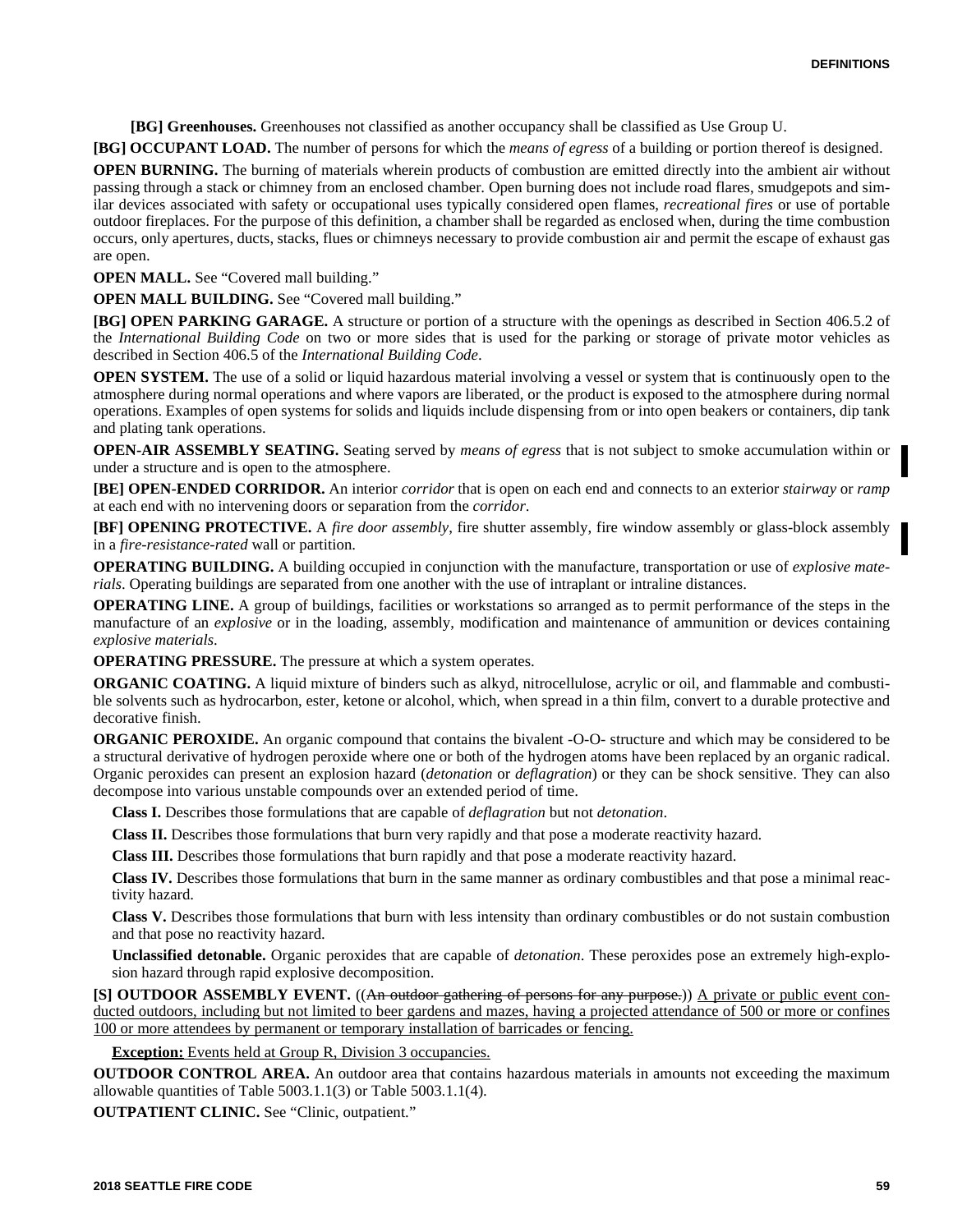**[BG] Greenhouses.** Greenhouses not classified as another occupancy shall be classified as Use Group U.

**[BG] OCCUPANT LOAD.** The number of persons for which the *means of egress* of a building or portion thereof is designed.

**OPEN BURNING.** The burning of materials wherein products of combustion are emitted directly into the ambient air without passing through a stack or chimney from an enclosed chamber. Open burning does not include road flares, smudgepots and similar devices associated with safety or occupational uses typically considered open flames, *recreational fires* or use of portable outdoor fireplaces. For the purpose of this definition, a chamber shall be regarded as enclosed when, during the time combustion occurs, only apertures, ducts, stacks, flues or chimneys necessary to provide combustion air and permit the escape of exhaust gas are open.

**OPEN MALL.** See "Covered mall building."

**OPEN MALL BUILDING.** See "Covered mall building."

**[BG] OPEN PARKING GARAGE.** A structure or portion of a structure with the openings as described in Section 406.5.2 of the *International Building Code* on two or more sides that is used for the parking or storage of private motor vehicles as described in Section 406.5 of the *International Building Code*.

**OPEN SYSTEM.** The use of a solid or liquid hazardous material involving a vessel or system that is continuously open to the atmosphere during normal operations and where vapors are liberated, or the product is exposed to the atmosphere during normal operations. Examples of open systems for solids and liquids include dispensing from or into open beakers or containers, dip tank and plating tank operations.

**OPEN-AIR ASSEMBLY SEATING.** Seating served by *means of egress* that is not subject to smoke accumulation within or under a structure and is open to the atmosphere.

**[BE] OPEN-ENDED CORRIDOR.** An interior *corridor* that is open on each end and connects to an exterior *stairway* or *ramp* at each end with no intervening doors or separation from the *corridor*.

**[BF] OPENING PROTECTIVE.** A *fire door assembly*, fire shutter assembly, fire window assembly or glass-block assembly in a *fire-resistance-rated* wall or partition.

**OPERATING BUILDING.** A building occupied in conjunction with the manufacture, transportation or use of *explosive materials*. Operating buildings are separated from one another with the use of intraplant or intraline distances.

**OPERATING LINE.** A group of buildings, facilities or workstations so arranged as to permit performance of the steps in the manufacture of an *explosive* or in the loading, assembly, modification and maintenance of ammunition or devices containing *explosive materials*.

**OPERATING PRESSURE.** The pressure at which a system operates.

**ORGANIC COATING.** A liquid mixture of binders such as alkyd, nitrocellulose, acrylic or oil, and flammable and combustible solvents such as hydrocarbon, ester, ketone or alcohol, which, when spread in a thin film, convert to a durable protective and decorative finish.

**ORGANIC PEROXIDE.** An organic compound that contains the bivalent -O-O- structure and which may be considered to be a structural derivative of hydrogen peroxide where one or both of the hydrogen atoms have been replaced by an organic radical. Organic peroxides can present an explosion hazard (*detonation* or *deflagration*) or they can be shock sensitive. They can also decompose into various unstable compounds over an extended period of time.

**Class I.** Describes those formulations that are capable of *deflagration* but not *detonation*.

**Class II.** Describes those formulations that burn very rapidly and that pose a moderate reactivity hazard.

**Class III.** Describes those formulations that burn rapidly and that pose a moderate reactivity hazard.

**Class IV.** Describes those formulations that burn in the same manner as ordinary combustibles and that pose a minimal reactivity hazard.

**Class V.** Describes those formulations that burn with less intensity than ordinary combustibles or do not sustain combustion and that pose no reactivity hazard.

**Unclassified detonable.** Organic peroxides that are capable of *detonation*. These peroxides pose an extremely high-explosion hazard through rapid explosive decomposition.

**[S] OUTDOOR ASSEMBLY EVENT.** ((An outdoor gathering of persons for any purpose.)) A private or public event conducted outdoors, including but not limited to beer gardens and mazes, having a projected attendance of 500 or more or confines 100 or more attendees by permanent or temporary installation of barricades or fencing.

**Exception:** Events held at Group R, Division 3 occupancies.

**OUTDOOR CONTROL AREA.** An outdoor area that contains hazardous materials in amounts not exceeding the maximum allowable quantities of Table 5003.1.1(3) or Table 5003.1.1(4).

**OUTPATIENT CLINIC.** See "Clinic, outpatient."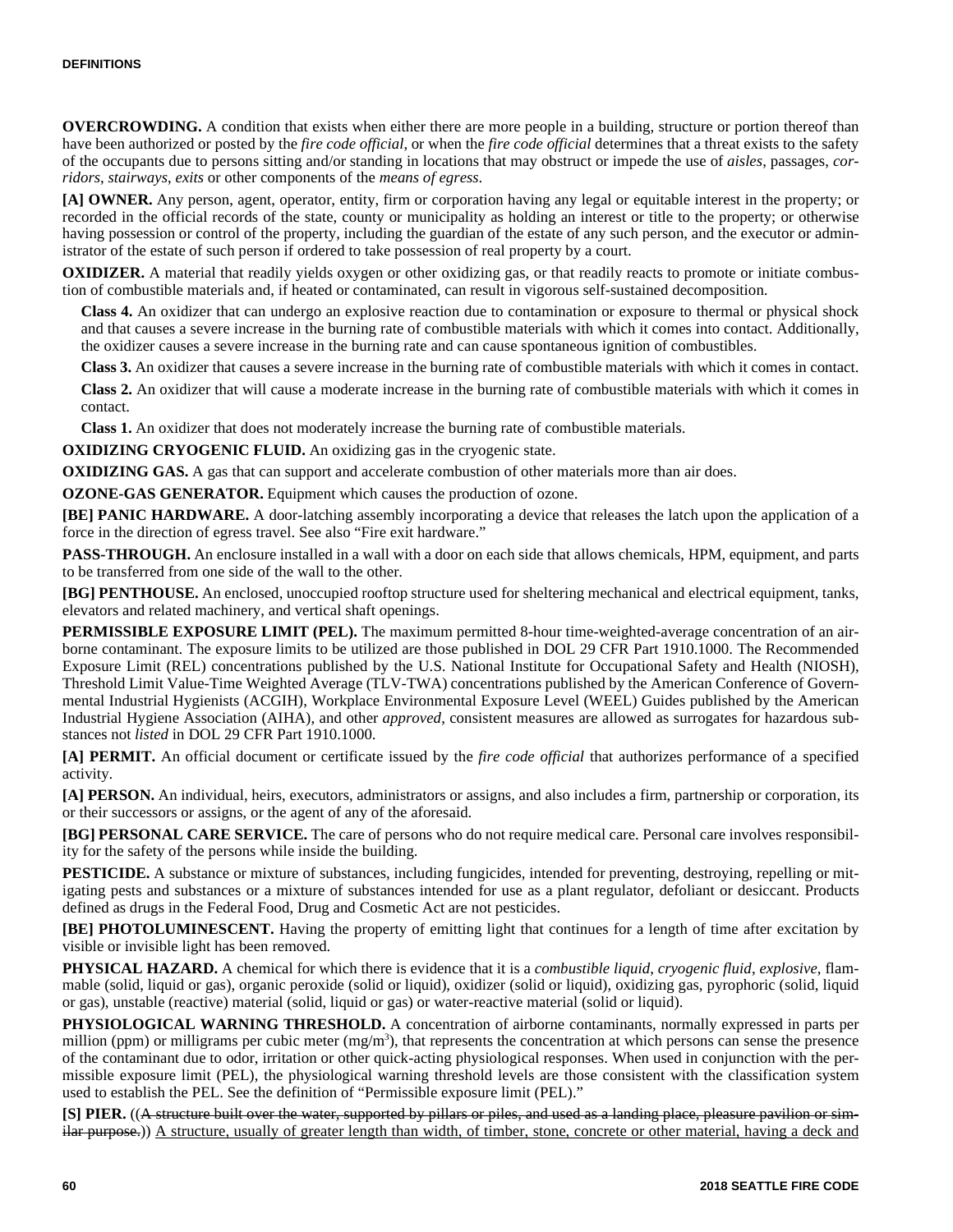**OVERCROWDING.** A condition that exists when either there are more people in a building, structure or portion thereof than have been authorized or posted by the *fire code official*, or when the *fire code official* determines that a threat exists to the safety of the occupants due to persons sitting and/or standing in locations that may obstruct or impede the use of *aisles*, passages, *corridors*, *stairways*, *exits* or other components of the *means of egress*.

**[A] OWNER.** Any person, agent, operator, entity, firm or corporation having any legal or equitable interest in the property; or recorded in the official records of the state, county or municipality as holding an interest or title to the property; or otherwise having possession or control of the property, including the guardian of the estate of any such person, and the executor or administrator of the estate of such person if ordered to take possession of real property by a court.

**OXIDIZER.** A material that readily yields oxygen or other oxidizing gas, or that readily reacts to promote or initiate combustion of combustible materials and, if heated or contaminated, can result in vigorous self-sustained decomposition.

**Class 4.** An oxidizer that can undergo an explosive reaction due to contamination or exposure to thermal or physical shock and that causes a severe increase in the burning rate of combustible materials with which it comes into contact. Additionally, the oxidizer causes a severe increase in the burning rate and can cause spontaneous ignition of combustibles.

**Class 3.** An oxidizer that causes a severe increase in the burning rate of combustible materials with which it comes in contact.

**Class 2.** An oxidizer that will cause a moderate increase in the burning rate of combustible materials with which it comes in contact.

**Class 1.** An oxidizer that does not moderately increase the burning rate of combustible materials.

**OXIDIZING CRYOGENIC FLUID.** An oxidizing gas in the cryogenic state.

**OXIDIZING GAS.** A gas that can support and accelerate combustion of other materials more than air does.

**OZONE-GAS GENERATOR.** Equipment which causes the production of ozone.

**[BE] PANIC HARDWARE.** A door-latching assembly incorporating a device that releases the latch upon the application of a force in the direction of egress travel. See also "Fire exit hardware."

**PASS-THROUGH.** An enclosure installed in a wall with a door on each side that allows chemicals, HPM, equipment, and parts to be transferred from one side of the wall to the other.

**[BG] PENTHOUSE.** An enclosed, unoccupied rooftop structure used for sheltering mechanical and electrical equipment, tanks, elevators and related machinery, and vertical shaft openings.

**PERMISSIBLE EXPOSURE LIMIT (PEL).** The maximum permitted 8-hour time-weighted-average concentration of an airborne contaminant. The exposure limits to be utilized are those published in DOL 29 CFR Part 1910.1000. The Recommended Exposure Limit (REL) concentrations published by the U.S. National Institute for Occupational Safety and Health (NIOSH), Threshold Limit Value-Time Weighted Average (TLV-TWA) concentrations published by the American Conference of Governmental Industrial Hygienists (ACGIH), Workplace Environmental Exposure Level (WEEL) Guides published by the American Industrial Hygiene Association (AIHA), and other *approved*, consistent measures are allowed as surrogates for hazardous substances not *listed* in DOL 29 CFR Part 1910.1000.

**[A] PERMIT.** An official document or certificate issued by the *fire code official* that authorizes performance of a specified activity.

**[A] PERSON.** An individual, heirs, executors, administrators or assigns, and also includes a firm, partnership or corporation, its or their successors or assigns, or the agent of any of the aforesaid.

**[BG] PERSONAL CARE SERVICE.** The care of persons who do not require medical care. Personal care involves responsibility for the safety of the persons while inside the building.

**PESTICIDE.** A substance or mixture of substances, including fungicides, intended for preventing, destroying, repelling or mitigating pests and substances or a mixture of substances intended for use as a plant regulator, defoliant or desiccant. Products defined as drugs in the Federal Food, Drug and Cosmetic Act are not pesticides.

**[BE] PHOTOLUMINESCENT.** Having the property of emitting light that continues for a length of time after excitation by visible or invisible light has been removed.

**PHYSICAL HAZARD.** A chemical for which there is evidence that it is a *combustible liquid*, *cryogenic fluid*, *explosive*, flammable (solid, liquid or gas), organic peroxide (solid or liquid), oxidizer (solid or liquid), oxidizing gas, pyrophoric (solid, liquid or gas), unstable (reactive) material (solid, liquid or gas) or water-reactive material (solid or liquid).

**PHYSIOLOGICAL WARNING THRESHOLD.** A concentration of airborne contaminants, normally expressed in parts per million (ppm) or milligrams per cubic meter  $(mg/m<sup>3</sup>)$ , that represents the concentration at which persons can sense the presence of the contaminant due to odor, irritation or other quick-acting physiological responses. When used in conjunction with the permissible exposure limit (PEL), the physiological warning threshold levels are those consistent with the classification system used to establish the PEL. See the definition of "Permissible exposure limit (PEL)."

**[S] PIER.** ((A structure built over the water, supported by pillars or piles, and used as a landing place, pleasure pavilion or similar purpose.)) A structure, usually of greater length than width, of timber, stone, concrete or other material, having a deck and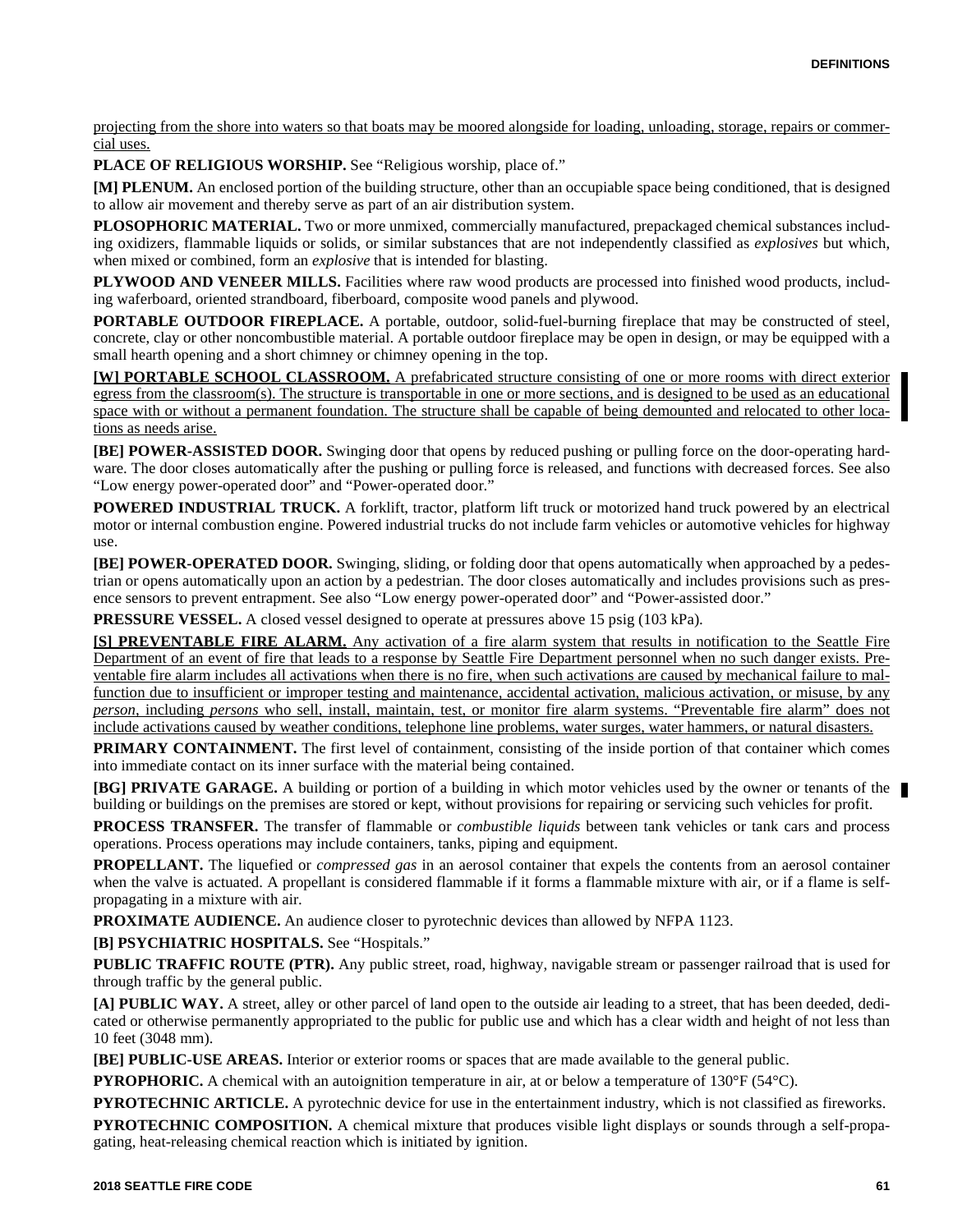projecting from the shore into waters so that boats may be moored alongside for loading, unloading, storage, repairs or commercial uses.

**PLACE OF RELIGIOUS WORSHIP.** See "Religious worship, place of."

**[M] PLENUM.** An enclosed portion of the building structure, other than an occupiable space being conditioned, that is designed to allow air movement and thereby serve as part of an air distribution system.

**PLOSOPHORIC MATERIAL.** Two or more unmixed, commercially manufactured, prepackaged chemical substances including oxidizers, flammable liquids or solids, or similar substances that are not independently classified as *explosives* but which, when mixed or combined, form an *explosive* that is intended for blasting.

**PLYWOOD AND VENEER MILLS.** Facilities where raw wood products are processed into finished wood products, including waferboard, oriented strandboard, fiberboard, composite wood panels and plywood.

**PORTABLE OUTDOOR FIREPLACE.** A portable, outdoor, solid-fuel-burning fireplace that may be constructed of steel, concrete, clay or other noncombustible material. A portable outdoor fireplace may be open in design, or may be equipped with a small hearth opening and a short chimney or chimney opening in the top.

**[W] PORTABLE SCHOOL CLASSROOM.** A prefabricated structure consisting of one or more rooms with direct exterior egress from the classroom(s). The structure is transportable in one or more sections, and is designed to be used as an educational space with or without a permanent foundation. The structure shall be capable of being demounted and relocated to other locations as needs arise.

**[BE] POWER-ASSISTED DOOR.** Swinging door that opens by reduced pushing or pulling force on the door-operating hardware. The door closes automatically after the pushing or pulling force is released, and functions with decreased forces. See also "Low energy power-operated door" and "Power-operated door."

**POWERED INDUSTRIAL TRUCK.** A forklift, tractor, platform lift truck or motorized hand truck powered by an electrical motor or internal combustion engine. Powered industrial trucks do not include farm vehicles or automotive vehicles for highway use.

**[BE] POWER-OPERATED DOOR.** Swinging, sliding, or folding door that opens automatically when approached by a pedestrian or opens automatically upon an action by a pedestrian. The door closes automatically and includes provisions such as presence sensors to prevent entrapment. See also "Low energy power-operated door" and "Power-assisted door."

**PRESSURE VESSEL.** A closed vessel designed to operate at pressures above 15 psig (103 kPa).

**[S] PREVENTABLE FIRE ALARM.** Any activation of a fire alarm system that results in notification to the Seattle Fire Department of an event of fire that leads to a response by Seattle Fire Department personnel when no such danger exists. Preventable fire alarm includes all activations when there is no fire, when such activations are caused by mechanical failure to malfunction due to insufficient or improper testing and maintenance, accidental activation, malicious activation, or misuse, by any *person,* including *persons* who sell, install, maintain, test, or monitor fire alarm systems. "Preventable fire alarm" does not include activations caused by weather conditions, telephone line problems, water surges, water hammers, or natural disasters.

**PRIMARY CONTAINMENT.** The first level of containment, consisting of the inside portion of that container which comes into immediate contact on its inner surface with the material being contained.

**[BG] PRIVATE GARAGE.** A building or portion of a building in which motor vehicles used by the owner or tenants of the building or buildings on the premises are stored or kept, without provisions for repairing or servicing such vehicles for profit.

**PROCESS TRANSFER.** The transfer of flammable or *combustible liquids* between tank vehicles or tank cars and process operations. Process operations may include containers, tanks, piping and equipment.

**PROPELLANT.** The liquefied or *compressed gas* in an aerosol container that expels the contents from an aerosol container when the valve is actuated. A propellant is considered flammable if it forms a flammable mixture with air, or if a flame is selfpropagating in a mixture with air.

**PROXIMATE AUDIENCE.** An audience closer to pyrotechnic devices than allowed by NFPA 1123.

**[B] PSYCHIATRIC HOSPITALS.** See "Hospitals."

**PUBLIC TRAFFIC ROUTE (PTR).** Any public street, road, highway, navigable stream or passenger railroad that is used for through traffic by the general public.

**[A] PUBLIC WAY.** A street, alley or other parcel of land open to the outside air leading to a street, that has been deeded, dedicated or otherwise permanently appropriated to the public for public use and which has a clear width and height of not less than 10 feet (3048 mm).

**[BE] PUBLIC-USE AREAS.** Interior or exterior rooms or spaces that are made available to the general public.

**PYROPHORIC.** A chemical with an autoignition temperature in air, at or below a temperature of 130°F (54°C).

**PYROTECHNIC ARTICLE.** A pyrotechnic device for use in the entertainment industry, which is not classified as fireworks.

**PYROTECHNIC COMPOSITION.** A chemical mixture that produces visible light displays or sounds through a self-propagating, heat-releasing chemical reaction which is initiated by ignition.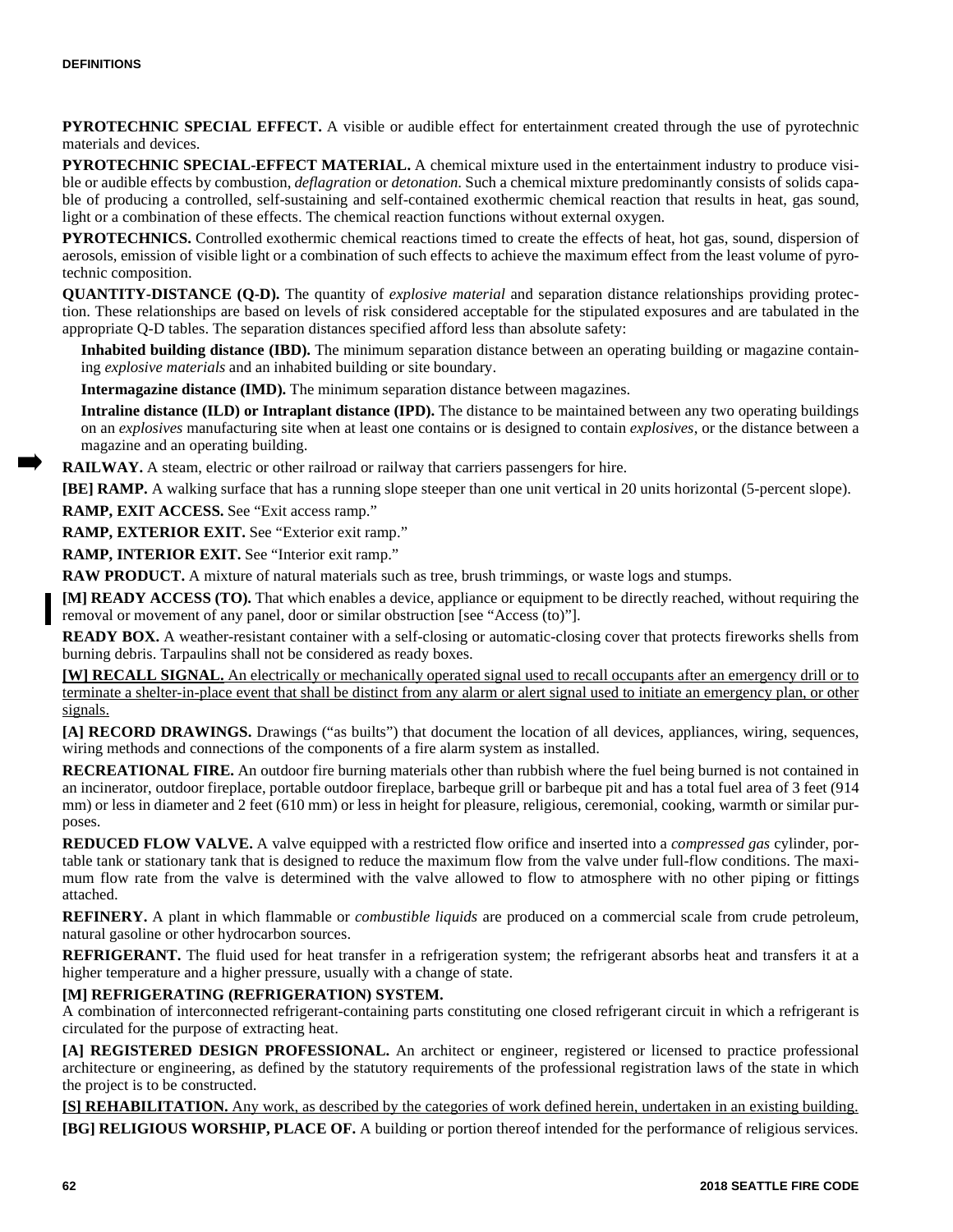**PYROTECHNIC SPECIAL EFFECT.** A visible or audible effect for entertainment created through the use of pyrotechnic materials and devices.

**PYROTECHNIC SPECIAL-EFFECT MATERIAL.** A chemical mixture used in the entertainment industry to produce visible or audible effects by combustion, *deflagration* or *detonation*. Such a chemical mixture predominantly consists of solids capable of producing a controlled, self-sustaining and self-contained exothermic chemical reaction that results in heat, gas sound, light or a combination of these effects. The chemical reaction functions without external oxygen.

**PYROTECHNICS.** Controlled exothermic chemical reactions timed to create the effects of heat, hot gas, sound, dispersion of aerosols, emission of visible light or a combination of such effects to achieve the maximum effect from the least volume of pyrotechnic composition.

**QUANTITY-DISTANCE (Q-D).** The quantity of *explosive material* and separation distance relationships providing protection. These relationships are based on levels of risk considered acceptable for the stipulated exposures and are tabulated in the appropriate Q-D tables. The separation distances specified afford less than absolute safety:

**Inhabited building distance (IBD).** The minimum separation distance between an operating building or magazine containing *explosive materials* and an inhabited building or site boundary.

**Intermagazine distance (IMD).** The minimum separation distance between magazines.

**Intraline distance (ILD) or Intraplant distance (IPD).** The distance to be maintained between any two operating buildings on an *explosives* manufacturing site when at least one contains or is designed to contain *explosives*, or the distance between a magazine and an operating building.

**RAILWAY.** A steam, electric or other railroad or railway that carriers passengers for hire.

**[BE] RAMP.** A walking surface that has a running slope steeper than one unit vertical in 20 units horizontal (5-percent slope).

**RAMP, EXIT ACCESS.** See "Exit access ramp."

**RAMP, EXTERIOR EXIT.** See "Exterior exit ramp."

**RAMP, INTERIOR EXIT.** See "Interior exit ramp."

**RAW PRODUCT.** A mixture of natural materials such as tree, brush trimmings, or waste logs and stumps.

**[M] READY ACCESS (TO).** That which enables a device, appliance or equipment to be directly reached, without requiring the removal or movement of any panel, door or similar obstruction [see "Access (to)"].

**READY BOX.** A weather-resistant container with a self-closing or automatic-closing cover that protects fireworks shells from burning debris. Tarpaulins shall not be considered as ready boxes.

**[W] RECALL SIGNAL.** An electrically or mechanically operated signal used to recall occupants after an emergency drill or to terminate a shelter-in-place event that shall be distinct from any alarm or alert signal used to initiate an emergency plan, or other signals.

**[A] RECORD DRAWINGS.** Drawings ("as builts") that document the location of all devices, appliances, wiring, sequences, wiring methods and connections of the components of a fire alarm system as installed.

**RECREATIONAL FIRE.** An outdoor fire burning materials other than rubbish where the fuel being burned is not contained in an incinerator, outdoor fireplace, portable outdoor fireplace, barbeque grill or barbeque pit and has a total fuel area of 3 feet (914 mm) or less in diameter and 2 feet (610 mm) or less in height for pleasure, religious, ceremonial, cooking, warmth or similar purposes.

**REDUCED FLOW VALVE.** A valve equipped with a restricted flow orifice and inserted into a *compressed gas* cylinder, portable tank or stationary tank that is designed to reduce the maximum flow from the valve under full-flow conditions. The maximum flow rate from the valve is determined with the valve allowed to flow to atmosphere with no other piping or fittings attached.

**REFINERY.** A plant in which flammable or *combustible liquids* are produced on a commercial scale from crude petroleum, natural gasoline or other hydrocarbon sources.

**REFRIGERANT.** The fluid used for heat transfer in a refrigeration system; the refrigerant absorbs heat and transfers it at a higher temperature and a higher pressure, usually with a change of state.

# **[M] REFRIGERATING (REFRIGERATION) SYSTEM.**

A combination of interconnected refrigerant-containing parts constituting one closed refrigerant circuit in which a refrigerant is circulated for the purpose of extracting heat.

**[A] REGISTERED DESIGN PROFESSIONAL.** An architect or engineer, registered or licensed to practice professional architecture or engineering, as defined by the statutory requirements of the professional registration laws of the state in which the project is to be constructed.

**[S] REHABILITATION.** Any work, as described by the categories of work defined herein, undertaken in an existing building. **[BG] RELIGIOUS WORSHIP, PLACE OF.** A building or portion thereof intended for the performance of religious services.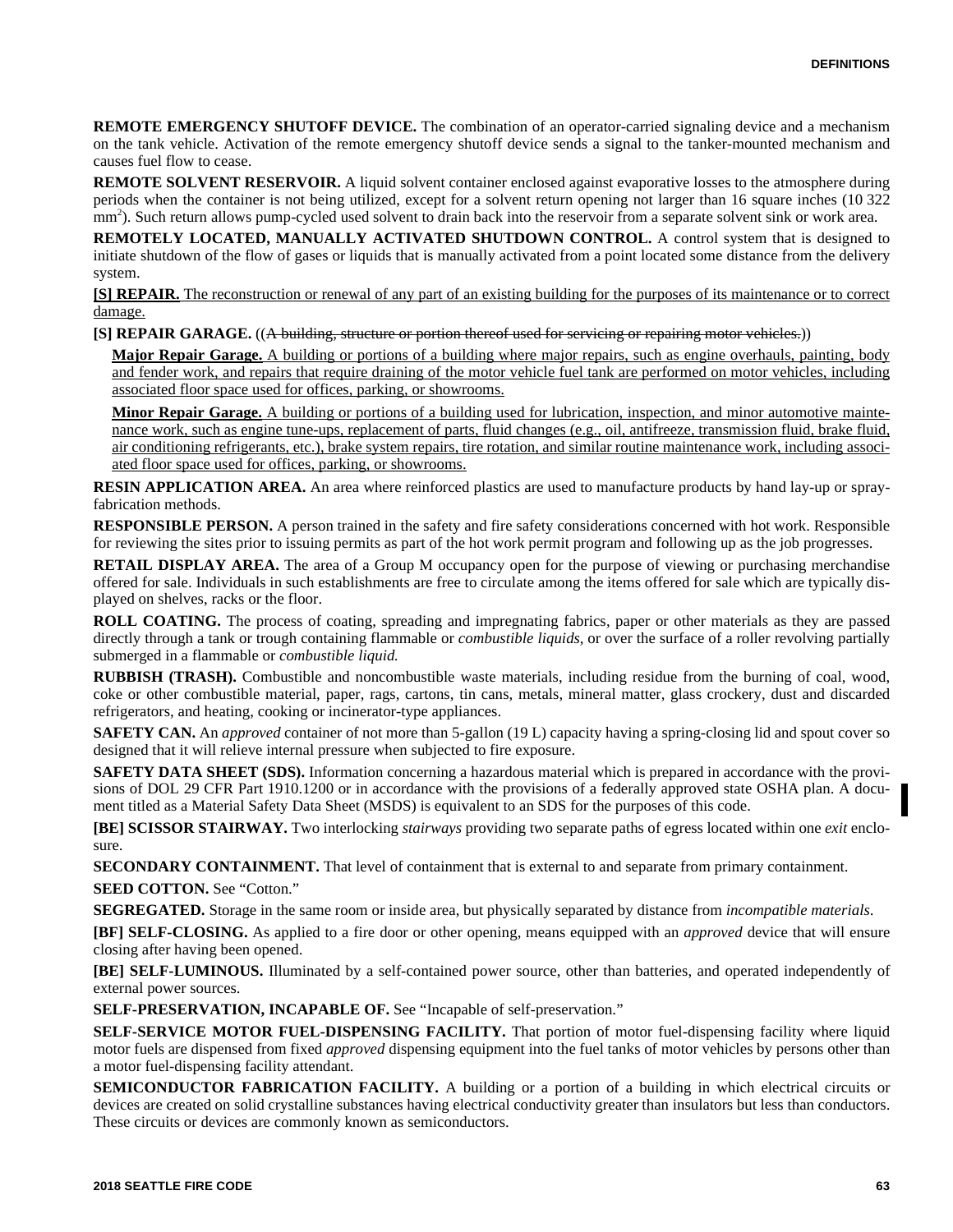**REMOTE EMERGENCY SHUTOFF DEVICE.** The combination of an operator-carried signaling device and a mechanism on the tank vehicle. Activation of the remote emergency shutoff device sends a signal to the tanker-mounted mechanism and causes fuel flow to cease.

**REMOTE SOLVENT RESERVOIR.** A liquid solvent container enclosed against evaporative losses to the atmosphere during periods when the container is not being utilized, except for a solvent return opening not larger than 16 square inches (10 322 mm<sup>2</sup>). Such return allows pump-cycled used solvent to drain back into the reservoir from a separate solvent sink or work area.

**REMOTELY LOCATED, MANUALLY ACTIVATED SHUTDOWN CONTROL.** A control system that is designed to initiate shutdown of the flow of gases or liquids that is manually activated from a point located some distance from the delivery system.

**[S] REPAIR.** The reconstruction or renewal of any part of an existing building for the purposes of its maintenance or to correct damage.

**[S] REPAIR GARAGE.** ((A building, structure or portion thereof used for servicing or repairing motor vehicles.))

**Major Repair Garage.** A building or portions of a building where major repairs, such as engine overhauls, painting, body and fender work, and repairs that require draining of the motor vehicle fuel tank are performed on motor vehicles, including associated floor space used for offices, parking, or showrooms.

**Minor Repair Garage.** A building or portions of a building used for lubrication, inspection, and minor automotive maintenance work, such as engine tune-ups, replacement of parts, fluid changes (e.g., oil, antifreeze, transmission fluid, brake fluid, air conditioning refrigerants, etc.), brake system repairs, tire rotation, and similar routine maintenance work, including associated floor space used for offices, parking, or showrooms.

**RESIN APPLICATION AREA.** An area where reinforced plastics are used to manufacture products by hand lay-up or sprayfabrication methods.

**RESPONSIBLE PERSON.** A person trained in the safety and fire safety considerations concerned with hot work. Responsible for reviewing the sites prior to issuing permits as part of the hot work permit program and following up as the job progresses.

**RETAIL DISPLAY AREA.** The area of a Group M occupancy open for the purpose of viewing or purchasing merchandise offered for sale. Individuals in such establishments are free to circulate among the items offered for sale which are typically displayed on shelves, racks or the floor.

**ROLL COATING.** The process of coating, spreading and impregnating fabrics, paper or other materials as they are passed directly through a tank or trough containing flammable or *combustible liquids*, or over the surface of a roller revolving partially submerged in a flammable or *combustible liquid.*

**RUBBISH (TRASH).** Combustible and noncombustible waste materials, including residue from the burning of coal, wood, coke or other combustible material, paper, rags, cartons, tin cans, metals, mineral matter, glass crockery, dust and discarded refrigerators, and heating, cooking or incinerator-type appliances.

**SAFETY CAN.** An *approved* container of not more than 5-gallon (19 L) capacity having a spring-closing lid and spout cover so designed that it will relieve internal pressure when subjected to fire exposure.

**SAFETY DATA SHEET (SDS).** Information concerning a hazardous material which is prepared in accordance with the provisions of DOL 29 CFR Part 1910.1200 or in accordance with the provisions of a federally approved state OSHA plan. A document titled as a Material Safety Data Sheet (MSDS) is equivalent to an SDS for the purposes of this code.

**[BE] SCISSOR STAIRWAY.** Two interlocking *stairways* providing two separate paths of egress located within one *exit* enclosure.

**SECONDARY CONTAINMENT.** That level of containment that is external to and separate from primary containment.

**SEED COTTON.** See "Cotton."

**SEGREGATED.** Storage in the same room or inside area, but physically separated by distance from *incompatible materials*.

**[BF] SELF-CLOSING.** As applied to a fire door or other opening, means equipped with an *approved* device that will ensure closing after having been opened.

**[BE] SELF-LUMINOUS.** Illuminated by a self-contained power source, other than batteries, and operated independently of external power sources.

**SELF-PRESERVATION, INCAPABLE OF.** See "Incapable of self-preservation."

**SELF-SERVICE MOTOR FUEL-DISPENSING FACILITY.** That portion of motor fuel-dispensing facility where liquid motor fuels are dispensed from fixed *approved* dispensing equipment into the fuel tanks of motor vehicles by persons other than a motor fuel-dispensing facility attendant.

**SEMICONDUCTOR FABRICATION FACILITY.** A building or a portion of a building in which electrical circuits or devices are created on solid crystalline substances having electrical conductivity greater than insulators but less than conductors. These circuits or devices are commonly known as semiconductors.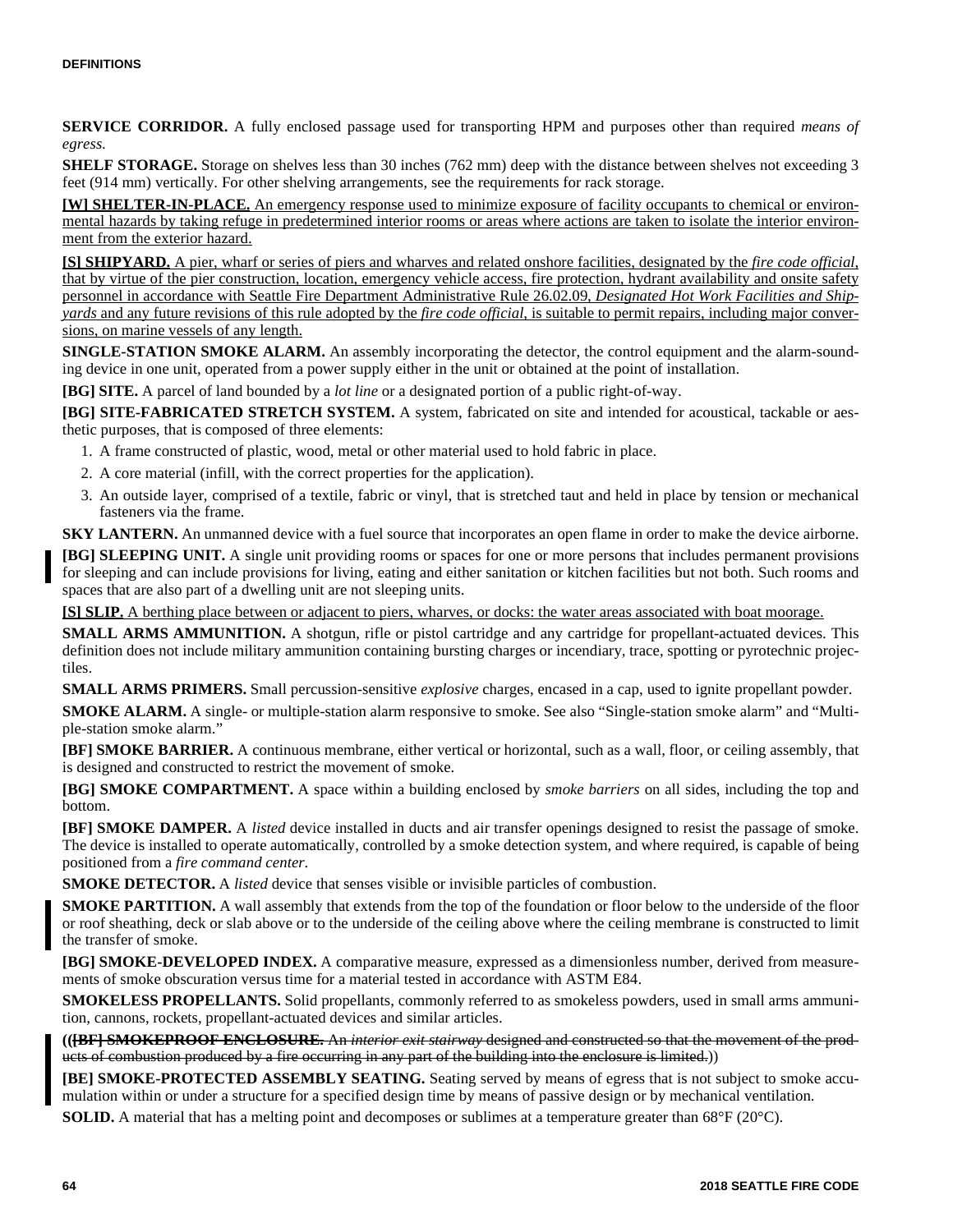**SERVICE CORRIDOR.** A fully enclosed passage used for transporting HPM and purposes other than required *means of egress*.

**SHELF STORAGE.** Storage on shelves less than 30 inches (762 mm) deep with the distance between shelves not exceeding 3 feet (914 mm) vertically. For other shelving arrangements, see the requirements for rack storage.

**[W] SHELTER-IN-PLACE.** An emergency response used to minimize exposure of facility occupants to chemical or environmental hazards by taking refuge in predetermined interior rooms or areas where actions are taken to isolate the interior environment from the exterior hazard.

**[S] SHIPYARD.** A pier, wharf or series of piers and wharves and related onshore facilities, designated by the *fire code official*, that by virtue of the pier construction, location, emergency vehicle access, fire protection, hydrant availability and onsite safety personnel in accordance with Seattle Fire Department Administrative Rule 26.02.09*, Designated Hot Work Facilities and Shipyards* and any future revisions of this rule adopted by the *fire code official,* is suitable to permit repairs, including major conversions, on marine vessels of any length.

**SINGLE-STATION SMOKE ALARM.** An assembly incorporating the detector, the control equipment and the alarm-sounding device in one unit, operated from a power supply either in the unit or obtained at the point of installation.

**[BG] SITE.** A parcel of land bounded by a *lot line* or a designated portion of a public right-of-way.

**[BG] SITE-FABRICATED STRETCH SYSTEM.** A system, fabricated on site and intended for acoustical, tackable or aesthetic purposes, that is composed of three elements:

- 1. A frame constructed of plastic, wood, metal or other material used to hold fabric in place.
- 2. A core material (infill, with the correct properties for the application).
- 3. An outside layer, comprised of a textile, fabric or vinyl, that is stretched taut and held in place by tension or mechanical fasteners via the frame.

**SKY LANTERN.** An unmanned device with a fuel source that incorporates an open flame in order to make the device airborne.

**[BG] SLEEPING UNIT.** A single unit providing rooms or spaces for one or more persons that includes permanent provisions for sleeping and can include provisions for living, eating and either sanitation or kitchen facilities but not both. Such rooms and spaces that are also part of a dwelling unit are not sleeping units.

**[S] SLIP.** A berthing place between or adjacent to piers, wharves, or docks: the water areas associated with boat moorage.

**SMALL ARMS AMMUNITION.** A shotgun, rifle or pistol cartridge and any cartridge for propellant-actuated devices. This definition does not include military ammunition containing bursting charges or incendiary, trace, spotting or pyrotechnic projectiles.

**SMALL ARMS PRIMERS.** Small percussion-sensitive *explosive* charges, encased in a cap, used to ignite propellant powder.

**SMOKE ALARM.** A single- or multiple-station alarm responsive to smoke. See also "Single-station smoke alarm" and "Multiple-station smoke alarm."

**[BF] SMOKE BARRIER.** A continuous membrane, either vertical or horizontal, such as a wall, floor, or ceiling assembly, that is designed and constructed to restrict the movement of smoke.

**[BG] SMOKE COMPARTMENT.** A space within a building enclosed by *smoke barriers* on all sides, including the top and bottom.

**[BF] SMOKE DAMPER.** A *listed* device installed in ducts and air transfer openings designed to resist the passage of smoke. The device is installed to operate automatically, controlled by a smoke detection system, and where required, is capable of being positioned from a *fire command center*.

**SMOKE DETECTOR.** A *listed* device that senses visible or invisible particles of combustion.

**SMOKE PARTITION.** A wall assembly that extends from the top of the foundation or floor below to the underside of the floor or roof sheathing, deck or slab above or to the underside of the ceiling above where the ceiling membrane is constructed to limit the transfer of smoke.

**[BG] SMOKE-DEVELOPED INDEX.** A comparative measure, expressed as a dimensionless number, derived from measurements of smoke obscuration versus time for a material tested in accordance with ASTM E84.

**SMOKELESS PROPELLANTS.** Solid propellants, commonly referred to as smokeless powders, used in small arms ammunition, cannons, rockets, propellant-actuated devices and similar articles.

**(([BF] SMOKEPROOF ENCLOSURE.** An *interior exit stairway* designed and constructed so that the movement of the products of combustion produced by a fire occurring in any part of the building into the enclosure is limited.))

**[BE] SMOKE-PROTECTED ASSEMBLY SEATING.** Seating served by means of egress that is not subject to smoke accumulation within or under a structure for a specified design time by means of passive design or by mechanical ventilation.

**SOLID.** A material that has a melting point and decomposes or sublimes at a temperature greater than 68°F (20°C).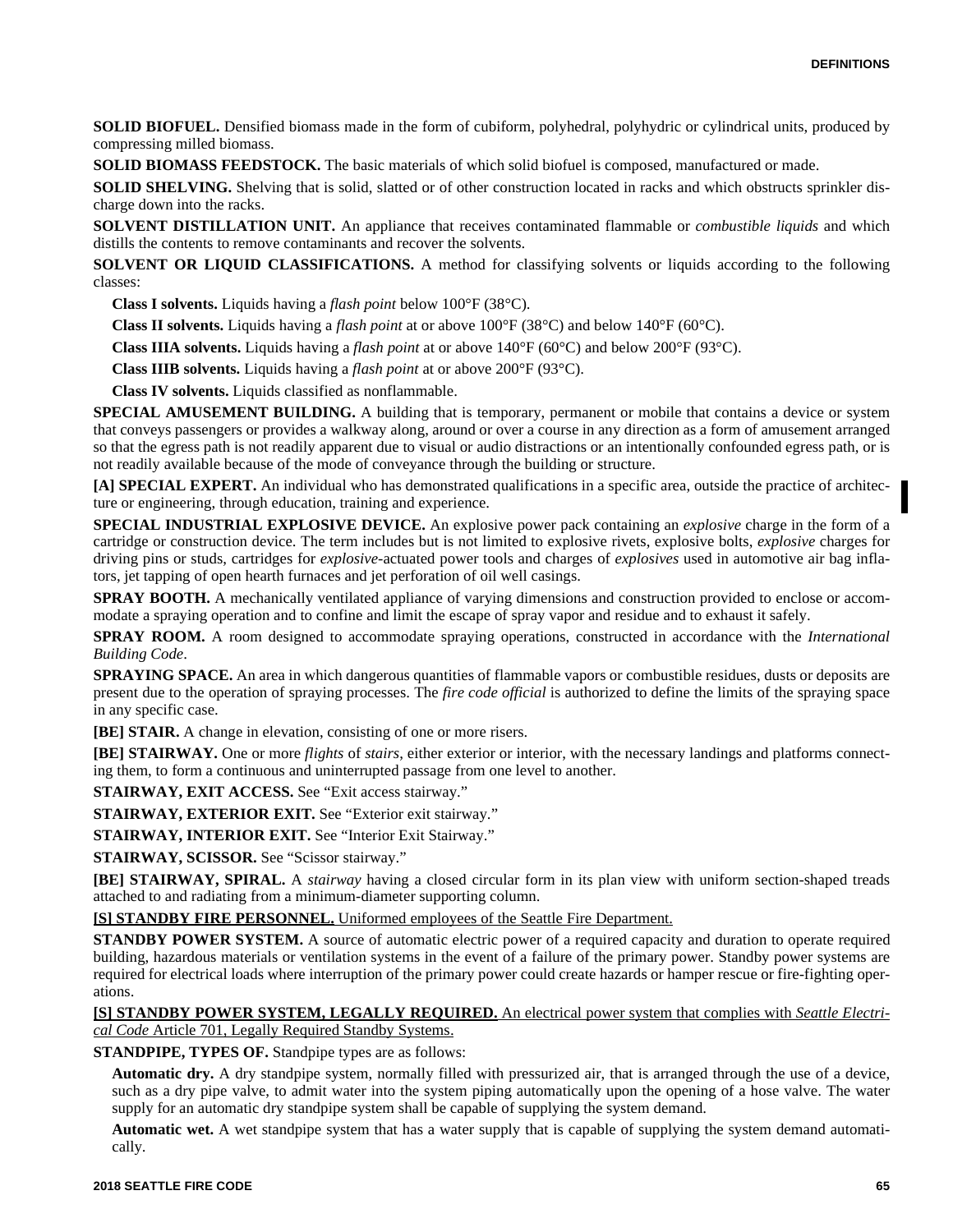**SOLID BIOFUEL.** Densified biomass made in the form of cubiform, polyhedral, polyhydric or cylindrical units, produced by compressing milled biomass.

**SOLID BIOMASS FEEDSTOCK.** The basic materials of which solid biofuel is composed, manufactured or made.

**SOLID SHELVING.** Shelving that is solid, slatted or of other construction located in racks and which obstructs sprinkler discharge down into the racks.

**SOLVENT DISTILLATION UNIT.** An appliance that receives contaminated flammable or *combustible liquids* and which distills the contents to remove contaminants and recover the solvents.

**SOLVENT OR LIQUID CLASSIFICATIONS.** A method for classifying solvents or liquids according to the following classes:

**Class I solvents.** Liquids having a *flash point* below 100°F (38°C).

**Class II solvents.** Liquids having a *flash point* at or above 100°F (38°C) and below 140°F (60°C).

**Class IIIA solvents.** Liquids having a *flash point* at or above 140°F (60°C) and below 200°F (93°C).

**Class IIIB solvents.** Liquids having a *flash point* at or above 200°F (93°C).

**Class IV solvents.** Liquids classified as nonflammable.

**SPECIAL AMUSEMENT BUILDING.** A building that is temporary, permanent or mobile that contains a device or system that conveys passengers or provides a walkway along, around or over a course in any direction as a form of amusement arranged so that the egress path is not readily apparent due to visual or audio distractions or an intentionally confounded egress path, or is not readily available because of the mode of conveyance through the building or structure.

**[A] SPECIAL EXPERT.** An individual who has demonstrated qualifications in a specific area, outside the practice of architecture or engineering, through education, training and experience.

**SPECIAL INDUSTRIAL EXPLOSIVE DEVICE.** An explosive power pack containing an *explosive* charge in the form of a cartridge or construction device. The term includes but is not limited to explosive rivets, explosive bolts, *explosive* charges for driving pins or studs, cartridges for *explosive*-actuated power tools and charges of *explosives* used in automotive air bag inflators, jet tapping of open hearth furnaces and jet perforation of oil well casings.

**SPRAY BOOTH.** A mechanically ventilated appliance of varying dimensions and construction provided to enclose or accommodate a spraying operation and to confine and limit the escape of spray vapor and residue and to exhaust it safely.

**SPRAY ROOM.** A room designed to accommodate spraying operations, constructed in accordance with the *International Building Code*.

**SPRAYING SPACE.** An area in which dangerous quantities of flammable vapors or combustible residues, dusts or deposits are present due to the operation of spraying processes. The *fire code official* is authorized to define the limits of the spraying space in any specific case.

**[BE] STAIR.** A change in elevation, consisting of one or more risers.

**[BE] STAIRWAY.** One or more *flights* of *stairs*, either exterior or interior, with the necessary landings and platforms connecting them, to form a continuous and uninterrupted passage from one level to another.

**STAIRWAY, EXIT ACCESS.** See "Exit access stairway."

**STAIRWAY, EXTERIOR EXIT.** See "Exterior exit stairway."

**STAIRWAY, INTERIOR EXIT.** See "Interior Exit Stairway."

**STAIRWAY, SCISSOR.** See "Scissor stairway."

**[BE] STAIRWAY, SPIRAL.** A *stairway* having a closed circular form in its plan view with uniform section-shaped treads attached to and radiating from a minimum-diameter supporting column.

**[S] STANDBY FIRE PERSONNEL.** Uniformed employees of the Seattle Fire Department.

**STANDBY POWER SYSTEM.** A source of automatic electric power of a required capacity and duration to operate required building, hazardous materials or ventilation systems in the event of a failure of the primary power. Standby power systems are required for electrical loads where interruption of the primary power could create hazards or hamper rescue or fire-fighting operations.

**[S] STANDBY POWER SYSTEM, LEGALLY REQUIRED.** An electrical power system that complies with *Seattle Electrical Code* Article 701, Legally Required Standby Systems.

**STANDPIPE, TYPES OF.** Standpipe types are as follows:

**Automatic dry.** A dry standpipe system, normally filled with pressurized air, that is arranged through the use of a device, such as a dry pipe valve, to admit water into the system piping automatically upon the opening of a hose valve. The water supply for an automatic dry standpipe system shall be capable of supplying the system demand.

**Automatic wet.** A wet standpipe system that has a water supply that is capable of supplying the system demand automatically.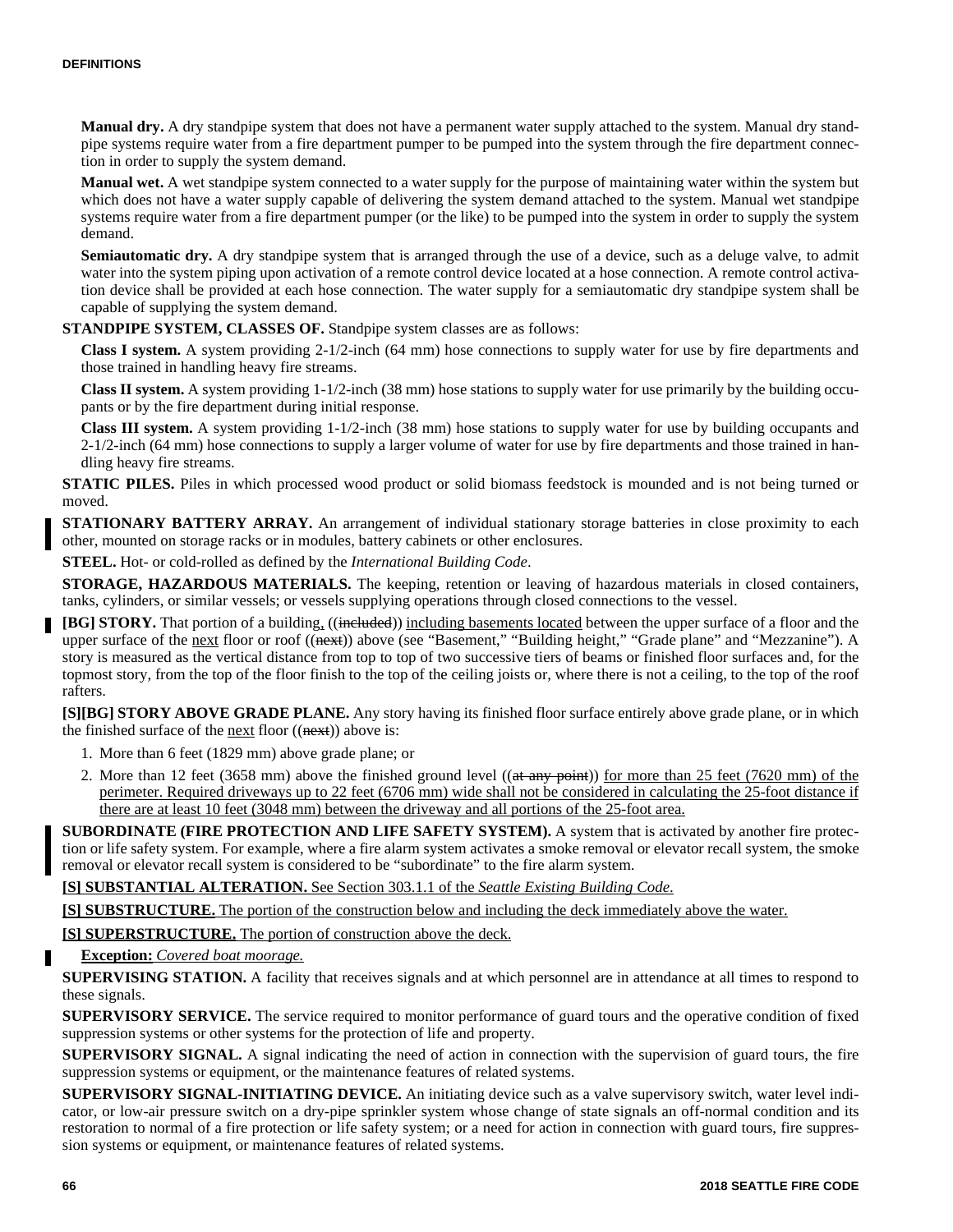**Manual dry.** A dry standpipe system that does not have a permanent water supply attached to the system. Manual dry standpipe systems require water from a fire department pumper to be pumped into the system through the fire department connection in order to supply the system demand.

**Manual wet.** A wet standpipe system connected to a water supply for the purpose of maintaining water within the system but which does not have a water supply capable of delivering the system demand attached to the system. Manual wet standpipe systems require water from a fire department pumper (or the like) to be pumped into the system in order to supply the system demand.

**Semiautomatic dry.** A dry standpipe system that is arranged through the use of a device, such as a deluge valve, to admit water into the system piping upon activation of a remote control device located at a hose connection. A remote control activation device shall be provided at each hose connection. The water supply for a semiautomatic dry standpipe system shall be capable of supplying the system demand.

**STANDPIPE SYSTEM, CLASSES OF.** Standpipe system classes are as follows:

**Class I system.** A system providing 2-1/2-inch (64 mm) hose connections to supply water for use by fire departments and those trained in handling heavy fire streams.

**Class II system.** A system providing 1-1/2-inch (38 mm) hose stations to supply water for use primarily by the building occupants or by the fire department during initial response.

**Class III system.** A system providing 1-1/2-inch (38 mm) hose stations to supply water for use by building occupants and 2-1/2-inch (64 mm) hose connections to supply a larger volume of water for use by fire departments and those trained in handling heavy fire streams.

**STATIC PILES.** Piles in which processed wood product or solid biomass feedstock is mounded and is not being turned or moved.

**STATIONARY BATTERY ARRAY.** An arrangement of individual stationary storage batteries in close proximity to each other, mounted on storage racks or in modules, battery cabinets or other enclosures.

**STEEL.** Hot- or cold-rolled as defined by the *International Building Code*.

**STORAGE, HAZARDOUS MATERIALS.** The keeping, retention or leaving of hazardous materials in closed containers, tanks, cylinders, or similar vessels; or vessels supplying operations through closed connections to the vessel.

**[BG] STORY.** That portion of a building, ((included)) including basements located between the upper surface of a floor and the upper surface of the next floor or roof ((next)) above (see "Basement," "Building height," "Grade plane" and "Mezzanine"). A story is measured as the vertical distance from top to top of two successive tiers of beams or finished floor surfaces and, for the topmost story, from the top of the floor finish to the top of the ceiling joists or, where there is not a ceiling, to the top of the roof rafters.

**[S][BG] STORY ABOVE GRADE PLANE.** Any story having its finished floor surface entirely above grade plane, or in which the finished surface of the next floor ((next)) above is:

- 1. More than 6 feet (1829 mm) above grade plane; or
- 2. More than 12 feet (3658 mm) above the finished ground level  $((a<sub>t</sub> \frac{amy}{b<sub>t</sub> \frac{smt}{b<sub>t</sub>}})$  for more than 25 feet (7620 mm) of the perimeter. Required driveways up to 22 feet (6706 mm) wide shall not be considered in calculating the 25-foot distance if there are at least 10 feet (3048 mm) between the driveway and all portions of the 25-foot area.

**SUBORDINATE (FIRE PROTECTION AND LIFE SAFETY SYSTEM).** A system that is activated by another fire protection or life safety system. For example, where a fire alarm system activates a smoke removal or elevator recall system, the smoke removal or elevator recall system is considered to be "subordinate" to the fire alarm system.

**[S] SUBSTANTIAL ALTERATION.** See Section 303.1.1 of the *Seattle Existing Building Code*.

**[S] SUBSTRUCTURE.** The portion of the construction below and including the deck immediately above the water.

**[S] SUPERSTRUCTURE.** The portion of construction above the deck.

**Exception:** *Covered boat moorage.*

**SUPERVISING STATION.** A facility that receives signals and at which personnel are in attendance at all times to respond to these signals.

**SUPERVISORY SERVICE.** The service required to monitor performance of guard tours and the operative condition of fixed suppression systems or other systems for the protection of life and property.

**SUPERVISORY SIGNAL.** A signal indicating the need of action in connection with the supervision of guard tours, the fire suppression systems or equipment, or the maintenance features of related systems.

**SUPERVISORY SIGNAL-INITIATING DEVICE.** An initiating device such as a valve supervisory switch, water level indicator, or low-air pressure switch on a dry-pipe sprinkler system whose change of state signals an off-normal condition and its restoration to normal of a fire protection or life safety system; or a need for action in connection with guard tours, fire suppression systems or equipment, or maintenance features of related systems.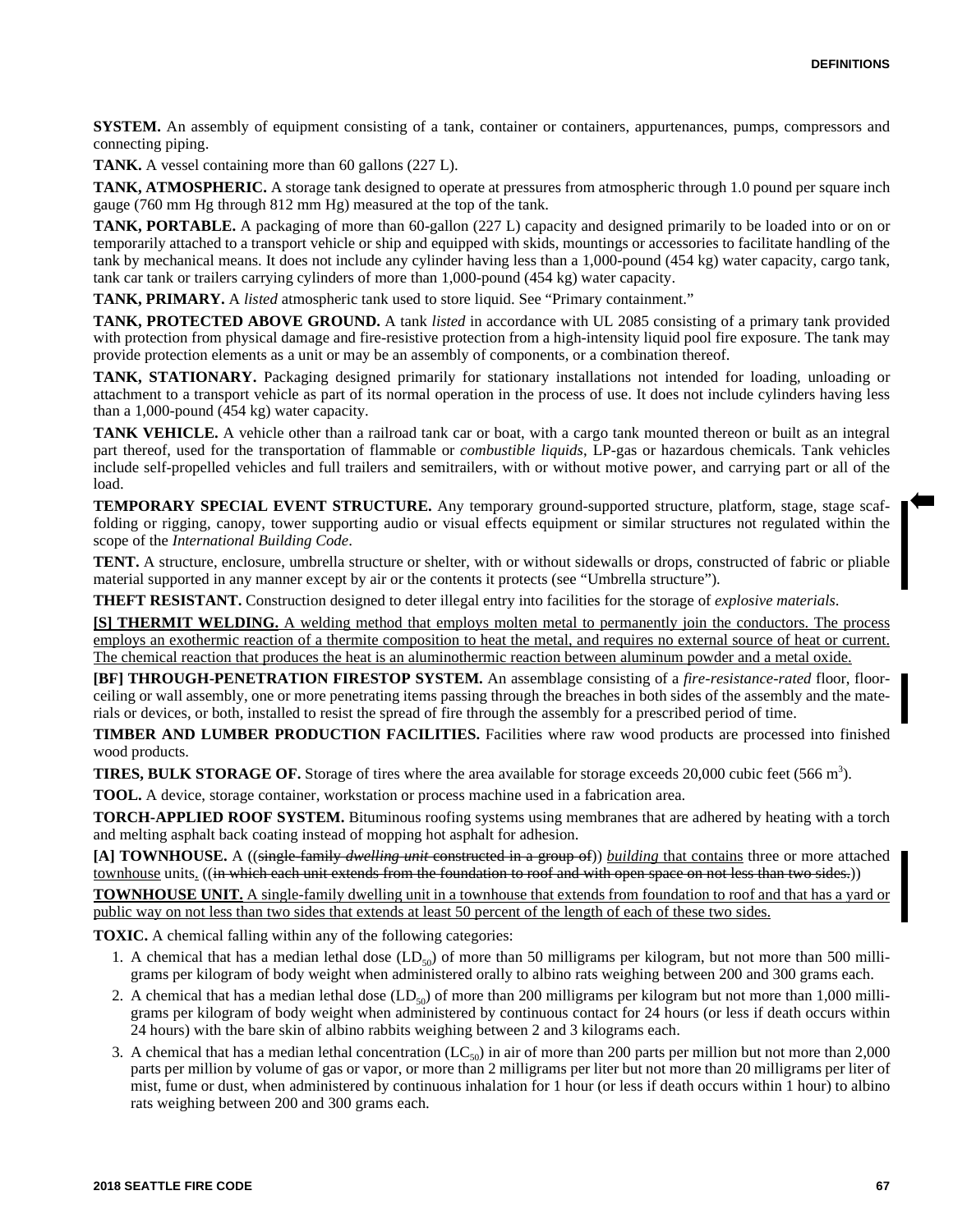**SYSTEM.** An assembly of equipment consisting of a tank, container or containers, appurtenances, pumps, compressors and connecting piping.

**TANK.** A vessel containing more than 60 gallons (227 L).

**TANK, ATMOSPHERIC.** A storage tank designed to operate at pressures from atmospheric through 1.0 pound per square inch gauge (760 mm Hg through 812 mm Hg) measured at the top of the tank.

**TANK, PORTABLE.** A packaging of more than 60-gallon (227 L) capacity and designed primarily to be loaded into or on or temporarily attached to a transport vehicle or ship and equipped with skids, mountings or accessories to facilitate handling of the tank by mechanical means. It does not include any cylinder having less than a 1,000-pound (454 kg) water capacity, cargo tank, tank car tank or trailers carrying cylinders of more than 1,000-pound (454 kg) water capacity.

**TANK, PRIMARY.** A *listed* atmospheric tank used to store liquid. See "Primary containment."

**TANK, PROTECTED ABOVE GROUND.** A tank *listed* in accordance with UL 2085 consisting of a primary tank provided with protection from physical damage and fire-resistive protection from a high-intensity liquid pool fire exposure. The tank may provide protection elements as a unit or may be an assembly of components, or a combination thereof.

**TANK, STATIONARY.** Packaging designed primarily for stationary installations not intended for loading, unloading or attachment to a transport vehicle as part of its normal operation in the process of use. It does not include cylinders having less than a 1,000-pound (454 kg) water capacity.

**TANK VEHICLE.** A vehicle other than a railroad tank car or boat, with a cargo tank mounted thereon or built as an integral part thereof, used for the transportation of flammable or *combustible liquids*, LP-gas or hazardous chemicals. Tank vehicles include self-propelled vehicles and full trailers and semitrailers, with or without motive power, and carrying part or all of the load.

**TEMPORARY SPECIAL EVENT STRUCTURE.** Any temporary ground-supported structure, platform, stage, stage scaffolding or rigging, canopy, tower supporting audio or visual effects equipment or similar structures not regulated within the scope of the *International Building Code*.

**TENT.** A structure, enclosure, umbrella structure or shelter, with or without sidewalls or drops, constructed of fabric or pliable material supported in any manner except by air or the contents it protects (see "Umbrella structure").

**THEFT RESISTANT.** Construction designed to deter illegal entry into facilities for the storage of *explosive materials*.

**[S] THERMIT WELDING.** A welding method that employs molten metal to permanently join the conductors. The process employs an exothermic reaction of a thermite composition to heat the metal, and requires no external source of heat or current. The chemical reaction that produces the heat is an aluminothermic reaction between aluminum powder and a metal oxide.

**[BF] THROUGH-PENETRATION FIRESTOP SYSTEM.** An assemblage consisting of a *fire-resistance-rated* floor, floorceiling or wall assembly, one or more penetrating items passing through the breaches in both sides of the assembly and the materials or devices, or both, installed to resist the spread of fire through the assembly for a prescribed period of time.

**TIMBER AND LUMBER PRODUCTION FACILITIES.** Facilities where raw wood products are processed into finished wood products.

TIRES, BULK STORAGE OF. Storage of tires where the area available for storage exceeds 20,000 cubic feet (566 m<sup>3</sup>).

**TOOL.** A device, storage container, workstation or process machine used in a fabrication area.

**TORCH-APPLIED ROOF SYSTEM.** Bituminous roofing systems using membranes that are adhered by heating with a torch and melting asphalt back coating instead of mopping hot asphalt for adhesion.

**[A] TOWNHOUSE.** A ((single-family *dwelling unit* constructed in a group of)) *building* that contains three or more attached townhouse units. ((in which each unit extends from the foundation to roof and with open space on not less than two sides.))

**TOWNHOUSE UNIT.** A single-family dwelling unit in a townhouse that extends from foundation to roof and that has a yard or public way on not less than two sides that extends at least 50 percent of the length of each of these two sides.

**TOXIC.** A chemical falling within any of the following categories:

- 1. A chemical that has a median lethal dose  $(LD_{50})$  of more than 50 milligrams per kilogram, but not more than 500 milligrams per kilogram of body weight when administered orally to albino rats weighing between 200 and 300 grams each.
- 2. A chemical that has a median lethal dose  $(LD_{50})$  of more than 200 milligrams per kilogram but not more than 1,000 milligrams per kilogram of body weight when administered by continuous contact for 24 hours (or less if death occurs within 24 hours) with the bare skin of albino rabbits weighing between 2 and 3 kilograms each.
- 3. A chemical that has a median lethal concentration  $(LC_{50})$  in air of more than 200 parts per million but not more than 2,000 parts per million by volume of gas or vapor, or more than 2 milligrams per liter but not more than 20 milligrams per liter of mist, fume or dust, when administered by continuous inhalation for 1 hour (or less if death occurs within 1 hour) to albino rats weighing between 200 and 300 grams each.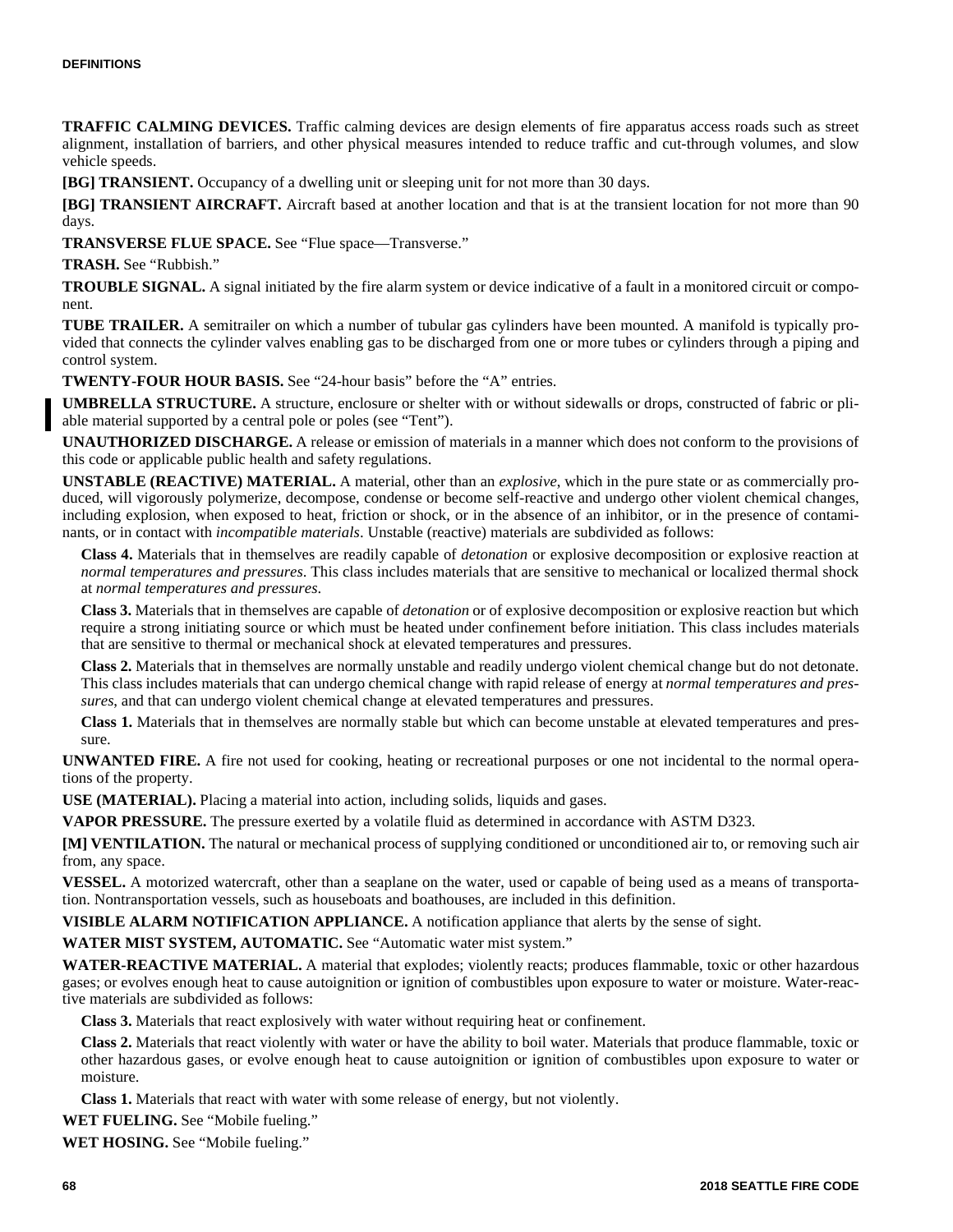**TRAFFIC CALMING DEVICES.** Traffic calming devices are design elements of fire apparatus access roads such as street alignment, installation of barriers, and other physical measures intended to reduce traffic and cut-through volumes, and slow vehicle speeds.

**[BG] TRANSIENT.** Occupancy of a dwelling unit or sleeping unit for not more than 30 days.

**[BG] TRANSIENT AIRCRAFT.** Aircraft based at another location and that is at the transient location for not more than 90 days.

**TRANSVERSE FLUE SPACE.** See "Flue space—Transverse."

**TRASH.** See "Rubbish."

**TROUBLE SIGNAL.** A signal initiated by the fire alarm system or device indicative of a fault in a monitored circuit or component.

**TUBE TRAILER.** A semitrailer on which a number of tubular gas cylinders have been mounted. A manifold is typically provided that connects the cylinder valves enabling gas to be discharged from one or more tubes or cylinders through a piping and control system.

**TWENTY-FOUR HOUR BASIS.** See "24-hour basis" before the "A" entries.

**UMBRELLA STRUCTURE.** A structure, enclosure or shelter with or without sidewalls or drops, constructed of fabric or pliable material supported by a central pole or poles (see "Tent").

**UNAUTHORIZED DISCHARGE.** A release or emission of materials in a manner which does not conform to the provisions of this code or applicable public health and safety regulations.

**UNSTABLE (REACTIVE) MATERIAL.** A material, other than an *explosive*, which in the pure state or as commercially produced, will vigorously polymerize, decompose, condense or become self-reactive and undergo other violent chemical changes, including explosion, when exposed to heat, friction or shock, or in the absence of an inhibitor, or in the presence of contaminants, or in contact with *incompatible materials*. Unstable (reactive) materials are subdivided as follows:

**Class 4.** Materials that in themselves are readily capable of *detonation* or explosive decomposition or explosive reaction at *normal temperatures and pressures*. This class includes materials that are sensitive to mechanical or localized thermal shock at *normal temperatures and pressures*.

**Class 3.** Materials that in themselves are capable of *detonation* or of explosive decomposition or explosive reaction but which require a strong initiating source or which must be heated under confinement before initiation. This class includes materials that are sensitive to thermal or mechanical shock at elevated temperatures and pressures.

**Class 2.** Materials that in themselves are normally unstable and readily undergo violent chemical change but do not detonate. This class includes materials that can undergo chemical change with rapid release of energy at *normal temperatures and pressures*, and that can undergo violent chemical change at elevated temperatures and pressures.

**Class 1.** Materials that in themselves are normally stable but which can become unstable at elevated temperatures and pressure.

**UNWANTED FIRE.** A fire not used for cooking, heating or recreational purposes or one not incidental to the normal operations of the property.

**USE (MATERIAL).** Placing a material into action, including solids, liquids and gases.

**VAPOR PRESSURE.** The pressure exerted by a volatile fluid as determined in accordance with ASTM D323.

**[M] VENTILATION.** The natural or mechanical process of supplying conditioned or unconditioned air to, or removing such air from, any space.

**VESSEL.** A motorized watercraft, other than a seaplane on the water, used or capable of being used as a means of transportation. Nontransportation vessels, such as houseboats and boathouses, are included in this definition.

**VISIBLE ALARM NOTIFICATION APPLIANCE.** A notification appliance that alerts by the sense of sight.

**WATER MIST SYSTEM, AUTOMATIC.** See "Automatic water mist system."

WATER-REACTIVE MATERIAL. A material that explodes; violently reacts; produces flammable, toxic or other hazardous gases; or evolves enough heat to cause autoignition or ignition of combustibles upon exposure to water or moisture. Water-reactive materials are subdivided as follows:

**Class 3.** Materials that react explosively with water without requiring heat or confinement.

**Class 2.** Materials that react violently with water or have the ability to boil water. Materials that produce flammable, toxic or other hazardous gases, or evolve enough heat to cause autoignition or ignition of combustibles upon exposure to water or moisture.

**Class 1.** Materials that react with water with some release of energy, but not violently.

**WET FUELING.** See "Mobile fueling."

WET HOSING. See "Mobile fueling."